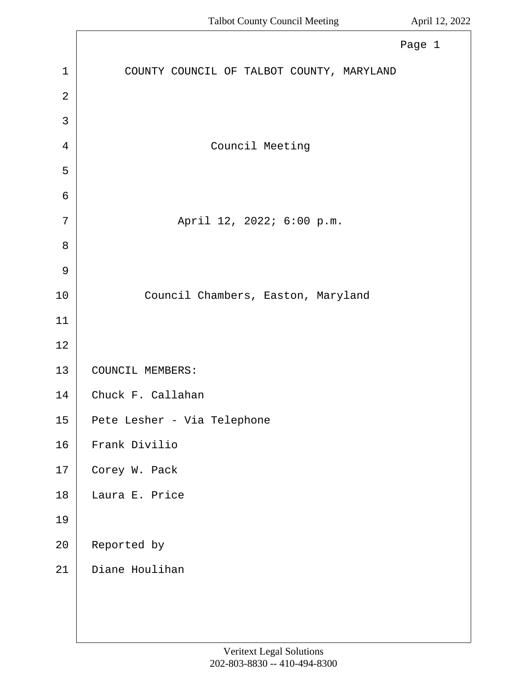|                | Page 1                                    |
|----------------|-------------------------------------------|
| $\mathbf{1}$   | COUNTY COUNCIL OF TALBOT COUNTY, MARYLAND |
| $\overline{2}$ |                                           |
| 3              |                                           |
| 4              | Council Meeting                           |
| 5              |                                           |
| 6              |                                           |
| 7              | April 12, 2022; 6:00 p.m.                 |
| 8              |                                           |
| 9              |                                           |
| $10$           | Council Chambers, Easton, Maryland        |
| 11             |                                           |
| 12             |                                           |
| 13             | COUNCIL MEMBERS:                          |
| 14             | Chuck F. Callahan                         |
| 15             | Pete Lesher - Via Telephone               |
| 16             | Frank Divilio                             |
| 17             | Corey W. Pack                             |
| 18             | Laura E. Price                            |
| 19             |                                           |
| 20             | Reported by                               |
| 21             | Diane Houlihan                            |
|                |                                           |
|                |                                           |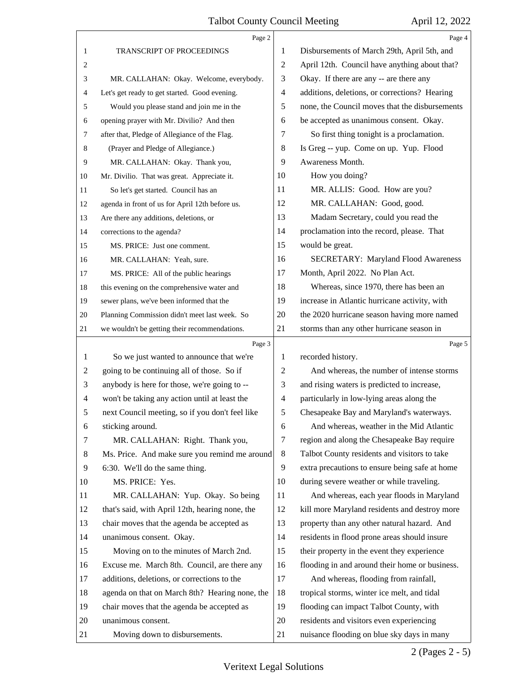|                | Page 2                                          |                | Page 4                                         |
|----------------|-------------------------------------------------|----------------|------------------------------------------------|
| 1              | <b>TRANSCRIPT OF PROCEEDINGS</b>                | 1              | Disbursements of March 29th, April 5th, and    |
| 2              |                                                 | $\overline{c}$ | April 12th. Council have anything about that?  |
| 3              | MR. CALLAHAN: Okay. Welcome, everybody.         | 3              | Okay. If there are any -- are there any        |
| 4              | Let's get ready to get started. Good evening.   | $\overline{4}$ | additions, deletions, or corrections? Hearing  |
| 5              | Would you please stand and join me in the       | 5              | none, the Council moves that the disbursements |
| 6              | opening prayer with Mr. Divilio? And then       | 6              | be accepted as unanimous consent. Okay.        |
| 7              | after that, Pledge of Allegiance of the Flag.   | 7              | So first thing tonight is a proclamation.      |
| 8              | (Prayer and Pledge of Allegiance.)              | 8              | Is Greg -- yup. Come on up. Yup. Flood         |
| 9              | MR. CALLAHAN: Okay. Thank you,                  | 9              | Awareness Month.                               |
| 10             | Mr. Divilio. That was great. Appreciate it.     | 10             | How you doing?                                 |
| 11             | So let's get started. Council has an            | 11             | MR. ALLIS: Good. How are you?                  |
| 12             | agenda in front of us for April 12th before us. | 12             | MR. CALLAHAN: Good, good.                      |
| 13             | Are there any additions, deletions, or          | 13             | Madam Secretary, could you read the            |
| 14             | corrections to the agenda?                      | 14             | proclamation into the record, please. That     |
| 15             | MS. PRICE: Just one comment.                    | 15             | would be great.                                |
| 16             | MR. CALLAHAN: Yeah, sure.                       | 16             | <b>SECRETARY: Maryland Flood Awareness</b>     |
| 17             | MS. PRICE: All of the public hearings           | 17             | Month, April 2022. No Plan Act.                |
| 18             | this evening on the comprehensive water and     | 18             | Whereas, since 1970, there has been an         |
| 19             | sewer plans, we've been informed that the       | 19             | increase in Atlantic hurricane activity, with  |
| 20             | Planning Commission didn't meet last week. So   | 20             | the 2020 hurricane season having more named    |
| 21             | we wouldn't be getting their recommendations.   | 21             | storms than any other hurricane season in      |
|                |                                                 |                |                                                |
|                | Page 3                                          |                | Page 5                                         |
| 1              | So we just wanted to announce that we're        | 1              | recorded history.                              |
| 2              | going to be continuing all of those. So if      | $\overline{c}$ | And whereas, the number of intense storms      |
| 3              | anybody is here for those, we're going to --    | 3              | and rising waters is predicted to increase,    |
| $\overline{4}$ | won't be taking any action until at least the   | $\overline{4}$ | particularly in low-lying areas along the      |
| 5              | next Council meeting, so if you don't feel like | 5              | Chesapeake Bay and Maryland's waterways.       |
| 6              | sticking around.                                | 6              | And whereas, weather in the Mid Atlantic       |
| 7              | MR. CALLAHAN: Right. Thank you,                 | $\tau$         | region and along the Chesapeake Bay require    |
| 8              | Ms. Price. And make sure you remind me around   | 8              | Talbot County residents and visitors to take   |
| 9              | 6:30. We'll do the same thing.                  | 9              | extra precautions to ensure being safe at home |
| 10             | MS. PRICE: Yes.                                 | 10             | during severe weather or while traveling.      |
| 11             | MR. CALLAHAN: Yup. Okay. So being               | 11             | And whereas, each year floods in Maryland      |
| 12             | that's said, with April 12th, hearing none, the | 12             | kill more Maryland residents and destroy more  |
| 13             | chair moves that the agenda be accepted as      | 13             | property than any other natural hazard. And    |
| 14             | unanimous consent. Okay.                        | 14             | residents in flood prone areas should insure   |
| 15             | Moving on to the minutes of March 2nd.          | 15             | their property in the event they experience    |
| 16             | Excuse me. March 8th. Council, are there any    | 16             | flooding in and around their home or business. |
| 17             | additions, deletions, or corrections to the     | 17             | And whereas, flooding from rainfall,           |
| 18             | agenda on that on March 8th? Hearing none, the  | 18             | tropical storms, winter ice melt, and tidal    |
| 19             | chair moves that the agenda be accepted as      | 19             | flooding can impact Talbot County, with        |
| 20             | unanimous consent.                              | 20             | residents and visitors even experiencing       |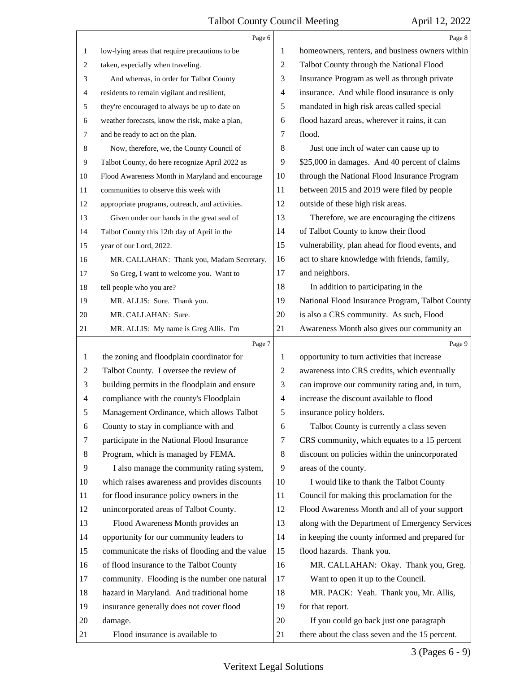|                | Page 6                                          |                | Page 8                                          |
|----------------|-------------------------------------------------|----------------|-------------------------------------------------|
| 1              | low-lying areas that require precautions to be  | 1              | homeowners, renters, and business owners within |
| 2              | taken, especially when traveling.               | $\overline{2}$ | Talbot County through the National Flood        |
| 3              | And whereas, in order for Talbot County         | 3              | Insurance Program as well as through private    |
| 4              | residents to remain vigilant and resilient,     | $\overline{4}$ | insurance. And while flood insurance is only    |
| 5              | they're encouraged to always be up to date on   | 5              | mandated in high risk areas called special      |
| 6              | weather forecasts, know the risk, make a plan,  | 6              | flood hazard areas, wherever it rains, it can   |
| 7              | and be ready to act on the plan.                | 7              | flood.                                          |
| 8              | Now, therefore, we, the County Council of       | 8              | Just one inch of water can cause up to          |
| 9              | Talbot County, do here recognize April 2022 as  | 9              | \$25,000 in damages. And 40 percent of claims   |
| 10             | Flood Awareness Month in Maryland and encourage | 10             | through the National Flood Insurance Program    |
| 11             | communities to observe this week with           | 11             | between 2015 and 2019 were filed by people      |
| 12             | appropriate programs, outreach, and activities. | 12             | outside of these high risk areas.               |
| 13             | Given under our hands in the great seal of      | 13             | Therefore, we are encouraging the citizens      |
| 14             | Talbot County this 12th day of April in the     | 14             | of Talbot County to know their flood            |
| 15             | year of our Lord, 2022.                         | 15             | vulnerability, plan ahead for flood events, and |
| 16             | MR. CALLAHAN: Thank you, Madam Secretary.       | 16             | act to share knowledge with friends, family,    |
| 17             | So Greg, I want to welcome you. Want to         | 17             | and neighbors.                                  |
| 18             | tell people who you are?                        | 18             | In addition to participating in the             |
| 19             | MR. ALLIS: Sure. Thank you.                     | 19             | National Flood Insurance Program, Talbot County |
| 20             | MR. CALLAHAN: Sure.                             | 20             | is also a CRS community. As such, Flood         |
| 21             | MR. ALLIS: My name is Greg Allis. I'm           | 21             | Awareness Month also gives our community an     |
|                | Page 7                                          |                | Page 9                                          |
|                |                                                 |                |                                                 |
| 1              | the zoning and floodplain coordinator for       | 1              | opportunity to turn activities that increase    |
| $\overline{c}$ | Talbot County. I oversee the review of          | $\overline{2}$ | awareness into CRS credits, which eventually    |
| 3              | building permits in the floodplain and ensure   | 3              | can improve our community rating and, in turn,  |
| $\overline{4}$ | compliance with the county's Floodplain         | $\overline{4}$ | increase the discount available to flood        |
| 5              | Management Ordinance, which allows Talbot       | 5              | insurance policy holders.                       |
| 6              | County to stay in compliance with and           | 6              | Talbot County is currently a class seven        |
| 7              | participate in the National Flood Insurance     | 7              | CRS community, which equates to a 15 percent    |
| 8              | Program, which is managed by FEMA.              | 8              | discount on policies within the unincorporated  |
| 9              | I also manage the community rating system,      | 9              | areas of the county.                            |
| 10             | which raises awareness and provides discounts   | 10             | I would like to thank the Talbot County         |
| 11             | for flood insurance policy owners in the        | 11             | Council for making this proclamation for the    |
| 12             | unincorporated areas of Talbot County.          | 12             | Flood Awareness Month and all of your support   |
| 13             | Flood Awareness Month provides an               | 13             | along with the Department of Emergency Services |
| 14             | opportunity for our community leaders to        | 14             | in keeping the county informed and prepared for |
| 15             | communicate the risks of flooding and the value | 15             | flood hazards. Thank you.                       |
| 16             | of flood insurance to the Talbot County         | 16             | MR. CALLAHAN: Okay. Thank you, Greg.            |
| 17             | community. Flooding is the number one natural   | 17             | Want to open it up to the Council.              |
| 18             | hazard in Maryland. And traditional home        | 18             | MR. PACK: Yeah. Thank you, Mr. Allis,           |
| 19             | insurance generally does not cover flood        | 19             | for that report.                                |
| 20             | damage.                                         | 20             | If you could go back just one paragraph         |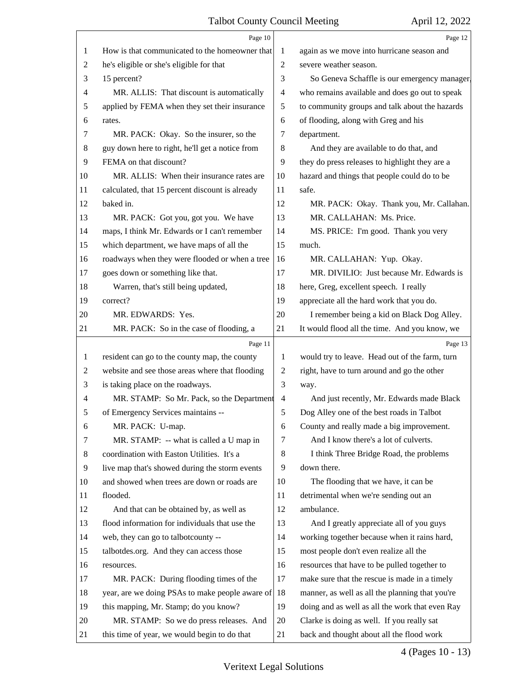|    | Page 10                                         |                          | Page 12                                         |
|----|-------------------------------------------------|--------------------------|-------------------------------------------------|
| 1  | How is that communicated to the homeowner that  | 1                        | again as we move into hurricane season and      |
| 2  | he's eligible or she's eligible for that        | 2                        | severe weather season.                          |
| 3  | 15 percent?                                     | 3                        | So Geneva Schaffle is our emergency manager.    |
| 4  | MR. ALLIS: That discount is automatically       | $\overline{4}$           | who remains available and does go out to speak  |
| 5  | applied by FEMA when they set their insurance   | 5                        | to community groups and talk about the hazards  |
| 6  | rates.                                          | 6                        | of flooding, along with Greg and his            |
| 7  | MR. PACK: Okay. So the insurer, so the          | 7                        | department.                                     |
| 8  | guy down here to right, he'll get a notice from | 8                        | And they are available to do that, and          |
| 9  | FEMA on that discount?                          | 9                        | they do press releases to highlight they are a  |
| 10 | MR. ALLIS: When their insurance rates are       | 10                       | hazard and things that people could do to be    |
| 11 | calculated, that 15 percent discount is already | 11                       | safe.                                           |
| 12 | baked in.                                       | 12                       | MR. PACK: Okay. Thank you, Mr. Callahan.        |
| 13 | MR. PACK: Got you, got you. We have             | 13                       | MR. CALLAHAN: Ms. Price.                        |
| 14 | maps, I think Mr. Edwards or I can't remember   | 14                       | MS. PRICE: I'm good. Thank you very             |
| 15 | which department, we have maps of all the       | 15                       | much.                                           |
| 16 | roadways when they were flooded or when a tree  | 16                       | MR. CALLAHAN: Yup. Okay.                        |
| 17 | goes down or something like that.               | 17                       | MR. DIVILIO: Just because Mr. Edwards is        |
| 18 | Warren, that's still being updated,             | 18                       | here, Greg, excellent speech. I really          |
| 19 | correct?                                        | 19                       | appreciate all the hard work that you do.       |
| 20 | MR. EDWARDS: Yes.                               | 20                       | I remember being a kid on Black Dog Alley.      |
| 21 | MR. PACK: So in the case of flooding, a         | 21                       | It would flood all the time. And you know, we   |
|    | Page 11                                         |                          |                                                 |
|    |                                                 |                          | Page 13                                         |
| 1  | resident can go to the county map, the county   | 1                        | would try to leave. Head out of the farm, turn  |
| 2  | website and see those areas where that flooding | $\mathbf{2}$             | right, have to turn around and go the other     |
| 3  | is taking place on the roadways.                | 3                        | way.                                            |
| 4  | MR. STAMP: So Mr. Pack, so the Department       | $\overline{\mathcal{A}}$ | And just recently, Mr. Edwards made Black       |
| 5  | of Emergency Services maintains --              | 5                        | Dog Alley one of the best roads in Talbot       |
| 6  | MR. PACK: U-map.                                | 6                        | County and really made a big improvement.       |
| 7  | MR. STAMP: -- what is called a U map in         | 7                        | And I know there's a lot of culverts.           |
| 8  | coordination with Easton Utilities. It's a      | 8                        | I think Three Bridge Road, the problems         |
| 9  | live map that's showed during the storm events  | 9                        | down there.                                     |
| 10 | and showed when trees are down or roads are     | 10                       | The flooding that we have, it can be            |
| 11 | flooded.                                        | 11                       | detrimental when we're sending out an           |
| 12 | And that can be obtained by, as well as         | 12                       | ambulance.                                      |
| 13 | flood information for individuals that use the  | 13                       | And I greatly appreciate all of you guys        |
| 14 | web, they can go to talbotcounty --             | 14                       | working together because when it rains hard,    |
| 15 | talbotdes.org. And they can access those        | 15                       | most people don't even realize all the          |
| 16 | resources.                                      | 16                       | resources that have to be pulled together to    |
| 17 | MR. PACK: During flooding times of the          | 17                       | make sure that the rescue is made in a timely   |
| 18 | year, are we doing PSAs to make people aware of | 18                       | manner, as well as all the planning that you're |
| 19 | this mapping, Mr. Stamp; do you know?           | 19                       | doing and as well as all the work that even Ray |
| 20 | MR. STAMP: So we do press releases. And         | 20                       | Clarke is doing as well. If you really sat      |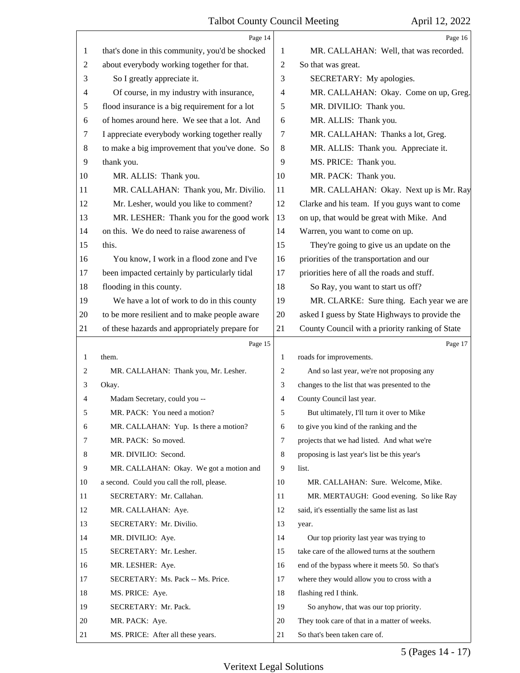|                | Page 14                                         |                | Page 16                                         |
|----------------|-------------------------------------------------|----------------|-------------------------------------------------|
| 1              | that's done in this community, you'd be shocked | 1              | MR. CALLAHAN: Well, that was recorded.          |
| $\overline{2}$ | about everybody working together for that.      | $\overline{2}$ | So that was great.                              |
| 3              | So I greatly appreciate it.                     | 3              | SECRETARY: My apologies.                        |
| 4              | Of course, in my industry with insurance,       | $\overline{4}$ | MR. CALLAHAN: Okay. Come on up, Greg.           |
| 5              | flood insurance is a big requirement for a lot  | 5              | MR. DIVILIO: Thank you.                         |
| 6              | of homes around here. We see that a lot. And    | 6              | MR. ALLIS: Thank you.                           |
| 7              | I appreciate everybody working together really  | 7              | MR. CALLAHAN: Thanks a lot, Greg.               |
| 8              | to make a big improvement that you've done. So  | 8              | MR. ALLIS: Thank you. Appreciate it.            |
| 9              | thank you.                                      | 9              | MS. PRICE: Thank you.                           |
| 10             | MR. ALLIS: Thank you.                           | 10             | MR. PACK: Thank you.                            |
| 11             | MR. CALLAHAN: Thank you, Mr. Divilio.           | 11             | MR. CALLAHAN: Okay. Next up is Mr. Ray          |
| 12             | Mr. Lesher, would you like to comment?          | 12             | Clarke and his team. If you guys want to come   |
| 13             | MR. LESHER: Thank you for the good work         | 13             | on up, that would be great with Mike. And       |
| 14             | on this. We do need to raise awareness of       | 14             | Warren, you want to come on up.                 |
| 15             | this.                                           | 15             | They're going to give us an update on the       |
| 16             | You know, I work in a flood zone and I've       | 16             | priorities of the transportation and our        |
| 17             | been impacted certainly by particularly tidal   | 17             | priorities here of all the roads and stuff.     |
| 18             | flooding in this county.                        | 18             | So Ray, you want to start us off?               |
| 19             | We have a lot of work to do in this county      | 19             | MR. CLARKE: Sure thing. Each year we are        |
| 20             | to be more resilient and to make people aware   | 20             | asked I guess by State Highways to provide the  |
| 21             | of these hazards and appropriately prepare for  | 21             | County Council with a priority ranking of State |
|                |                                                 |                |                                                 |
|                | Page 15                                         |                | Page 17                                         |
| 1              | them.                                           | 1              | roads for improvements.                         |
| 2              | MR. CALLAHAN: Thank you, Mr. Lesher.            | 2              | And so last year, we're not proposing any       |
| 3              | Okay.                                           | 3              | changes to the list that was presented to the   |
| 4              | Madam Secretary, could you --                   | 4              | County Council last year.                       |
| 5              | MR. PACK: You need a motion?                    | 5              | But ultimately, I'll turn it over to Mike       |
| 6              | MR. CALLAHAN: Yup. Is there a motion?           | 6              | to give you kind of the ranking and the         |
| 7              | MR. PACK: So moved.                             | 7              | projects that we had listed. And what we're     |
| 8              | MR. DIVILIO: Second.                            | 8              | proposing is last year's list be this year's    |
| 9              | MR. CALLAHAN: Okay. We got a motion and         | 9              | list.                                           |
| 10             | a second. Could you call the roll, please.      | 10             | MR. CALLAHAN: Sure. Welcome, Mike.              |
| 11             | SECRETARY: Mr. Callahan.                        | 11             | MR. MERTAUGH: Good evening. So like Ray         |
| 12             | MR. CALLAHAN: Aye.                              | 12             | said, it's essentially the same list as last    |
| 13             | SECRETARY: Mr. Divilio.                         | 13             | year.                                           |
| 14             | MR. DIVILIO: Aye.                               | 14             | Our top priority last year was trying to        |
| 15             | SECRETARY: Mr. Lesher.                          | 15             | take care of the allowed turns at the southern  |
| 16             | MR. LESHER: Aye.                                | 16             | end of the bypass where it meets 50. So that's  |
| 17             | SECRETARY: Ms. Pack -- Ms. Price.               | 17             | where they would allow you to cross with a      |
| 18             | MS. PRICE: Aye.                                 | 18             | flashing red I think.                           |
| 19             | SECRETARY: Mr. Pack.                            | 19             | So anyhow, that was our top priority.           |
| 20             | MR. PACK: Aye.                                  | 20             | They took care of that in a matter of weeks.    |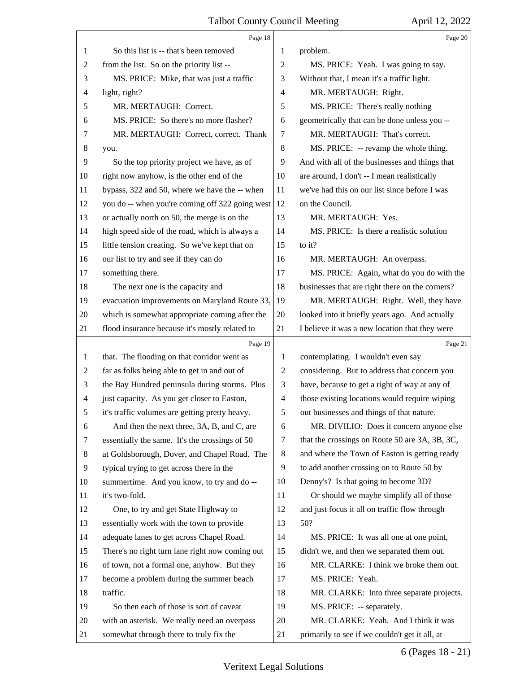|    | Page 18                                         |                | Page 20                                         |
|----|-------------------------------------------------|----------------|-------------------------------------------------|
| 1  | So this list is -- that's been removed          | 1              | problem.                                        |
| 2  | from the list. So on the priority list --       | 2              | MS. PRICE: Yeah. I was going to say.            |
| 3  | MS. PRICE: Mike, that was just a traffic        | 3              | Without that, I mean it's a traffic light.      |
| 4  | light, right?                                   | 4              | MR. MERTAUGH: Right.                            |
| 5  | MR. MERTAUGH: Correct.                          | 5              | MS. PRICE: There's really nothing               |
| 6  | MS. PRICE: So there's no more flasher?          | 6              | geometrically that can be done unless you --    |
| 7  | MR. MERTAUGH: Correct, correct. Thank           | $\tau$         | MR. MERTAUGH: That's correct.                   |
| 8  | you.                                            | 8              | MS. PRICE: -- revamp the whole thing.           |
| 9  | So the top priority project we have, as of      | 9              | And with all of the businesses and things that  |
| 10 | right now anyhow, is the other end of the       | 10             | are around, I don't -- I mean realistically     |
| 11 | bypass, 322 and 50, where we have the -- when   | 11             | we've had this on our list since before I was   |
| 12 | you do -- when you're coming off 322 going west | 12             | on the Council.                                 |
| 13 | or actually north on 50, the merge is on the    | 13             | MR. MERTAUGH: Yes.                              |
| 14 | high speed side of the road, which is always a  | 14             | MS. PRICE: Is there a realistic solution        |
| 15 | little tension creating. So we've kept that on  | 15             | to it?                                          |
| 16 | our list to try and see if they can do          | 16             | MR. MERTAUGH: An overpass.                      |
| 17 | something there.                                | 17             | MS. PRICE: Again, what do you do with the       |
| 18 | The next one is the capacity and                | 18             | businesses that are right there on the corners? |
| 19 | evacuation improvements on Maryland Route 33,   | 19             | MR. MERTAUGH: Right. Well, they have            |
| 20 | which is somewhat appropriate coming after the  | 20             | looked into it briefly years ago. And actually  |
| 21 | flood insurance because it's mostly related to  | 21             | I believe it was a new location that they were  |
|    | Page 19                                         |                | Page 21                                         |
|    |                                                 |                |                                                 |
| 1  | that. The flooding on that corridor went as     | 1              | contemplating. I wouldn't even say              |
| 2  | far as folks being able to get in and out of    | 2              | considering. But to address that concern you    |
| 3  | the Bay Hundred peninsula during storms. Plus   | 3              | have, because to get a right of way at any of   |
| 4  | just capacity. As you get closer to Easton,     | $\overline{4}$ | those existing locations would require wiping   |
|    | it's traffic volumes are getting pretty heavy.  | 5              | out businesses and things of that nature.       |
| 6  | And then the next three, 3A, B, and C, are      | 6              | MR. DIVILIO: Does it concern anyone else        |
| 7  | essentially the same. It's the crossings of 50  | 7              | that the crossings on Route 50 are 3A, 3B, 3C,  |
| 8  | at Goldsborough, Dover, and Chapel Road. The    | 8              | and where the Town of Easton is getting ready   |
| 9  | typical trying to get across there in the       | 9              | to add another crossing on to Route 50 by       |
| 10 | summertime. And you know, to try and do --      | 10             | Denny's? Is that going to become 3D?            |
| 11 | it's two-fold.                                  | 11             | Or should we maybe simplify all of those        |
| 12 | One, to try and get State Highway to            | 12             | and just focus it all on traffic flow through   |
| 13 | essentially work with the town to provide       | 13             | 50?                                             |
| 14 | adequate lanes to get across Chapel Road.       | 14             | MS. PRICE: It was all one at one point,         |
| 15 | There's no right turn lane right now coming out | 15             | didn't we, and then we separated them out.      |
| 16 | of town, not a formal one, anyhow. But they     | 16             | MR. CLARKE: I think we broke them out.          |
| 17 | become a problem during the summer beach        | 17             | MS. PRICE: Yeah.                                |
| 18 | traffic.                                        | 18             | MR. CLARKE: Into three separate projects.       |
| 19 | So then each of those is sort of caveat         | 19             | MS. PRICE: -- separately.                       |
| 20 | with an asterisk. We really need an overpass    | 20             | MR. CLARKE: Yeah. And I think it was            |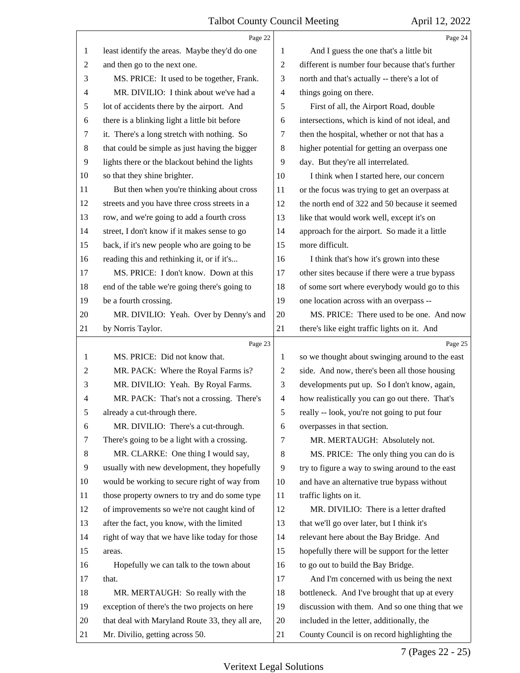|                | Page 22                                         |                | Page 24                                         |
|----------------|-------------------------------------------------|----------------|-------------------------------------------------|
| 1              | least identify the areas. Maybe they'd do one   | 1              | And I guess the one that's a little bit         |
| $\overline{2}$ | and then go to the next one.                    | $\overline{2}$ | different is number four because that's further |
| 3              | MS. PRICE: It used to be together, Frank.       | 3              | north and that's actually -- there's a lot of   |
| 4              | MR. DIVILIO: I think about we've had a          | $\overline{4}$ | things going on there.                          |
| 5              | lot of accidents there by the airport. And      | 5              | First of all, the Airport Road, double          |
| 6              | there is a blinking light a little bit before   | 6              | intersections, which is kind of not ideal, and  |
| 7              | it. There's a long stretch with nothing. So     | 7              | then the hospital, whether or not that has a    |
| 8              | that could be simple as just having the bigger  | 8              | higher potential for getting an overpass one    |
| 9              | lights there or the blackout behind the lights  | 9              | day. But they're all interrelated.              |
| 10             | so that they shine brighter.                    | 10             | I think when I started here, our concern        |
| 11             | But then when you're thinking about cross       | 11             | or the focus was trying to get an overpass at   |
| 12             | streets and you have three cross streets in a   | 12             | the north end of 322 and 50 because it seemed   |
| 13             | row, and we're going to add a fourth cross      | 13             | like that would work well, except it's on       |
| 14             | street, I don't know if it makes sense to go    | 14             | approach for the airport. So made it a little   |
| 15             | back, if it's new people who are going to be    | 15             | more difficult.                                 |
| 16             | reading this and rethinking it, or if it's      | 16             | I think that's how it's grown into these        |
| 17             | MS. PRICE: I don't know. Down at this           | 17             | other sites because if there were a true bypass |
| 18             | end of the table we're going there's going to   | 18             | of some sort where everybody would go to this   |
| 19             | be a fourth crossing.                           | 19             | one location across with an overpass --         |
| 20             | MR. DIVILIO: Yeah. Over by Denny's and          | 20             | MS. PRICE: There used to be one. And now        |
| 21             | by Norris Taylor.                               | 21             | there's like eight traffic lights on it. And    |
|                | Page 23                                         |                | Page 25                                         |
|                |                                                 |                |                                                 |
| 1              | MS. PRICE: Did not know that.                   | 1              | so we thought about swinging around to the east |
| $\overline{c}$ | MR. PACK: Where the Royal Farms is?             | $\overline{2}$ | side. And now, there's been all those housing   |
| 3              | MR. DIVILIO: Yeah. By Royal Farms.              | 3              | developments put up. So I don't know, again,    |
| 4              | MR. PACK: That's not a crossing. There's        | $\overline{4}$ | how realistically you can go out there. That's  |
| 5              | already a cut-through there.                    | 5              | really -- look, you're not going to put four    |
| 6              | MR. DIVILIO: There's a cut-through.             | 6              | overpasses in that section.                     |
| 7              | There's going to be a light with a crossing.    | 7              | MR. MERTAUGH: Absolutely not.                   |
| 8              | MR. CLARKE: One thing I would say,              | 8              | MS. PRICE: The only thing you can do is         |
| 9              | usually with new development, they hopefully    | 9              | try to figure a way to swing around to the east |
| 10             | would be working to secure right of way from    | 10             | and have an alternative true bypass without     |
| 11             | those property owners to try and do some type   | 11             | traffic lights on it.                           |
| 12             | of improvements so we're not caught kind of     | 12             | MR. DIVILIO: There is a letter drafted          |
| 13             | after the fact, you know, with the limited      | 13             | that we'll go over later, but I think it's      |
| 14             | right of way that we have like today for those  | 14             | relevant here about the Bay Bridge. And         |
| 15             | areas.                                          | 15             | hopefully there will be support for the letter  |
| 16             | Hopefully we can talk to the town about         | 16             | to go out to build the Bay Bridge.              |
| 17             | that.                                           | 17             | And I'm concerned with us being the next        |
| 18             | MR. MERTAUGH: So really with the                | 18             | bottleneck. And I've brought that up at every   |
| 19             | exception of there's the two projects on here   | 19             | discussion with them. And so one thing that we  |
| 20             | that deal with Maryland Route 33, they all are, | 20             | included in the letter, additionally, the       |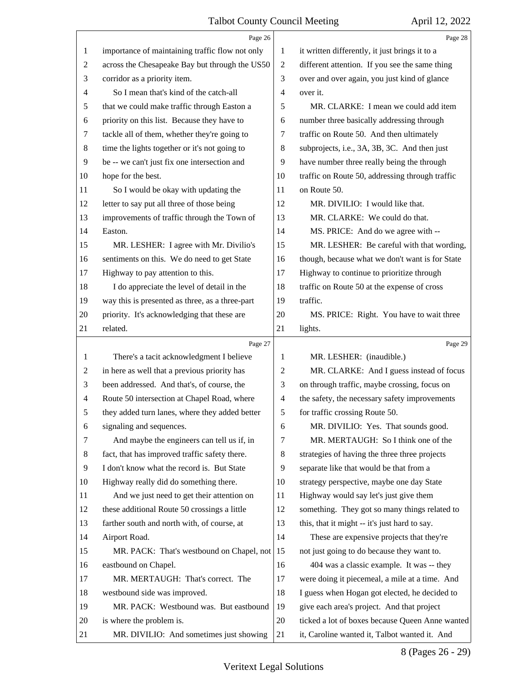|                | Page 26                                         |                | Page 28                                         |
|----------------|-------------------------------------------------|----------------|-------------------------------------------------|
| 1              | importance of maintaining traffic flow not only | 1              | it written differently, it just brings it to a  |
| 2              | across the Chesapeake Bay but through the US50  | $\overline{2}$ | different attention. If you see the same thing  |
| 3              | corridor as a priority item.                    | 3              | over and over again, you just kind of glance    |
| 4              | So I mean that's kind of the catch-all          | $\overline{4}$ | over it.                                        |
| 5              | that we could make traffic through Easton a     | 5              | MR. CLARKE: I mean we could add item            |
| 6              | priority on this list. Because they have to     | 6              | number three basically addressing through       |
| 7              | tackle all of them, whether they're going to    | 7              | traffic on Route 50. And then ultimately        |
| 8              | time the lights together or it's not going to   | 8              | subprojects, i.e., 3A, 3B, 3C. And then just    |
| 9              | be -- we can't just fix one intersection and    | 9              | have number three really being the through      |
| 10             | hope for the best.                              | 10             | traffic on Route 50, addressing through traffic |
| 11             | So I would be okay with updating the            | 11             | on Route 50.                                    |
| 12             | letter to say put all three of those being      | 12             | MR. DIVILIO: I would like that.                 |
| 13             | improvements of traffic through the Town of     | 13             | MR. CLARKE: We could do that.                   |
| 14             | Easton.                                         | 14             | MS. PRICE: And do we agree with --              |
| 15             | MR. LESHER: I agree with Mr. Divilio's          | 15             | MR. LESHER: Be careful with that wording,       |
| 16             | sentiments on this. We do need to get State     | 16             | though, because what we don't want is for State |
| 17             | Highway to pay attention to this.               | 17             | Highway to continue to prioritize through       |
| 18             | I do appreciate the level of detail in the      | 18             | traffic on Route 50 at the expense of cross     |
| 19             | way this is presented as three, as a three-part | 19             | traffic.                                        |
| 20             | priority. It's acknowledging that these are     | 20             | MS. PRICE: Right. You have to wait three        |
| 21             | related.                                        | 21             | lights.                                         |
|                |                                                 |                |                                                 |
|                | Page 27                                         |                | Page 29                                         |
| 1              | There's a tacit acknowledgment I believe        | 1              | MR. LESHER: (inaudible.)                        |
| $\overline{c}$ | in here as well that a previous priority has    | $\overline{c}$ | MR. CLARKE: And I guess instead of focus        |
| 3              | been addressed. And that's, of course, the      | 3              | on through traffic, maybe crossing, focus on    |
| 4              | Route 50 intersection at Chapel Road, where     | 4              | the safety, the necessary safety improvements   |
| 5              | they added turn lanes, where they added better  | $\mathfrak s$  | for traffic crossing Route 50.                  |
| 6              | signaling and sequences.                        | 6              | MR. DIVILIO: Yes. That sounds good.             |
| 7              | And maybe the engineers can tell us if, in      | 7              | MR. MERTAUGH: So I think one of the             |
| 8              | fact, that has improved traffic safety there.   | 8              | strategies of having the three three projects   |
| 9              | I don't know what the record is. But State      | 9              | separate like that would be that from a         |
| 10             | Highway really did do something there.          | 10             | strategy perspective, maybe one day State       |
| 11             | And we just need to get their attention on      | 11             | Highway would say let's just give them          |
| 12             | these additional Route 50 crossings a little    | 12             | something. They got so many things related to   |
| 13             | farther south and north with, of course, at     | 13             | this, that it might -- it's just hard to say.   |
| 14             | Airport Road.                                   | 14             | These are expensive projects that they're       |
| 15             | MR. PACK: That's westbound on Chapel, not       | 15             | not just going to do because they want to.      |
| 16             | eastbound on Chapel.                            | 16             | 404 was a classic example. It was -- they       |
| 17             | MR. MERTAUGH: That's correct. The               | 17             | were doing it piecemeal, a mile at a time. And  |
| 18             | westbound side was improved.                    | 18             | I guess when Hogan got elected, he decided to   |
| 19             | MR. PACK: Westbound was. But eastbound          | 19             | give each area's project. And that project      |
| 20             | is where the problem is.                        | 20             | ticked a lot of boxes because Queen Anne wanted |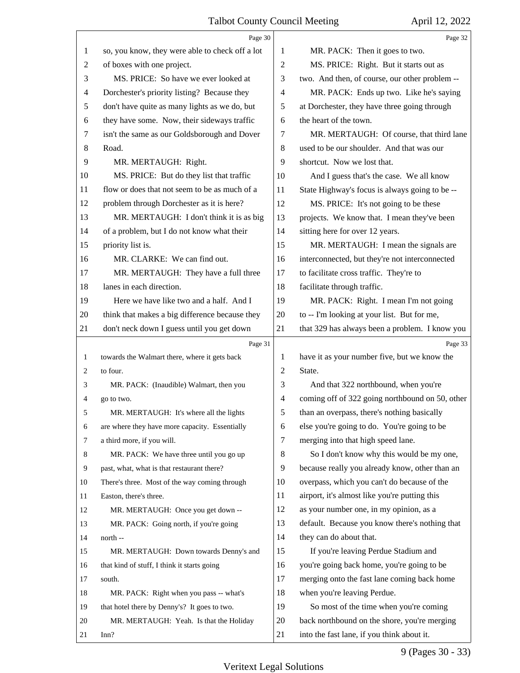|                | Page 30                                         |                | Page 32                                         |
|----------------|-------------------------------------------------|----------------|-------------------------------------------------|
| 1              | so, you know, they were able to check off a lot | 1              | MR. PACK: Then it goes to two.                  |
| $\overline{2}$ | of boxes with one project.                      | $\overline{2}$ | MS. PRICE: Right. But it starts out as          |
| 3              | MS. PRICE: So have we ever looked at            | 3              | two. And then, of course, our other problem --  |
| 4              | Dorchester's priority listing? Because they     | $\overline{4}$ | MR. PACK: Ends up two. Like he's saying         |
| 5              | don't have quite as many lights as we do, but   | 5              | at Dorchester, they have three going through    |
| 6              | they have some. Now, their sideways traffic     | 6              | the heart of the town.                          |
| 7              | isn't the same as our Goldsborough and Dover    | 7              | MR. MERTAUGH: Of course, that third lane        |
| 8              | Road.                                           | 8              | used to be our shoulder. And that was our       |
| 9              | MR. MERTAUGH: Right.                            | 9              | shortcut. Now we lost that.                     |
| 10             | MS. PRICE: But do they list that traffic        | 10             | And I guess that's the case. We all know        |
| 11             | flow or does that not seem to be as much of a   | 11             | State Highway's focus is always going to be --  |
| 12             | problem through Dorchester as it is here?       | 12             | MS. PRICE: It's not going to be these           |
| 13             | MR. MERTAUGH: I don't think it is as big        | 13             | projects. We know that. I mean they've been     |
| 14             | of a problem, but I do not know what their      | 14             | sitting here for over 12 years.                 |
| 15             | priority list is.                               | 15             | MR. MERTAUGH: I mean the signals are            |
| 16             | MR. CLARKE: We can find out.                    | 16             | interconnected, but they're not interconnected  |
| 17             | MR. MERTAUGH: They have a full three            | 17             | to facilitate cross traffic. They're to         |
| 18             | lanes in each direction.                        | 18             | facilitate through traffic.                     |
| 19             | Here we have like two and a half. And I         | 19             | MR. PACK: Right. I mean I'm not going           |
| 20             | think that makes a big difference because they  | 20             | to -- I'm looking at your list. But for me,     |
| 21             | don't neck down I guess until you get down      | 21             | that 329 has always been a problem. I know you  |
|                |                                                 |                |                                                 |
|                | Page 31                                         |                | Page 33                                         |
| 1              | towards the Walmart there, where it gets back   | 1              | have it as your number five, but we know the    |
| 2              | to four.                                        | 2              | State.                                          |
| 3              | MR. PACK: (Inaudible) Walmart, then you         | 3              | And that 322 northbound, when you're            |
| 4              | go to two.                                      | $\overline{4}$ | coming off of 322 going northbound on 50, other |
| 5              | MR. MERTAUGH: It's where all the lights         | 5              | than an overpass, there's nothing basically     |
| 6              | are where they have more capacity. Essentially  | 6              | else you're going to do. You're going to be     |
| 7              | a third more, if you will.                      | $\tau$         | merging into that high speed lane.              |
| 8              | MR. PACK: We have three until you go up         | 8              | So I don't know why this would be my one,       |
| 9              | past, what, what is that restaurant there?      | 9              | because really you already know, other than an  |
| 10             | There's three. Most of the way coming through   | 10             | overpass, which you can't do because of the     |
| 11             | Easton, there's three.                          | 11             | airport, it's almost like you're putting this   |
| 12             | MR. MERTAUGH: Once you get down --              | 12             | as your number one, in my opinion, as a         |
| 13             | MR. PACK: Going north, if you're going          | 13             | default. Because you know there's nothing that  |
| 14             | north --                                        | 14             | they can do about that.                         |
| 15             | MR. MERTAUGH: Down towards Denny's and          | 15             | If you're leaving Perdue Stadium and            |
| 16             | that kind of stuff, I think it starts going     | 16             | you're going back home, you're going to be      |
| 17             | south.                                          | 17             | merging onto the fast lane coming back home     |
| 18             | MR. PACK: Right when you pass -- what's         | 18             | when you're leaving Perdue.                     |
| 19             | that hotel there by Denny's? It goes to two.    | 19             | So most of the time when you're coming          |
| 20             | MR. MERTAUGH: Yeah. Is that the Holiday         | 20             | back northbound on the shore, you're merging    |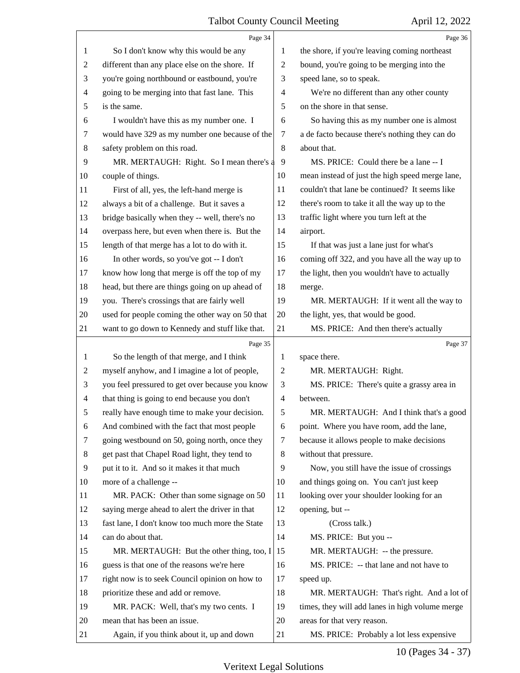|                | Page 34                                         |                | Page 36                                         |
|----------------|-------------------------------------------------|----------------|-------------------------------------------------|
| 1              | So I don't know why this would be any           | 1              | the shore, if you're leaving coming northeast   |
| 2              | different than any place else on the shore. If  | $\overline{2}$ | bound, you're going to be merging into the      |
| 3              | you're going northbound or eastbound, you're    | 3              | speed lane, so to speak.                        |
| 4              | going to be merging into that fast lane. This   | 4              | We're no different than any other county        |
| 5              | is the same.                                    | 5              | on the shore in that sense.                     |
| 6              | I wouldn't have this as my number one. I        | 6              | So having this as my number one is almost       |
| 7              | would have 329 as my number one because of the  | 7              | a de facto because there's nothing they can do  |
| 8              | safety problem on this road.                    | 8              | about that.                                     |
| 9              | MR. MERTAUGH: Right. So I mean there's a        | 9              | MS. PRICE: Could there be a lane -- I           |
| 10             | couple of things.                               | 10             | mean instead of just the high speed merge lane, |
| 11             | First of all, yes, the left-hand merge is       | 11             | couldn't that lane be continued? It seems like  |
| 12             | always a bit of a challenge. But it saves a     | 12             | there's room to take it all the way up to the   |
| 13             | bridge basically when they -- well, there's no  | 13             | traffic light where you turn left at the        |
| 14             | overpass here, but even when there is. But the  | 14             | airport.                                        |
| 15             | length of that merge has a lot to do with it.   | 15             | If that was just a lane just for what's         |
| 16             | In other words, so you've got -- I don't        | 16             | coming off 322, and you have all the way up to  |
| 17             | know how long that merge is off the top of my   | 17             | the light, then you wouldn't have to actually   |
| 18             | head, but there are things going on up ahead of | 18             | merge.                                          |
| 19             | you. There's crossings that are fairly well     | 19             | MR. MERTAUGH: If it went all the way to         |
| 20             | used for people coming the other way on 50 that | 20             | the light, yes, that would be good.             |
| 21             | want to go down to Kennedy and stuff like that. | 21             | MS. PRICE: And then there's actually            |
|                | Page 35                                         |                | Page 37                                         |
|                | So the length of that merge, and I think        | 1              | space there.                                    |
| 1              |                                                 |                |                                                 |
| 2              | myself anyhow, and I imagine a lot of people,   | $\overline{c}$ | MR. MERTAUGH: Right.                            |
| 3              | you feel pressured to get over because you know | 3              | MS. PRICE: There's quite a grassy area in       |
| $\overline{4}$ | that thing is going to end because you don't    | $\overline{4}$ | between.                                        |
| 5              | really have enough time to make your decision.  | 5              | MR. MERTAUGH: And I think that's a good         |
| 6              | And combined with the fact that most people     | 6              | point. Where you have room, add the lane,       |
| 7              | going westbound on 50, going north, once they   | 7              | because it allows people to make decisions      |
| 8              | get past that Chapel Road light, they tend to   | 8              | without that pressure.                          |
| 9              | put it to it. And so it makes it that much      | 9              | Now, you still have the issue of crossings      |
| 10             | more of a challenge --                          | 10             | and things going on. You can't just keep        |
| 11             | MR. PACK: Other than some signage on 50         | 11             | looking over your shoulder looking for an       |
| 12             | saying merge ahead to alert the driver in that  | 12             | opening, but --                                 |
| 13             | fast lane, I don't know too much more the State | 13             | (Cross talk.)                                   |
| 14             | can do about that.                              | 14             | MS. PRICE: But you --                           |
| 15             | MR. MERTAUGH: But the other thing, too, I       | 15             | MR. MERTAUGH: -- the pressure.                  |
| 16             | guess is that one of the reasons we're here     | 16             | MS. PRICE: -- that lane and not have to         |
| 17             | right now is to seek Council opinion on how to  | 17             | speed up.                                       |
| 18             | prioritize these and add or remove.             | 18             | MR. MERTAUGH: That's right. And a lot of        |
| 19             | MR. PACK: Well, that's my two cents. I          | 19             | times, they will add lanes in high volume merge |
| 20             | mean that has been an issue.                    | 20             | areas for that very reason.                     |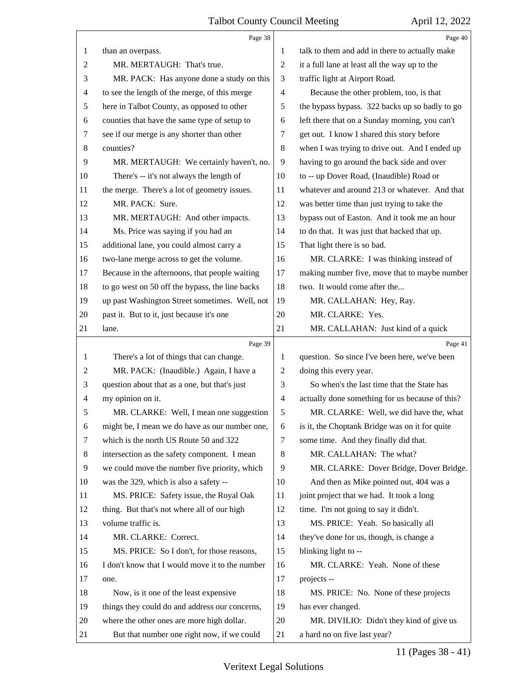|                | Page 38                                                                                      |                          | Page 40                                                          |
|----------------|----------------------------------------------------------------------------------------------|--------------------------|------------------------------------------------------------------|
| 1              | than an overpass.                                                                            | 1                        | talk to them and add in there to actually make                   |
| $\overline{2}$ | MR. MERTAUGH: That's true.                                                                   | $\overline{2}$           | it a full lane at least all the way up to the                    |
| 3              | MR. PACK: Has anyone done a study on this                                                    | 3                        | traffic light at Airport Road.                                   |
| 4              | to see the length of the merge, of this merge                                                | $\overline{\mathcal{A}}$ | Because the other problem, too, is that                          |
| 5              | here in Talbot County, as opposed to other                                                   | 5                        | the bypass bypass. 322 backs up so badly to go                   |
| 6              | counties that have the same type of setup to                                                 | 6                        | left there that on a Sunday morning, you can't                   |
| $\tau$         | see if our merge is any shorter than other                                                   | 7                        | get out. I know I shared this story before                       |
| $\,8\,$        | counties?                                                                                    | 8                        | when I was trying to drive out. And I ended up                   |
| 9              | MR. MERTAUGH: We certainly haven't, no.                                                      | 9                        | having to go around the back side and over                       |
| 10             | There's -- it's not always the length of                                                     | 10                       | to -- up Dover Road, (Inaudible) Road or                         |
| 11             | the merge. There's a lot of geometry issues.                                                 | 11                       | whatever and around 213 or whatever. And that                    |
| 12             | MR. PACK: Sure.                                                                              | 12                       | was better time than just trying to take the                     |
| 13             | MR. MERTAUGH: And other impacts.                                                             | 13                       | bypass out of Easton. And it took me an hour                     |
| 14             | Ms. Price was saying if you had an                                                           | 14                       | to do that. It was just that backed that up.                     |
| 15             | additional lane, you could almost carry a                                                    | 15                       | That light there is so bad.                                      |
| 16             | two-lane merge across to get the volume.                                                     | 16                       | MR. CLARKE: I was thinking instead of                            |
| 17             | Because in the afternoons, that people waiting                                               | 17                       | making number five, move that to maybe number                    |
| 18             | to go west on 50 off the bypass, the line backs                                              | 18                       | two. It would come after the                                     |
| 19             | up past Washington Street sometimes. Well, not                                               | 19                       | MR. CALLAHAN: Hey, Ray.                                          |
| 20             | past it. But to it, just because it's one                                                    | 20                       | MR. CLARKE: Yes.                                                 |
| 21             | lane.                                                                                        | 21                       | MR. CALLAHAN: Just kind of a quick                               |
|                | Page 39                                                                                      |                          |                                                                  |
|                |                                                                                              |                          | Page 41                                                          |
| 1              | There's a lot of things that can change.                                                     | 1                        | question. So since I've been here, we've been                    |
| 2              | MR. PACK: (Inaudible.) Again, I have a                                                       | 2                        | doing this every year.                                           |
| 3              | question about that as a one, but that's just                                                | 3                        | So when's the last time that the State has                       |
| $\overline{4}$ | my opinion on it.                                                                            | $\overline{4}$           | actually done something for us because of this?                  |
| 5              | MR. CLARKE: Well, I mean one suggestion                                                      | 5                        | MR. CLARKE: Well, we did have the, what                          |
| 6              | might be, I mean we do have as our number one,                                               | 6                        | is it, the Choptank Bridge was on it for quite                   |
| 7              | which is the north US Route 50 and 322                                                       | 7                        | some time. And they finally did that.                            |
| 8              | intersection as the safety component. I mean                                                 | 8                        | MR. CALLAHAN: The what?                                          |
| 9              | we could move the number five priority, which                                                | 9                        | MR. CLARKE: Dover Bridge, Dover Bridge.                          |
| 10             | was the 329, which is also a safety --                                                       | 10                       | And then as Mike pointed out, 404 was a                          |
| 11             | MS. PRICE: Safety issue, the Royal Oak                                                       | 11                       | joint project that we had. It took a long                        |
| 12             | thing. But that's not where all of our high                                                  | 12                       | time. I'm not going to say it didn't.                            |
| 13             | volume traffic is.                                                                           | 13                       | MS. PRICE: Yeah. So basically all                                |
| 14             | MR. CLARKE: Correct.                                                                         | 14                       |                                                                  |
| 15             | MS. PRICE: So I don't, for those reasons,                                                    | 15                       | they've done for us, though, is change a<br>blinking light to -- |
| 16             |                                                                                              | 16                       |                                                                  |
| 17             | I don't know that I would move it to the number<br>one.                                      | 17                       | MR. CLARKE: Yeah. None of these<br>projects --                   |
| 18             |                                                                                              | 18                       |                                                                  |
| 19             | Now, is it one of the least expensive                                                        | 19                       | MS. PRICE: No. None of these projects<br>has ever changed.       |
| 20             | things they could do and address our concerns,<br>where the other ones are more high dollar. | 20                       | MR. DIVILIO: Didn't they kind of give us                         |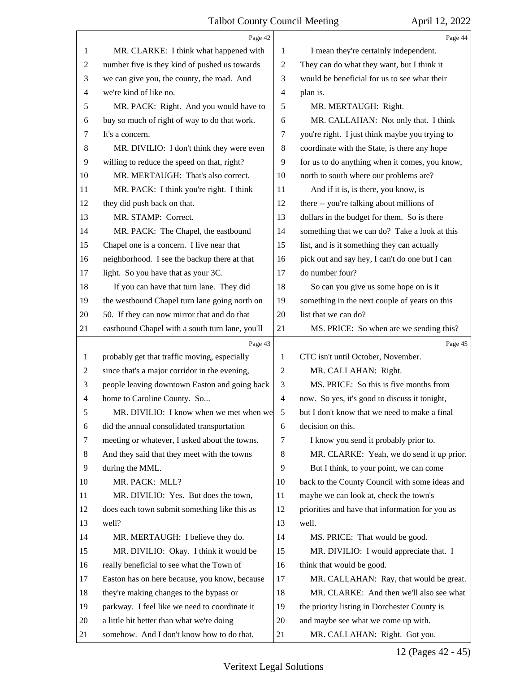|                          | Page 42                                         |                | Page 44                                         |
|--------------------------|-------------------------------------------------|----------------|-------------------------------------------------|
| 1                        | MR. CLARKE: I think what happened with          | 1              | I mean they're certainly independent.           |
| 2                        | number five is they kind of pushed us towards   | $\overline{c}$ | They can do what they want, but I think it      |
| 3                        | we can give you, the county, the road. And      | 3              | would be beneficial for us to see what their    |
| $\overline{\mathcal{A}}$ | we're kind of like no.                          | 4              | plan is.                                        |
| 5                        | MR. PACK: Right. And you would have to          | 5              | MR. MERTAUGH: Right.                            |
| 6                        | buy so much of right of way to do that work.    | 6              | MR. CALLAHAN: Not only that. I think            |
| 7                        | It's a concern.                                 | 7              | you're right. I just think maybe you trying to  |
| 8                        | MR. DIVILIO: I don't think they were even       | 8              | coordinate with the State, is there any hope    |
| 9                        | willing to reduce the speed on that, right?     | 9              | for us to do anything when it comes, you know,  |
| 10                       | MR. MERTAUGH: That's also correct.              | 10             | north to south where our problems are?          |
| 11                       | MR. PACK: I think you're right. I think         | 11             | And if it is, is there, you know, is            |
| 12                       | they did push back on that.                     | 12             | there -- you're talking about millions of       |
| 13                       | MR. STAMP: Correct.                             | 13             | dollars in the budget for them. So is there     |
| 14                       | MR. PACK: The Chapel, the eastbound             | 14             | something that we can do? Take a look at this   |
| 15                       | Chapel one is a concern. I live near that       | 15             | list, and is it something they can actually     |
| 16                       | neighborhood. I see the backup there at that    | 16             | pick out and say hey, I can't do one but I can  |
| 17                       | light. So you have that as your 3C.             | 17             | do number four?                                 |
| 18                       | If you can have that turn lane. They did        | 18             | So can you give us some hope on is it           |
| 19                       | the westbound Chapel turn lane going north on   | 19             | something in the next couple of years on this   |
| 20                       | 50. If they can now mirror that and do that     | 20             | list that we can do?                            |
| 21                       | eastbound Chapel with a south turn lane, you'll | 21             | MS. PRICE: So when are we sending this?         |
|                          |                                                 |                |                                                 |
|                          | Page 43                                         |                | Page 45                                         |
| 1                        | probably get that traffic moving, especially    | 1              | CTC isn't until October, November.              |
| $\overline{c}$           | since that's a major corridor in the evening,   | $\overline{2}$ | MR. CALLAHAN: Right.                            |
| 3                        | people leaving downtown Easton and going back   | 3              | MS. PRICE: So this is five months from          |
| 4                        | home to Caroline County. So                     | $\overline{4}$ | now. So yes, it's good to discuss it tonight,   |
| 5                        | MR. DIVILIO: I know when we met when wel        | 5              | but I don't know that we need to make a final   |
| 6                        | did the annual consolidated transportation      | 6              | decision on this.                               |
| 7                        | meeting or whatever, I asked about the towns.   | 7              | I know you send it probably prior to.           |
| 8                        | And they said that they meet with the towns     | 8              | MR. CLARKE: Yeah, we do send it up prior.       |
| 9                        | during the MML.                                 | 9              | But I think, to your point, we can come         |
| 10                       | MR. PACK: MLL?                                  | 10             | back to the County Council with some ideas and  |
| 11                       | MR. DIVILIO: Yes. But does the town,            | 11             | maybe we can look at, check the town's          |
| 12                       | does each town submit something like this as    | 12             | priorities and have that information for you as |
| 13                       | well?                                           | 13             | well.                                           |
| 14                       | MR. MERTAUGH: I believe they do.                | 14             | MS. PRICE: That would be good.                  |
| 15                       | MR. DIVILIO: Okay. I think it would be          | 15             | MR. DIVILIO: I would appreciate that. I         |
| 16                       | really beneficial to see what the Town of       | 16             | think that would be good.                       |
| 17                       | Easton has on here because, you know, because   | 17             | MR. CALLAHAN: Ray, that would be great.         |
| 18                       | they're making changes to the bypass or         | 18             | MR. CLARKE: And then we'll also see what        |
| 19                       | parkway. I feel like we need to coordinate it   | 19             | the priority listing in Dorchester County is    |
| 20                       | a little bit better than what we're doing       | 20             | and maybe see what we come up with.             |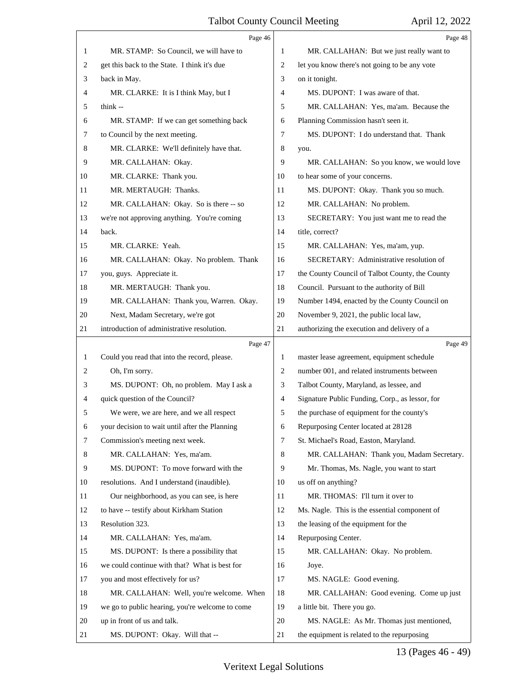|    | Page 46                                         |                | Page 48                                         |
|----|-------------------------------------------------|----------------|-------------------------------------------------|
| 1  | MR. STAMP: So Council, we will have to          | 1              | MR. CALLAHAN: But we just really want to        |
| 2  | get this back to the State. I think it's due    | 2              | let you know there's not going to be any vote   |
| 3  | back in May.                                    | 3              | on it tonight.                                  |
| 4  | MR. CLARKE: It is I think May, but I            | 4              | MS. DUPONT: I was aware of that.                |
| 5  | think $-$                                       | 5              | MR. CALLAHAN: Yes, ma'am. Because the           |
| 6  | MR. STAMP: If we can get something back         | 6              | Planning Commission hasn't seen it.             |
| 7  | to Council by the next meeting.                 | 7              | MS. DUPONT: I do understand that. Thank         |
| 8  | MR. CLARKE: We'll definitely have that.         | 8              | you.                                            |
| 9  | MR. CALLAHAN: Okay.                             | 9              | MR. CALLAHAN: So you know, we would love        |
| 10 | MR. CLARKE: Thank you.                          | 10             | to hear some of your concerns.                  |
| 11 | MR. MERTAUGH: Thanks.                           | 11             | MS. DUPONT: Okay. Thank you so much.            |
| 12 | MR. CALLAHAN: Okay. So is there -- so           | 12             | MR. CALLAHAN: No problem.                       |
| 13 | we're not approving anything. You're coming     | 13             | SECRETARY: You just want me to read the         |
| 14 | back.                                           | 14             | title, correct?                                 |
| 15 | MR. CLARKE: Yeah.                               | 15             | MR. CALLAHAN: Yes, ma'am, yup.                  |
| 16 | MR. CALLAHAN: Okay. No problem. Thank           | 16             | SECRETARY: Administrative resolution of         |
| 17 | you, guys. Appreciate it.                       | 17             | the County Council of Talbot County, the County |
| 18 | MR. MERTAUGH: Thank you.                        | 18             | Council. Pursuant to the authority of Bill      |
| 19 | MR. CALLAHAN: Thank you, Warren. Okay.          | 19             | Number 1494, enacted by the County Council on   |
| 20 | Next, Madam Secretary, we're got                | 20             | November 9, 2021, the public local law,         |
| 21 | introduction of administrative resolution.      | 21             | authorizing the execution and delivery of a     |
|    |                                                 |                |                                                 |
|    | Page 47                                         |                | Page 49                                         |
| 1  | Could you read that into the record, please.    | 1              | master lease agreement, equipment schedule      |
| 2  | Oh, I'm sorry.                                  | $\overline{c}$ | number 001, and related instruments between     |
| 3  | MS. DUPONT: Oh, no problem. May I ask a         | 3              | Talbot County, Maryland, as lessee, and         |
| 4  | quick question of the Council?                  | 4              | Signature Public Funding, Corp., as lessor, for |
| 5  | We were, we are here, and we all respect        | 5              | the purchase of equipment for the county's      |
| 6  | your decision to wait until after the Planning  | 6              | Repurposing Center located at 28128             |
| 7  | Commission's meeting next week.                 | 7              | St. Michael's Road, Easton, Maryland.           |
| 8  | MR. CALLAHAN: Yes, ma'am.                       | 8              | MR. CALLAHAN: Thank you, Madam Secretary.       |
| 9  | MS. DUPONT: To move forward with the            | 9              | Mr. Thomas, Ms. Nagle, you want to start        |
| 10 | resolutions. And I understand (inaudible).      | 10             | us off on anything?                             |
| 11 | Our neighborhood, as you can see, is here       | 11             | MR. THOMAS: I'll turn it over to                |
| 12 | to have -- testify about Kirkham Station        | 12             | Ms. Nagle. This is the essential component of   |
| 13 | Resolution 323.                                 | 13             | the leasing of the equipment for the            |
| 14 | MR. CALLAHAN: Yes, ma'am.                       | 14             | Repurposing Center.                             |
| 15 | MS. DUPONT: Is there a possibility that         | 15             | MR. CALLAHAN: Okay. No problem.                 |
| 16 | we could continue with that? What is best for   | 16             | Joye.                                           |
| 17 | you and most effectively for us?                | 17             | MS. NAGLE: Good evening.                        |
| 18 | MR. CALLAHAN: Well, you're welcome. When        | 18             | MR. CALLAHAN: Good evening. Come up just        |
| 19 | we go to public hearing, you're welcome to come | 19             | a little bit. There you go.                     |
| 20 | up in front of us and talk.                     | 20             | MS. NAGLE: As Mr. Thomas just mentioned,        |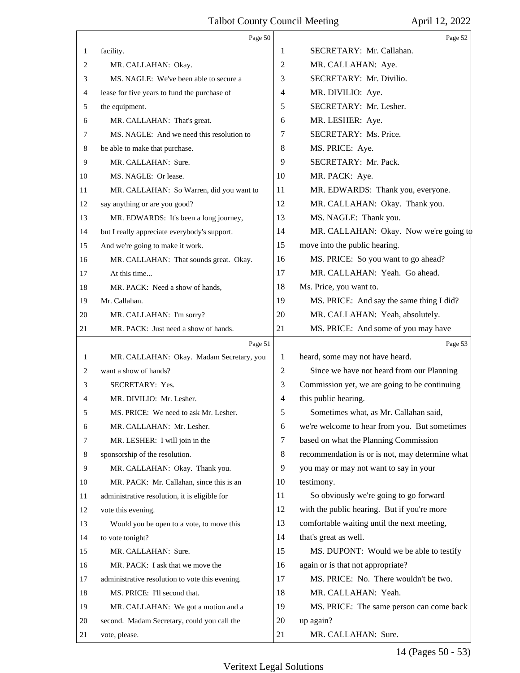|              | Page 50                                         |         | Page 52                                         |
|--------------|-------------------------------------------------|---------|-------------------------------------------------|
| $\mathbf{1}$ | facility.                                       | 1       | SECRETARY: Mr. Callahan.                        |
| $\mathbf{2}$ | MR. CALLAHAN: Okay.                             | 2       | MR. CALLAHAN: Aye.                              |
| 3            | MS. NAGLE: We've been able to secure a          | 3       | SECRETARY: Mr. Divilio.                         |
| 4            | lease for five years to fund the purchase of    | 4       | MR. DIVILIO: Aye.                               |
| 5            | the equipment.                                  | 5       | SECRETARY: Mr. Lesher.                          |
| 6            | MR. CALLAHAN: That's great.                     | 6       | MR. LESHER: Aye.                                |
| 7            | MS. NAGLE: And we need this resolution to       | 7       | SECRETARY: Ms. Price.                           |
| 8            | be able to make that purchase.                  | 8       | MS. PRICE: Aye.                                 |
| 9            | MR. CALLAHAN: Sure.                             | 9       | SECRETARY: Mr. Pack.                            |
| 10           | MS. NAGLE: Or lease.                            | 10      | MR. PACK: Aye.                                  |
| 11           | MR. CALLAHAN: So Warren, did you want to        | 11      | MR. EDWARDS: Thank you, everyone.               |
| 12           | say anything or are you good?                   | 12      | MR. CALLAHAN: Okay. Thank you.                  |
| 13           | MR. EDWARDS: It's been a long journey,          | 13      | MS. NAGLE: Thank you.                           |
| 14           | but I really appreciate everybody's support.    | 14      | MR. CALLAHAN: Okay. Now we're going to          |
| 15           | And we're going to make it work.                | 15      | move into the public hearing.                   |
| 16           | MR. CALLAHAN: That sounds great. Okay.          | 16      | MS. PRICE: So you want to go ahead?             |
| 17           | At this time                                    | 17      | MR. CALLAHAN: Yeah. Go ahead.                   |
| 18           | MR. PACK: Need a show of hands,                 | 18      | Ms. Price, you want to.                         |
| 19           | Mr. Callahan.                                   | 19      | MS. PRICE: And say the same thing I did?        |
| 20           | MR. CALLAHAN: I'm sorry?                        | 20      | MR. CALLAHAN: Yeah, absolutely.                 |
| 21           | MR. PACK: Just need a show of hands.            | 21      | MS. PRICE: And some of you may have             |
|              | Page 51                                         |         | Page 53                                         |
| 1            | MR. CALLAHAN: Okay. Madam Secretary, you        | 1       | heard, some may not have heard.                 |
|              |                                                 |         |                                                 |
| 2            | want a show of hands?                           | 2       | Since we have not heard from our Planning       |
| 3            | SECRETARY: Yes.                                 | 3       | Commission yet, we are going to be continuing   |
| 4            | MR. DIVILIO: Mr. Lesher.                        | 4       | this public hearing.                            |
| 5            | MS. PRICE: We need to ask Mr. Lesher.           | 5       | Sometimes what, as Mr. Callahan said,           |
| 6            | MR. CALLAHAN: Mr. Lesher.                       | 6       | we're welcome to hear from you. But sometimes   |
| 7            | MR. LESHER: I will join in the                  | 7       | based on what the Planning Commission           |
| 8            | sponsorship of the resolution.                  | $\,8\,$ | recommendation is or is not, may determine what |
| 9            | MR. CALLAHAN: Okay. Thank you.                  | 9       | you may or may not want to say in your          |
| 10           | MR. PACK: Mr. Callahan, since this is an        | 10      | testimony.                                      |
| 11           | administrative resolution, it is eligible for   | 11      | So obviously we're going to go forward          |
| 12           | vote this evening.                              | 12      | with the public hearing. But if you're more     |
| 13           | Would you be open to a vote, to move this       | 13      | comfortable waiting until the next meeting,     |
| 14           | to vote tonight?                                | 14      | that's great as well.                           |
| 15           | MR. CALLAHAN: Sure.                             | 15      | MS. DUPONT: Would we be able to testify         |
| 16           | MR. PACK: I ask that we move the                | 16      | again or is that not appropriate?               |
| 17           | administrative resolution to vote this evening. | 17      | MS. PRICE: No. There wouldn't be two.           |
| 18           | MS. PRICE: I'll second that.                    | 18      | MR. CALLAHAN: Yeah.                             |
| 19           | MR. CALLAHAN: We got a motion and a             | 19      | MS. PRICE: The same person can come back        |
| 20           | second. Madam Secretary, could you call the     | 20      | up again?                                       |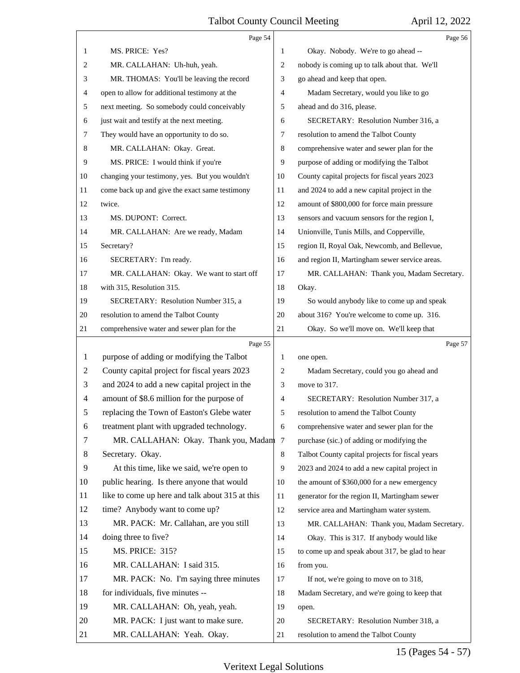|    | Page 54                                         |              | Page 56                                         |  |
|----|-------------------------------------------------|--------------|-------------------------------------------------|--|
| 1  | MS. PRICE: Yes?                                 | 1            | Okay. Nobody. We're to go ahead --              |  |
| 2  | MR. CALLAHAN: Uh-huh, yeah.                     | 2            | nobody is coming up to talk about that. We'll   |  |
| 3  | MR. THOMAS: You'll be leaving the record        | 3            | go ahead and keep that open.                    |  |
| 4  | open to allow for additional testimony at the   | 4            | Madam Secretary, would you like to go           |  |
| 5  | next meeting. So somebody could conceivably     | 5            | ahead and do 316, please.                       |  |
| 6  | just wait and testify at the next meeting.      | 6            | SECRETARY: Resolution Number 316, a             |  |
| 7  | They would have an opportunity to do so.        | 7            | resolution to amend the Talbot County           |  |
| 8  | MR. CALLAHAN: Okay. Great.                      | 8            | comprehensive water and sewer plan for the      |  |
| 9  | MS. PRICE: I would think if you're              | 9            | purpose of adding or modifying the Talbot       |  |
| 10 | changing your testimony, yes. But you wouldn't  | 10           | County capital projects for fiscal years 2023   |  |
| 11 | come back up and give the exact same testimony  | 11           | and 2024 to add a new capital project in the    |  |
| 12 | twice.                                          | 12           | amount of \$800,000 for force main pressure     |  |
| 13 | MS. DUPONT: Correct.                            | 13           | sensors and vacuum sensors for the region I,    |  |
| 14 | MR. CALLAHAN: Are we ready, Madam               | 14           | Unionville, Tunis Mills, and Copperville,       |  |
| 15 | Secretary?                                      | 15           | region II, Royal Oak, Newcomb, and Bellevue,    |  |
| 16 | SECRETARY: I'm ready.                           | 16           | and region II, Martingham sewer service areas.  |  |
| 17 | MR. CALLAHAN: Okay. We want to start off        | 17           | MR. CALLAHAN: Thank you, Madam Secretary.       |  |
| 18 | with 315, Resolution 315.                       | 18           | Okay.                                           |  |
| 19 | SECRETARY: Resolution Number 315, a             | 19           | So would anybody like to come up and speak      |  |
| 20 | resolution to amend the Talbot County           | 20           | about 316? You're welcome to come up. 316.      |  |
| 21 | comprehensive water and sewer plan for the      | 21           | Okay. So we'll move on. We'll keep that         |  |
|    |                                                 |              |                                                 |  |
|    | Page 55                                         |              | Page 57                                         |  |
| 1  | purpose of adding or modifying the Talbot       | $\mathbf{1}$ | one open.                                       |  |
| 2  | County capital project for fiscal years 2023    | 2            | Madam Secretary, could you go ahead and         |  |
| 3  | and 2024 to add a new capital project in the    | 3            | move to 317.                                    |  |
| 4  | amount of \$8.6 million for the purpose of      | 4            | SECRETARY: Resolution Number 317, a             |  |
| 5  | replacing the Town of Easton's Glebe water      | 5            | resolution to amend the Talbot County           |  |
| 6  | treatment plant with upgraded technology.       | 6            | comprehensive water and sewer plan for the      |  |
| 7  | MR. CALLAHAN: Okay. Thank you, Madam 7          |              | purchase (sic.) of adding or modifying the      |  |
| 8  | Secretary. Okay.                                | 8            | Talbot County capital projects for fiscal years |  |
| 9  | At this time, like we said, we're open to       | 9            | 2023 and 2024 to add a new capital project in   |  |
| 10 | public hearing. Is there anyone that would      | 10           | the amount of \$360,000 for a new emergency     |  |
| 11 | like to come up here and talk about 315 at this | 11           | generator for the region II, Martingham sewer   |  |
| 12 | time? Anybody want to come up?                  | 12           | service area and Martingham water system.       |  |
| 13 | MR. PACK: Mr. Callahan, are you still           | 13           | MR. CALLAHAN: Thank you, Madam Secretary.       |  |
| 14 | doing three to five?                            | 14           | Okay. This is 317. If anybody would like        |  |
| 15 | <b>MS. PRICE: 315?</b>                          | 15           | to come up and speak about 317, be glad to hear |  |
| 16 | MR. CALLAHAN: I said 315.                       | 16           | from you.                                       |  |
| 17 | MR. PACK: No. I'm saying three minutes          | 17           | If not, we're going to move on to 318,          |  |
| 18 | for individuals, five minutes --                | 18           | Madam Secretary, and we're going to keep that   |  |
| 19 | MR. CALLAHAN: Oh, yeah, yeah.                   | 19           | open.                                           |  |
| 20 | MR. PACK: I just want to make sure.             | 20           | SECRETARY: Resolution Number 318, a             |  |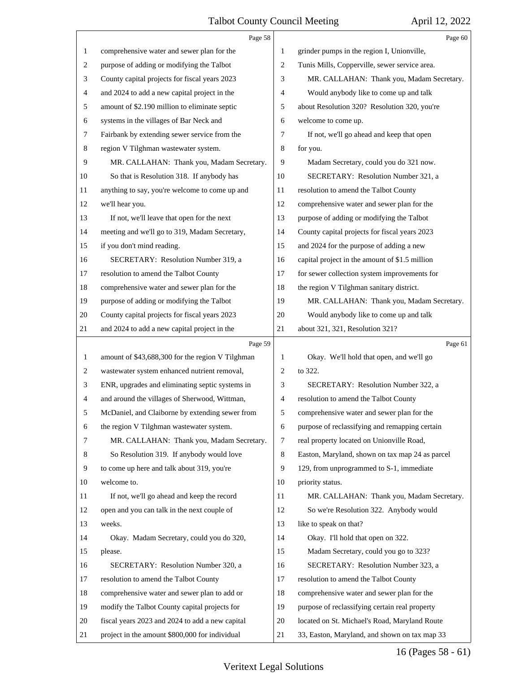|                | Page 58                                          |                | Page 60                                         |
|----------------|--------------------------------------------------|----------------|-------------------------------------------------|
| 1              | comprehensive water and sewer plan for the       | 1              | grinder pumps in the region I, Unionville,      |
| 2              | purpose of adding or modifying the Talbot        | 2              | Tunis Mills, Copperville, sewer service area.   |
| 3              | County capital projects for fiscal years 2023    | 3              | MR. CALLAHAN: Thank you, Madam Secretary.       |
| 4              | and 2024 to add a new capital project in the     | 4              | Would anybody like to come up and talk          |
| 5              | amount of \$2.190 million to eliminate septic    | 5              | about Resolution 320? Resolution 320, you're    |
| 6              | systems in the villages of Bar Neck and          | 6              | welcome to come up.                             |
| 7              | Fairbank by extending sewer service from the     | 7              | If not, we'll go ahead and keep that open       |
| 8              | region V Tilghman wastewater system.             | 8              | for you.                                        |
| 9              | MR. CALLAHAN: Thank you, Madam Secretary.        | 9              | Madam Secretary, could you do 321 now.          |
| 10             | So that is Resolution 318. If anybody has        | 10             | SECRETARY: Resolution Number 321, a             |
| 11             | anything to say, you're welcome to come up and   | 11             | resolution to amend the Talbot County           |
| 12             | we'll hear you.                                  | 12             | comprehensive water and sewer plan for the      |
| 13             | If not, we'll leave that open for the next       | 13             | purpose of adding or modifying the Talbot       |
| 14             | meeting and we'll go to 319, Madam Secretary,    | 14             | County capital projects for fiscal years 2023   |
| 15             | if you don't mind reading.                       | 15             | and 2024 for the purpose of adding a new        |
| 16             | SECRETARY: Resolution Number 319, a              | 16             | capital project in the amount of \$1.5 million  |
| 17             | resolution to amend the Talbot County            | 17             | for sewer collection system improvements for    |
| 18             | comprehensive water and sewer plan for the       | 18             | the region V Tilghman sanitary district.        |
| 19             | purpose of adding or modifying the Talbot        | 19             | MR. CALLAHAN: Thank you, Madam Secretary.       |
| 20             | County capital projects for fiscal years 2023    | 20             | Would anybody like to come up and talk          |
| 21             | and 2024 to add a new capital project in the     | 21             | about 321, 321, Resolution 321?                 |
|                |                                                  |                |                                                 |
|                | Page 59                                          |                | Page 61                                         |
| 1              | amount of \$43,688,300 for the region V Tilghman | 1              | Okay. We'll hold that open, and we'll go        |
| $\overline{c}$ | wastewater system enhanced nutrient removal,     | $\overline{2}$ | to 322.                                         |
| 3              | ENR, upgrades and eliminating septic systems in  | 3              | SECRETARY: Resolution Number 322, a             |
| 4              | and around the villages of Sherwood, Wittman,    | 4              | resolution to amend the Talbot County           |
| 5              | McDaniel, and Claiborne by extending sewer from  | 5              | comprehensive water and sewer plan for the      |
| 6              | the region V Tilghman wastewater system.         | 6              | purpose of reclassifying and remapping certain  |
| 7              | MR. CALLAHAN: Thank you, Madam Secretary.        | $\tau$         | real property located on Unionville Road,       |
| 8              | So Resolution 319. If anybody would love         | $\,8\,$        | Easton, Maryland, shown on tax map 24 as parcel |
| 9              | to come up here and talk about 319, you're       | 9              | 129, from unprogrammed to S-1, immediate        |
| 10             | welcome to.                                      | 10             | priority status.                                |
| 11             | If not, we'll go ahead and keep the record       | 11             | MR. CALLAHAN: Thank you, Madam Secretary.       |
| 12             | open and you can talk in the next couple of      | 12             | So we're Resolution 322. Anybody would          |
| 13             | weeks.                                           | 13             | like to speak on that?                          |
| 14             | Okay. Madam Secretary, could you do 320,         | 14             | Okay. I'll hold that open on 322.               |
| 15             | please.                                          | 15             | Madam Secretary, could you go to 323?           |
| 16             | SECRETARY: Resolution Number 320, a              | 16             | SECRETARY: Resolution Number 323, a             |
| 17             | resolution to amend the Talbot County            | 17             | resolution to amend the Talbot County           |
| 18             | comprehensive water and sewer plan to add or     | 18             | comprehensive water and sewer plan for the      |
| 19             | modify the Talbot County capital projects for    | 19             | purpose of reclassifying certain real property  |
| 20             | fiscal years 2023 and 2024 to add a new capital  | 20             | located on St. Michael's Road, Maryland Route   |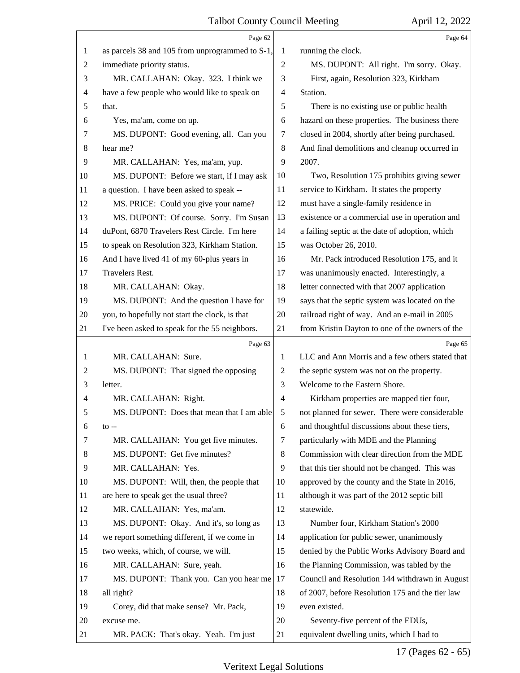|    | Page 62                                         |                | Page 64                                         |
|----|-------------------------------------------------|----------------|-------------------------------------------------|
| 1  | as parcels 38 and 105 from unprogrammed to S-1, | 1              | running the clock.                              |
| 2  | immediate priority status.                      | $\overline{2}$ | MS. DUPONT: All right. I'm sorry. Okay.         |
| 3  | MR. CALLAHAN: Okay. 323. I think we             | 3              | First, again, Resolution 323, Kirkham           |
| 4  | have a few people who would like to speak on    | $\overline{4}$ | Station.                                        |
| 5  | that.                                           | 5              | There is no existing use or public health       |
| 6  | Yes, ma'am, come on up.                         | 6              | hazard on these properties. The business there  |
| 7  | MS. DUPONT: Good evening, all. Can you          | 7              | closed in 2004, shortly after being purchased.  |
| 8  | hear me?                                        | $\,8\,$        | And final demolitions and cleanup occurred in   |
| 9  | MR. CALLAHAN: Yes, ma'am, yup.                  | 9              | 2007.                                           |
| 10 | MS. DUPONT: Before we start, if I may ask       | 10             | Two, Resolution 175 prohibits giving sewer      |
| 11 | a question. I have been asked to speak --       | 11             | service to Kirkham. It states the property      |
| 12 | MS. PRICE: Could you give your name?            | 12             | must have a single-family residence in          |
| 13 | MS. DUPONT: Of course. Sorry. I'm Susan         | 13             | existence or a commercial use in operation and  |
| 14 | duPont, 6870 Travelers Rest Circle. I'm here    | 14             | a failing septic at the date of adoption, which |
| 15 | to speak on Resolution 323, Kirkham Station.    | 15             | was October 26, 2010.                           |
| 16 | And I have lived 41 of my 60-plus years in      | 16             | Mr. Pack introduced Resolution 175, and it      |
| 17 | <b>Travelers Rest.</b>                          | 17             | was unanimously enacted. Interestingly, a       |
| 18 | MR. CALLAHAN: Okay.                             | 18             | letter connected with that 2007 application     |
| 19 | MS. DUPONT: And the question I have for         | 19             | says that the septic system was located on the  |
| 20 | you, to hopefully not start the clock, is that  | 20             | railroad right of way. And an e-mail in 2005    |
| 21 | I've been asked to speak for the 55 neighbors.  | 21             | from Kristin Dayton to one of the owners of the |
|    |                                                 |                |                                                 |
|    | Page 63                                         |                | Page 65                                         |
| 1  | MR. CALLAHAN: Sure.                             | 1              | LLC and Ann Morris and a few others stated that |
| 2  | MS. DUPONT: That signed the opposing            | $\overline{c}$ | the septic system was not on the property.      |
| 3  | letter.                                         | 3              | Welcome to the Eastern Shore.                   |
| 4  | MR. CALLAHAN: Right.                            | 4              | Kirkham properties are mapped tier four,        |
| 5  | MS. DUPONT: Does that mean that I am able       | 5              | not planned for sewer. There were considerable  |
| 6  | $\mathfrak{g}$ --                               | 6              | and thoughtful discussions about these tiers,   |
| 7  | MR. CALLAHAN: You get five minutes.             | 7              | particularly with MDE and the Planning          |
| 8  | MS. DUPONT: Get five minutes?                   | 8              | Commission with clear direction from the MDE    |
| 9  | MR. CALLAHAN: Yes.                              | 9              | that this tier should not be changed. This was  |
| 10 | MS. DUPONT: Will, then, the people that         | 10             | approved by the county and the State in 2016,   |
| 11 | are here to speak get the usual three?          | 11             | although it was part of the 2012 septic bill    |
| 12 | MR. CALLAHAN: Yes, ma'am.                       | 12             | statewide.                                      |
| 13 | MS. DUPONT: Okay. And it's, so long as          | 13             | Number four, Kirkham Station's 2000             |
| 14 | we report something different, if we come in    | 14             | application for public sewer, unanimously       |
| 15 | two weeks, which, of course, we will.           | 15             | denied by the Public Works Advisory Board and   |
| 16 | MR. CALLAHAN: Sure, yeah.                       | 16             | the Planning Commission, was tabled by the      |
| 17 | MS. DUPONT: Thank you. Can you hear me          | 17             | Council and Resolution 144 withdrawn in August  |
| 18 | all right?                                      | 18             | of 2007, before Resolution 175 and the tier law |
| 19 | Corey, did that make sense? Mr. Pack,           | 19             | even existed.                                   |
| 20 | excuse me.                                      | 20             | Seventy-five percent of the EDUs,               |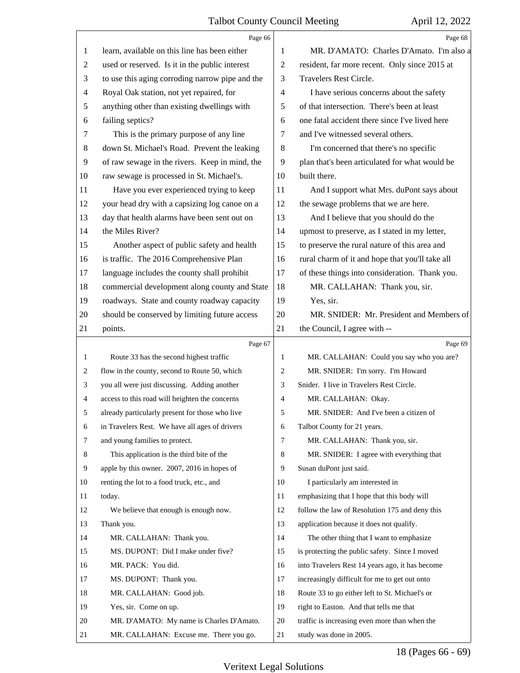|              | Page 66                                         |    | Page 68                                         |
|--------------|-------------------------------------------------|----|-------------------------------------------------|
| 1            | learn, available on this line has been either   | 1  | MR. D'AMATO: Charles D'Amato. I'm also a        |
| 2            | used or reserved. Is it in the public interest  | 2  | resident, far more recent. Only since 2015 at   |
| 3            | to use this aging corroding narrow pipe and the | 3  | Travelers Rest Circle.                          |
| 4            | Royal Oak station, not yet repaired, for        | 4  | I have serious concerns about the safety        |
| 5            | anything other than existing dwellings with     | 5  | of that intersection. There's been at least     |
| 6            | failing septics?                                | 6  | one fatal accident there since I've lived here  |
| 7            | This is the primary purpose of any line         | 7  | and I've witnessed several others.              |
| 8            | down St. Michael's Road. Prevent the leaking    | 8  | I'm concerned that there's no specific          |
| 9            | of raw sewage in the rivers. Keep in mind, the  | 9  | plan that's been articulated for what would be  |
| 10           | raw sewage is processed in St. Michael's.       | 10 | built there.                                    |
| 11           | Have you ever experienced trying to keep        | 11 | And I support what Mrs. duPont says about       |
| 12           | your head dry with a capsizing log canoe on a   | 12 | the sewage problems that we are here.           |
| 13           | day that health alarms have been sent out on    | 13 | And I believe that you should do the            |
| 14           | the Miles River?                                | 14 | upmost to preserve, as I stated in my letter,   |
| 15           | Another aspect of public safety and health      | 15 | to preserve the rural nature of this area and   |
| 16           | is traffic. The 2016 Comprehensive Plan         | 16 | rural charm of it and hope that you'll take all |
| 17           | language includes the county shall prohibit     | 17 | of these things into consideration. Thank you.  |
| 18           | commercial development along county and State   | 18 | MR. CALLAHAN: Thank you, sir.                   |
| 19           | roadways. State and county roadway capacity     | 19 | Yes, sir.                                       |
| 20           | should be conserved by limiting future access   | 20 | MR. SNIDER: Mr. President and Members of        |
| 21           | points.                                         | 21 | the Council, I agree with --                    |
|              | Page 67                                         |    | Page 69                                         |
| $\mathbf{1}$ | Route 33 has the second highest traffic         | 1  | MR. CALLAHAN: Could you say who you are?        |
| 2            | flow in the county, second to Route 50, which   | 2  | MR. SNIDER: I'm sorry. I'm Howard               |
| 3            | you all were just discussing. Adding another    |    |                                                 |
|              |                                                 | 3  | Snider. I live in Travelers Rest Circle.        |
| 4            | access to this road will heighten the concerns  | 4  | MR. CALLAHAN: Okay.                             |
| 5            | already particularly present for those who live | 5  | MR. SNIDER: And I've been a citizen of          |
| 6            | in Travelers Rest. We have all ages of drivers  | 6  | Talbot County for 21 years.                     |
| 7            | and young families to protect.                  | 7  | MR. CALLAHAN: Thank you, sir.                   |
| 8            | This application is the third bite of the       | 8  | MR. SNIDER: I agree with everything that        |
| 9            | apple by this owner. 2007, 2016 in hopes of     | 9  | Susan duPont just said.                         |
| 10           | renting the lot to a food truck, etc., and      | 10 | I particularly am interested in                 |
| 11           | today.                                          | 11 | emphasizing that I hope that this body will     |
| 12           | We believe that enough is enough now.           | 12 | follow the law of Resolution 175 and deny this  |
| 13           | Thank you.                                      | 13 | application because it does not qualify.        |
| 14           | MR. CALLAHAN: Thank you.                        | 14 | The other thing that I want to emphasize        |
| 15           | MS. DUPONT: Did I make under five?              | 15 | is protecting the public safety. Since I moved  |
| 16           | MR. PACK: You did.                              | 16 | into Travelers Rest 14 years ago, it has become |
| 17           | MS. DUPONT: Thank you.                          | 17 | increasingly difficult for me to get out onto   |
| 18           | MR. CALLAHAN: Good job.                         | 18 | Route 33 to go either left to St. Michael's or  |
| 19           | Yes, sir. Come on up.                           | 19 | right to Easton. And that tells me that         |
| 20           | MR. D'AMATO: My name is Charles D'Amato.        | 20 | traffic is increasing even more than when the   |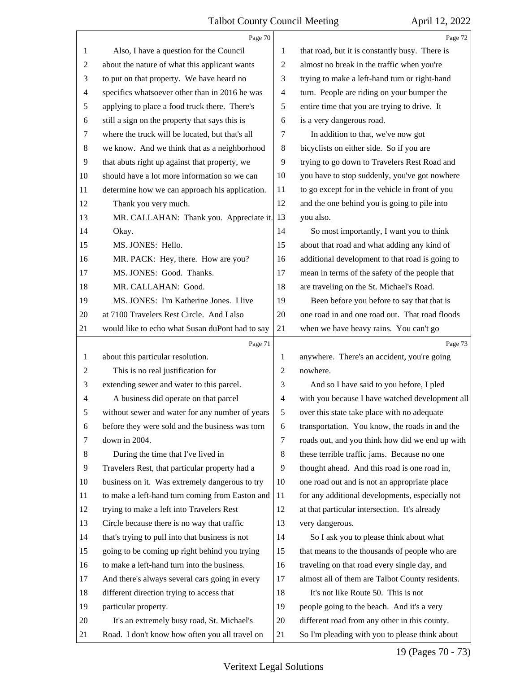|                          | Page 70                                         |                          | Page 72                                         |
|--------------------------|-------------------------------------------------|--------------------------|-------------------------------------------------|
| 1                        | Also, I have a question for the Council         | 1                        | that road, but it is constantly busy. There is  |
| $\overline{c}$           | about the nature of what this applicant wants   | $\overline{c}$           | almost no break in the traffic when you're      |
| 3                        | to put on that property. We have heard no       | 3                        | trying to make a left-hand turn or right-hand   |
| $\overline{\mathcal{A}}$ | specifics whatsoever other than in 2016 he was  | $\overline{\mathcal{A}}$ | turn. People are riding on your bumper the      |
| 5                        | applying to place a food truck there. There's   | 5                        | entire time that you are trying to drive. It    |
| 6                        | still a sign on the property that says this is  | 6                        | is a very dangerous road.                       |
| 7                        | where the truck will be located, but that's all | 7                        | In addition to that, we've now got              |
| 8                        | we know. And we think that as a neighborhood    | $\,8\,$                  | bicyclists on either side. So if you are        |
| 9                        | that abuts right up against that property, we   | 9                        | trying to go down to Travelers Rest Road and    |
| 10                       | should have a lot more information so we can    | 10                       | you have to stop suddenly, you've got nowhere   |
| 11                       | determine how we can approach his application.  | 11                       | to go except for in the vehicle in front of you |
| 12                       | Thank you very much.                            | 12                       | and the one behind you is going to pile into    |
| 13                       | MR. CALLAHAN: Thank you. Appreciate it.         | 13                       | you also.                                       |
| 14                       | Okay.                                           | 14                       | So most importantly, I want you to think        |
| 15                       | MS. JONES: Hello.                               | 15                       | about that road and what adding any kind of     |
| 16                       | MR. PACK: Hey, there. How are you?              | 16                       | additional development to that road is going to |
| 17                       | MS. JONES: Good. Thanks.                        | 17                       | mean in terms of the safety of the people that  |
| 18                       | MR. CALLAHAN: Good.                             | 18                       | are traveling on the St. Michael's Road.        |
| 19                       | MS. JONES: I'm Katherine Jones. I live          | 19                       | Been before you before to say that that is      |
| 20                       | at 7100 Travelers Rest Circle. And I also       | 20                       | one road in and one road out. That road floods  |
| 21                       | would like to echo what Susan duPont had to say | 21                       | when we have heavy rains. You can't go          |
|                          |                                                 |                          |                                                 |
|                          | Page 71                                         |                          | Page 73                                         |
| $\mathbf{1}$             | about this particular resolution.               | 1                        | anywhere. There's an accident, you're going     |
| 2                        | This is no real justification for               | 2                        | nowhere.                                        |
| 3                        | extending sewer and water to this parcel.       | 3                        | And so I have said to you before, I pled        |
| 4                        | A business did operate on that parcel           | $\overline{4}$           | with you because I have watched development all |
|                          | without sewer and water for any number of years | $5\overline{)}$          | over this state take place with no adequate     |
| 6                        | before they were sold and the business was torn | 6                        | transportation. You know, the roads in and the  |
| 7                        | down in 2004.                                   | 7                        | roads out, and you think how did we end up with |
| 8                        | During the time that I've lived in              | $\,8\,$                  | these terrible traffic jams. Because no one     |
| 9                        | Travelers Rest, that particular property had a  | 9                        | thought ahead. And this road is one road in,    |
| 10                       | business on it. Was extremely dangerous to try  | 10                       | one road out and is not an appropriate place    |
| 11                       | to make a left-hand turn coming from Easton and | 11                       | for any additional developments, especially not |
| 12                       | trying to make a left into Travelers Rest       | 12                       | at that particular intersection. It's already   |
| 13                       | Circle because there is no way that traffic     | 13                       | very dangerous.                                 |
| 14                       | that's trying to pull into that business is not | 14                       | So I ask you to please think about what         |
| 15                       | going to be coming up right behind you trying   | 15                       | that means to the thousands of people who are   |
| 16                       | to make a left-hand turn into the business.     | 16                       | traveling on that road every single day, and    |
| 17                       | And there's always several cars going in every  | 17                       | almost all of them are Talbot County residents. |
| 18                       | different direction trying to access that       | 18                       | It's not like Route 50. This is not             |
| 19                       | particular property.                            | 19                       | people going to the beach. And it's a very      |
| 20                       | It's an extremely busy road, St. Michael's      | 20                       | different road from any other in this county.   |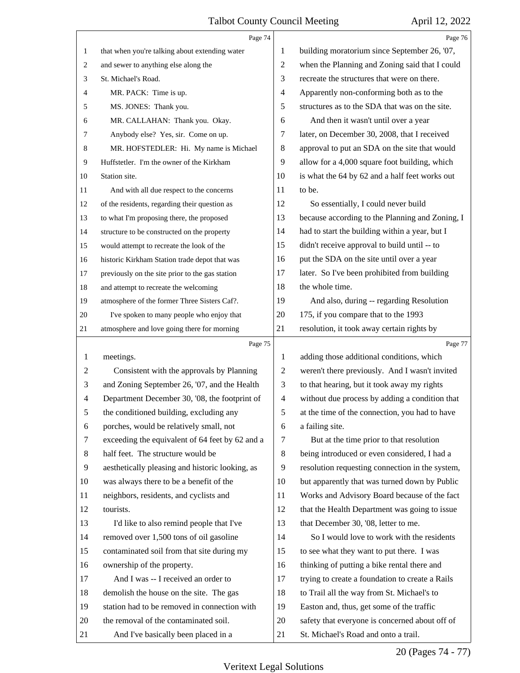|                | Page 74                                         |                | Page 76                                         |
|----------------|-------------------------------------------------|----------------|-------------------------------------------------|
| $\mathbf{1}$   | that when you're talking about extending water  | 1              | building moratorium since September 26, '07,    |
| 2              | and sewer to anything else along the            | 2              | when the Planning and Zoning said that I could  |
| 3              | St. Michael's Road.                             | 3              | recreate the structures that were on there.     |
| 4              | MR. PACK: Time is up.                           | $\overline{4}$ | Apparently non-conforming both as to the        |
| 5              | MS. JONES: Thank you.                           | 5              | structures as to the SDA that was on the site.  |
| 6              | MR. CALLAHAN: Thank you. Okay.                  | 6              | And then it wasn't until over a year            |
| 7              | Anybody else? Yes, sir. Come on up.             | 7              | later, on December 30, 2008, that I received    |
| 8              | MR. HOFSTEDLER: Hi. My name is Michael          | 8              | approval to put an SDA on the site that would   |
| 9              | Huffstetler. I'm the owner of the Kirkham       | 9              | allow for a 4,000 square foot building, which   |
| 10             | Station site.                                   | 10             | is what the 64 by 62 and a half feet works out  |
| 11             | And with all due respect to the concerns        | 11             | to be.                                          |
| 12             | of the residents, regarding their question as   | 12             | So essentially, I could never build             |
| 13             | to what I'm proposing there, the proposed       | 13             | because according to the Planning and Zoning, I |
| 14             | structure to be constructed on the property     | 14             | had to start the building within a year, but I  |
| 15             | would attempt to recreate the look of the       | 15             | didn't receive approval to build until -- to    |
| 16             | historic Kirkham Station trade depot that was   | 16             | put the SDA on the site until over a year       |
| 17             | previously on the site prior to the gas station | 17             | later. So I've been prohibited from building    |
| 18             | and attempt to recreate the welcoming           | 18             | the whole time.                                 |
| 19             | atmosphere of the former Three Sisters Caf?.    | 19             | And also, during -- regarding Resolution        |
| 20             | I've spoken to many people who enjoy that       | 20             | 175, if you compare that to the 1993            |
| 21             | atmosphere and love going there for morning     | 21             | resolution, it took away certain rights by      |
|                |                                                 |                |                                                 |
|                | Page 75                                         |                | Page 77                                         |
| $\mathbf{1}$   | meetings.                                       | 1              | adding those additional conditions, which       |
| $\overline{c}$ | Consistent with the approvals by Planning       | 2              | weren't there previously. And I wasn't invited  |
| 3              | and Zoning September 26, '07, and the Health    | 3              | to that hearing, but it took away my rights     |
| 4              | Department December 30, '08, the footprint of   | $\overline{4}$ | without due process by adding a condition that  |
| 5              | the conditioned building, excluding any         | 5              | at the time of the connection, you had to have  |
| 6              | porches, would be relatively small, not         | 6              | a failing site.                                 |
| 7              | exceeding the equivalent of 64 feet by 62 and a | 7              | But at the time prior to that resolution        |
| $\,8\,$        | half feet. The structure would be               | 8              | being introduced or even considered, I had a    |
| 9              | aesthetically pleasing and historic looking, as | 9              | resolution requesting connection in the system, |
| 10             | was always there to be a benefit of the         | 10             | but apparently that was turned down by Public   |
| 11             | neighbors, residents, and cyclists and          | 11             | Works and Advisory Board because of the fact    |
| 12             | tourists.                                       | 12             | that the Health Department was going to issue   |
| 13             | I'd like to also remind people that I've        | 13             | that December 30, '08, letter to me.            |
| 14             | removed over 1,500 tons of oil gasoline         | 14             | So I would love to work with the residents      |
| 15             | contaminated soil from that site during my      | 15             | to see what they want to put there. I was       |
| 16             | ownership of the property.                      | 16             | thinking of putting a bike rental there and     |
| 17             | And I was -- I received an order to             | 17             | trying to create a foundation to create a Rails |
| 18             | demolish the house on the site. The gas         | 18             | to Trail all the way from St. Michael's to      |
| 19             | station had to be removed in connection with    | 19             | Easton and, thus, get some of the traffic       |
| 20             | the removal of the contaminated soil.           | 20             | safety that everyone is concerned about off of  |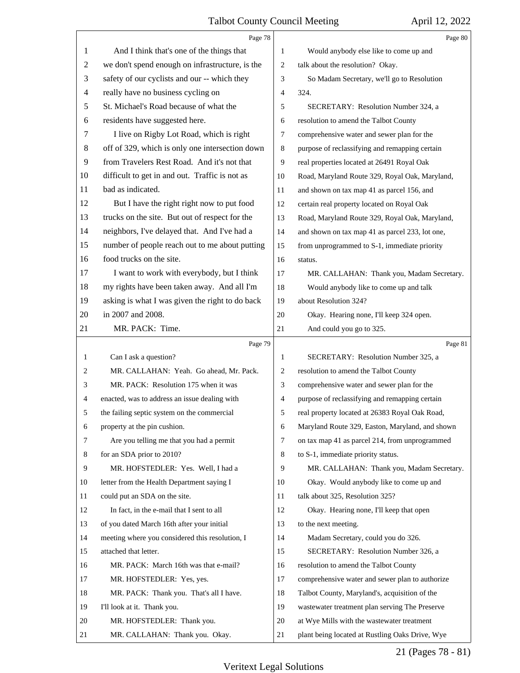|                | Page 78                                         |    | Page 80                                         |  |
|----------------|-------------------------------------------------|----|-------------------------------------------------|--|
| 1              | And I think that's one of the things that       | 1  | Would anybody else like to come up and          |  |
| $\overline{2}$ | we don't spend enough on infrastructure, is the | 2  | talk about the resolution? Okay.                |  |
| 3              | safety of our cyclists and our -- which they    | 3  | So Madam Secretary, we'll go to Resolution      |  |
| $\overline{4}$ | really have no business cycling on              | 4  | 324.                                            |  |
| 5              | St. Michael's Road because of what the          | 5  | SECRETARY: Resolution Number 324, a             |  |
| 6              | residents have suggested here.                  | 6  | resolution to amend the Talbot County           |  |
| 7              | I live on Rigby Lot Road, which is right        | 7  | comprehensive water and sewer plan for the      |  |
| $\,8\,$        | off of 329, which is only one intersection down | 8  | purpose of reclassifying and remapping certain  |  |
| 9              | from Travelers Rest Road. And it's not that     | 9  | real properties located at 26491 Royal Oak      |  |
| 10             | difficult to get in and out. Traffic is not as  | 10 | Road, Maryland Route 329, Royal Oak, Maryland,  |  |
| 11             | bad as indicated.                               | 11 | and shown on tax map 41 as parcel 156, and      |  |
| 12             | But I have the right right now to put food      | 12 | certain real property located on Royal Oak      |  |
| 13             | trucks on the site. But out of respect for the  | 13 | Road, Maryland Route 329, Royal Oak, Maryland,  |  |
| 14             | neighbors, I've delayed that. And I've had a    | 14 | and shown on tax map 41 as parcel 233, lot one, |  |
| 15             | number of people reach out to me about putting  | 15 | from unprogrammed to S-1, immediate priority    |  |
| 16             | food trucks on the site.                        | 16 | status.                                         |  |
| 17             | I want to work with everybody, but I think      | 17 | MR. CALLAHAN: Thank you, Madam Secretary.       |  |
| 18             | my rights have been taken away. And all I'm     | 18 | Would anybody like to come up and talk          |  |
| 19             | asking is what I was given the right to do back | 19 | about Resolution 324?                           |  |
| 20             | in 2007 and 2008.                               | 20 | Okay. Hearing none, I'll keep 324 open.         |  |
| 21             | MR. PACK: Time.                                 | 21 | And could you go to 325.                        |  |
|                |                                                 |    |                                                 |  |
|                | Page 79                                         |    | Page 81                                         |  |
| $\mathbf{1}$   | Can I ask a question?                           | 1  | SECRETARY: Resolution Number 325, a             |  |
| 2              | MR. CALLAHAN: Yeah. Go ahead, Mr. Pack.         | 2  | resolution to amend the Talbot County           |  |
| 3              | MR. PACK: Resolution 175 when it was            | 3  | comprehensive water and sewer plan for the      |  |
| 4              | enacted, was to address an issue dealing with   | 4  | purpose of reclassifying and remapping certain  |  |
| 5              | the failing septic system on the commercial     | 5  | real property located at 26383 Royal Oak Road,  |  |
| 6              | property at the pin cushion.                    | 6  | Maryland Route 329, Easton, Maryland, and shown |  |
| 7              | Are you telling me that you had a permit        | 7  | on tax map 41 as parcel 214, from unprogrammed  |  |
| 8              | for an SDA prior to 2010?                       | 8  | to S-1, immediate priority status.              |  |
| 9              | MR. HOFSTEDLER: Yes. Well, I had a              | 9  | MR. CALLAHAN: Thank you, Madam Secretary.       |  |
| 10             | letter from the Health Department saying I      | 10 | Okay. Would anybody like to come up and         |  |
| 11             | could put an SDA on the site.                   | 11 | talk about 325, Resolution 325?                 |  |
| 12             | In fact, in the e-mail that I sent to all       | 12 | Okay. Hearing none, I'll keep that open         |  |
| 13             | of you dated March 16th after your initial      | 13 | to the next meeting.                            |  |
| 14             | meeting where you considered this resolution, I | 14 | Madam Secretary, could you do 326.              |  |
| 15             | attached that letter.                           | 15 | SECRETARY: Resolution Number 326, a             |  |
| 16             | MR. PACK: March 16th was that e-mail?           | 16 | resolution to amend the Talbot County           |  |
| 17             | MR. HOFSTEDLER: Yes, yes.                       | 17 | comprehensive water and sewer plan to authorize |  |
| 18             | MR. PACK: Thank you. That's all I have.         | 18 | Talbot County, Maryland's, acquisition of the   |  |
| 19             | I'll look at it. Thank you.                     | 19 | wastewater treatment plan serving The Preserve  |  |
| 20             | MR. HOFSTEDLER: Thank you.                      | 20 | at Wye Mills with the wastewater treatment      |  |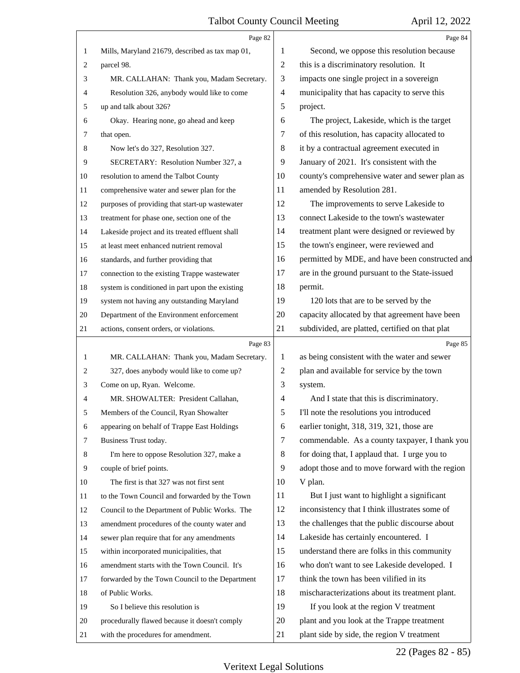|    | Page 82                                         |                | Page 84                                         |
|----|-------------------------------------------------|----------------|-------------------------------------------------|
| 1  | Mills, Maryland 21679, described as tax map 01, | 1              | Second, we oppose this resolution because       |
| 2  | parcel 98.                                      | $\overline{2}$ | this is a discriminatory resolution. It         |
| 3  | MR. CALLAHAN: Thank you, Madam Secretary.       | 3              | impacts one single project in a sovereign       |
| 4  | Resolution 326, anybody would like to come      | $\overline{4}$ | municipality that has capacity to serve this    |
| 5  | up and talk about 326?                          | 5              | project.                                        |
| 6  | Okay. Hearing none, go ahead and keep           | 6              | The project, Lakeside, which is the target      |
| 7  | that open.                                      | 7              | of this resolution, has capacity allocated to   |
| 8  | Now let's do 327, Resolution 327.               | 8              | it by a contractual agreement executed in       |
| 9  | SECRETARY: Resolution Number 327, a             | 9              | January of 2021. It's consistent with the       |
| 10 | resolution to amend the Talbot County           | 10             | county's comprehensive water and sewer plan as  |
| 11 | comprehensive water and sewer plan for the      | 11             | amended by Resolution 281.                      |
| 12 | purposes of providing that start-up wastewater  | 12             | The improvements to serve Lakeside to           |
| 13 | treatment for phase one, section one of the     | 13             | connect Lakeside to the town's wastewater       |
| 14 | Lakeside project and its treated effluent shall | 14             | treatment plant were designed or reviewed by    |
| 15 | at least meet enhanced nutrient removal         | 15             | the town's engineer, were reviewed and          |
| 16 | standards, and further providing that           | 16             | permitted by MDE, and have been constructed and |
| 17 | connection to the existing Trappe wastewater    | 17             | are in the ground pursuant to the State-issued  |
| 18 | system is conditioned in part upon the existing | 18             | permit.                                         |
| 19 | system not having any outstanding Maryland      | 19             | 120 lots that are to be served by the           |
| 20 | Department of the Environment enforcement       | 20             | capacity allocated by that agreement have been  |
| 21 | actions, consent orders, or violations.         | 21             | subdivided, are platted, certified on that plat |
|    | Page 83                                         |                | Page 85                                         |
| 1  | MR. CALLAHAN: Thank you, Madam Secretary.       | 1              | as being consistent with the water and sewer    |
| 2  | 327, does anybody would like to come up?        | $\overline{2}$ | plan and available for service by the town      |
| 3  | Come on up, Ryan. Welcome.                      | 3              | system.                                         |
| 4  | MR. SHOWALTER: President Callahan,              | 4              | And I state that this is discriminatory.        |
| 5  | Members of the Council, Ryan Showalter          | 5              | I'll note the resolutions you introduced        |
| 6  | appearing on behalf of Trappe East Holdings     | 6              | earlier tonight, 318, 319, 321, those are       |
| 7  | Business Trust today.                           | $\tau$         | commendable. As a county taxpayer, I thank you  |
| 8  | I'm here to oppose Resolution 327, make a       | 8              | for doing that, I applaud that. I urge you to   |
| 9  | couple of brief points.                         | 9              | adopt those and to move forward with the region |
| 10 | The first is that 327 was not first sent        | 10             | V plan.                                         |
| 11 | to the Town Council and forwarded by the Town   | 11             | But I just want to highlight a significant      |
| 12 | Council to the Department of Public Works. The  | 12             | inconsistency that I think illustrates some of  |
| 13 | amendment procedures of the county water and    | 13             | the challenges that the public discourse about  |
| 14 | sewer plan require that for any amendments      | 14             | Lakeside has certainly encountered. I           |
| 15 | within incorporated municipalities, that        | 15             | understand there are folks in this community    |
| 16 | amendment starts with the Town Council. It's    | 16             | who don't want to see Lakeside developed. I     |
| 17 | forwarded by the Town Council to the Department | 17             | think the town has been vilified in its         |
| 18 | of Public Works.                                | 18             | mischaracterizations about its treatment plant. |
|    |                                                 |                |                                                 |
| 19 | So I believe this resolution is                 | 19             | If you look at the region V treatment           |
| 20 | procedurally flawed because it doesn't comply   | 20             | plant and you look at the Trappe treatment      |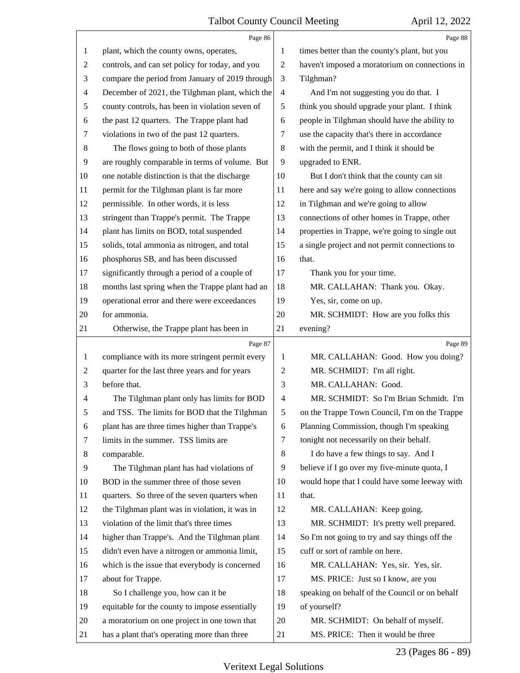|              | Page 86                                         |                | Page 88                                         |
|--------------|-------------------------------------------------|----------------|-------------------------------------------------|
| 1            | plant, which the county owns, operates,         | 1              | times better than the county's plant, but you   |
| 2            | controls, and can set policy for today, and you | $\mathbf{2}$   | haven't imposed a moratorium on connections in  |
| 3            | compare the period from January of 2019 through | 3              | Tilghman?                                       |
| 4            | December of 2021, the Tilghman plant, which the | $\overline{4}$ | And I'm not suggesting you do that. I           |
| 5            | county controls, has been in violation seven of | 5              | think you should upgrade your plant. I think    |
| 6            | the past 12 quarters. The Trappe plant had      | 6              | people in Tilghman should have the ability to   |
| 7            | violations in two of the past 12 quarters.      | 7              | use the capacity that's there in accordance     |
| 8            | The flows going to both of those plants         | 8              | with the permit, and I think it should be       |
| 9            | are roughly comparable in terms of volume. But  | 9              | upgraded to ENR.                                |
| 10           | one notable distinction is that the discharge   | 10             | But I don't think that the county can sit       |
| 11           | permit for the Tilghman plant is far more       | 11             | here and say we're going to allow connections   |
| 12           | permissible. In other words, it is less         | 12             | in Tilghman and we're going to allow            |
| 13           | stringent than Trappe's permit. The Trappe      | 13             | connections of other homes in Trappe, other     |
| 14           | plant has limits on BOD, total suspended        | 14             | properties in Trappe, we're going to single out |
| 15           | solids, total ammonia as nitrogen, and total    | 15             | a single project and not permit connections to  |
| 16           | phosphorus SB, and has been discussed           | 16             | that.                                           |
| 17           | significantly through a period of a couple of   | 17             | Thank you for your time.                        |
| 18           | months last spring when the Trappe plant had an | 18             | MR. CALLAHAN: Thank you. Okay.                  |
| 19           | operational error and there were exceedances    | 19             | Yes, sir, come on up.                           |
| 20           | for ammonia.                                    | 20             | MR. SCHMIDT: How are you folks this             |
| 21           | Otherwise, the Trappe plant has been in         | 21             | evening?                                        |
|              |                                                 |                |                                                 |
|              | Page 87                                         |                | Page 89                                         |
| $\mathbf{1}$ | compliance with its more stringent permit every | 1              | MR. CALLAHAN: Good. How you doing?              |
| 2            | quarter for the last three years and for years  | $\sqrt{2}$     | MR. SCHMIDT: I'm all right.                     |
| 3            | before that.                                    | 3              | MR. CALLAHAN: Good.                             |
| 4            | The Tilghman plant only has limits for BOD      | 4              | MR. SCHMIDT: So I'm Brian Schmidt. I'm          |
| 5            | and TSS. The limits for BOD that the Tilghman   | 5              | on the Trappe Town Council, I'm on the Trappe   |
| 6            | plant has are three times higher than Trappe's  | 6              | Planning Commission, though I'm speaking        |
| 7            | limits in the summer. TSS limits are            | 7              | tonight not necessarily on their behalf.        |
| 8            | comparable.                                     | $\,8\,$        | I do have a few things to say. And I            |
| 9            | The Tilghman plant has had violations of        | 9              | believe if I go over my five-minute quota, I    |
| 10           | BOD in the summer three of those seven          | 10             | would hope that I could have some leeway with   |
| 11           | quarters. So three of the seven quarters when   | 11             | that.                                           |
| 12           | the Tilghman plant was in violation, it was in  | 12             | MR. CALLAHAN: Keep going.                       |
| 13           | violation of the limit that's three times       | 13             | MR. SCHMIDT: It's pretty well prepared.         |
| 14           | higher than Trappe's. And the Tilghman plant    | 14             | So I'm not going to try and say things off the  |
| 15           | didn't even have a nitrogen or ammonia limit,   | 15             | cuff or sort of ramble on here.                 |
| 16           | which is the issue that everybody is concerned  | 16             | MR. CALLAHAN: Yes, sir. Yes, sir.               |
| 17           | about for Trappe.                               | 17             | MS. PRICE: Just so I know, are you              |
| 18           | So I challenge you, how can it be               | 18             | speaking on behalf of the Council or on behalf  |
| 19           | equitable for the county to impose essentially  | 19             | of yourself?                                    |
| 20           | a moratorium on one project in one town that    | 20             | MR. SCHMIDT: On behalf of myself.               |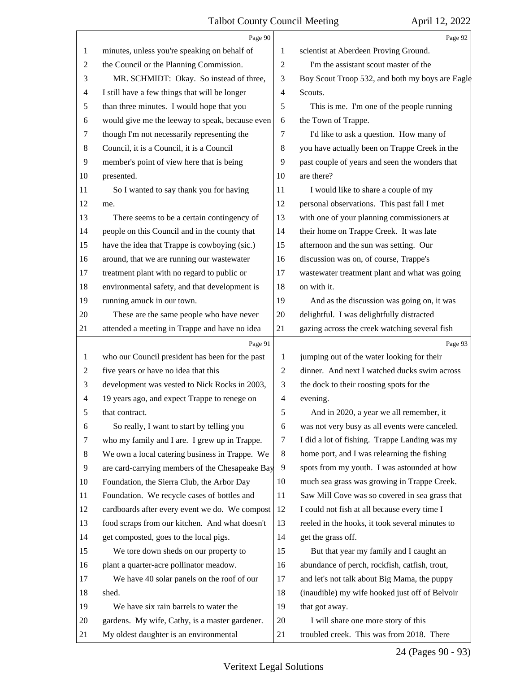|                | Page 90                                         |              | Page 92                                         |
|----------------|-------------------------------------------------|--------------|-------------------------------------------------|
| 1              | minutes, unless you're speaking on behalf of    | 1            | scientist at Aberdeen Proving Ground.           |
| $\overline{2}$ | the Council or the Planning Commission.         | 2            | I'm the assistant scout master of the           |
| 3              | MR. SCHMIDT: Okay. So instead of three,         | 3            | Boy Scout Troop 532, and both my boys are Eagle |
| 4              | I still have a few things that will be longer   | 4            | Scouts.                                         |
| 5              | than three minutes. I would hope that you       | 5            | This is me. I'm one of the people running       |
| 6              | would give me the leeway to speak, because even | 6            | the Town of Trappe.                             |
| $\tau$         | though I'm not necessarily representing the     | 7            | I'd like to ask a question. How many of         |
| 8              | Council, it is a Council, it is a Council       | 8            | you have actually been on Trappe Creek in the   |
| 9              | member's point of view here that is being       | 9            | past couple of years and seen the wonders that  |
| 10             | presented.                                      | 10           | are there?                                      |
| 11             | So I wanted to say thank you for having         | 11           | I would like to share a couple of my            |
| 12             | me.                                             | 12           | personal observations. This past fall I met     |
| 13             | There seems to be a certain contingency of      | 13           | with one of your planning commissioners at      |
| 14             | people on this Council and in the county that   | 14           | their home on Trappe Creek. It was late         |
| 15             | have the idea that Trappe is cowboying (sic.)   | 15           | afternoon and the sun was setting. Our          |
| 16             | around, that we are running our wastewater      | 16           | discussion was on, of course, Trappe's          |
| 17             | treatment plant with no regard to public or     | 17           | wastewater treatment plant and what was going   |
| 18             | environmental safety, and that development is   | 18           | on with it.                                     |
| 19             | running amuck in our town.                      | 19           | And as the discussion was going on, it was      |
| 20             | These are the same people who have never        | 20           | delightful. I was delightfully distracted       |
| 21             | attended a meeting in Trappe and have no idea   | 21           | gazing across the creek watching several fish   |
|                |                                                 |              |                                                 |
|                | Page 91                                         |              | Page 93                                         |
| 1              | who our Council president has been for the past | 1            | jumping out of the water looking for their      |
| $\overline{c}$ | five years or have no idea that this            | $\mathbf{2}$ | dinner. And next I watched ducks swim across    |
| 3              | development was vested to Nick Rocks in 2003,   | 3            | the dock to their roosting spots for the        |
| 4              | 19 years ago, and expect Trappe to renege on    | 4            | evening.                                        |
| 5              | that contract.                                  | 5            | And in 2020, a year we all remember, it         |
| 6              | So really, I want to start by telling you       | 6            | was not very busy as all events were canceled.  |
| 7              | who my family and I are. I grew up in Trappe.   | 7            | I did a lot of fishing. Trappe Landing was my   |
| 8              | We own a local catering business in Trappe. We  | 8            | home port, and I was relearning the fishing     |
| 9              | are card-carrying members of the Chesapeake Bay | 9            | spots from my youth. I was astounded at how     |
| 10             | Foundation, the Sierra Club, the Arbor Day      | 10           | much sea grass was growing in Trappe Creek.     |
| 11             | Foundation. We recycle cases of bottles and     | 11           | Saw Mill Cove was so covered in sea grass that  |
| 12             | cardboards after every event we do. We compost  | 12           | I could not fish at all because every time I    |
| 13             | food scraps from our kitchen. And what doesn't  | 13           | reeled in the hooks, it took several minutes to |
| 14             | get composted, goes to the local pigs.          | 14           | get the grass off.                              |
| 15             | We tore down sheds on our property to           | 15           | But that year my family and I caught an         |
| 16             | plant a quarter-acre pollinator meadow.         | 16           | abundance of perch, rockfish, catfish, trout,   |
| 17             | We have 40 solar panels on the roof of our      | 17           | and let's not talk about Big Mama, the puppy    |
| 18             | shed.                                           | 18           | (inaudible) my wife hooked just off of Belvoir  |
| 19             | We have six rain barrels to water the           | 19           | that got away.                                  |
| 20             | gardens. My wife, Cathy, is a master gardener.  | 20           | I will share one more story of this             |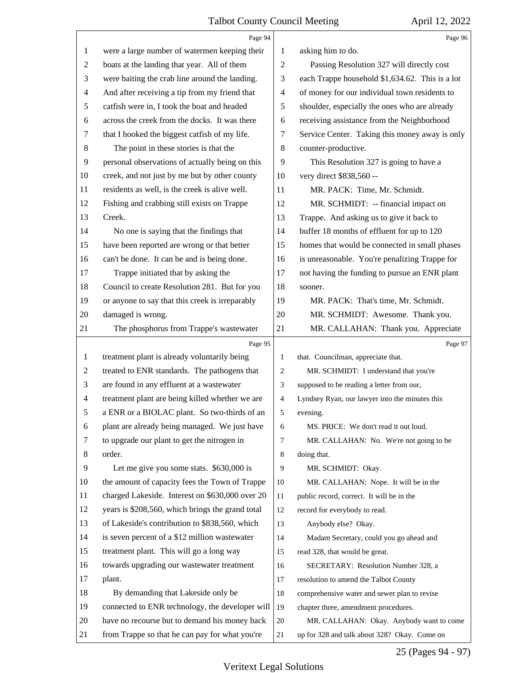|                | Page 94                                          |                | Page 96                                         |
|----------------|--------------------------------------------------|----------------|-------------------------------------------------|
| $\mathbf{1}$   | were a large number of watermen keeping their    | 1              | asking him to do.                               |
| $\overline{2}$ | boats at the landing that year. All of them      | $\overline{2}$ | Passing Resolution 327 will directly cost       |
| 3              | were baiting the crab line around the landing.   | 3              | each Trappe household \$1,634.62. This is a lot |
| $\overline{4}$ | And after receiving a tip from my friend that    | $\overline{4}$ | of money for our individual town residents to   |
| 5              | catfish were in, I took the boat and headed      | 5              | shoulder, especially the ones who are already   |
| 6              | across the creek from the docks. It was there    | 6              | receiving assistance from the Neighborhood      |
| 7              | that I hooked the biggest catfish of my life.    | 7              | Service Center. Taking this money away is only  |
| 8              | The point in these stories is that the           | 8              | counter-productive.                             |
| 9              | personal observations of actually being on this  | 9              | This Resolution 327 is going to have a          |
| 10             | creek, and not just by me but by other county    | 10             | very direct \$838,560 --                        |
| 11             | residents as well, is the creek is alive well.   | 11             | MR. PACK: Time, Mr. Schmidt.                    |
| 12             | Fishing and crabbing still exists on Trappe      | 12             | MR. SCHMIDT: -- financial impact on             |
| 13             | Creek.                                           | 13             | Trappe. And asking us to give it back to        |
| 14             | No one is saying that the findings that          | 14             | buffer 18 months of effluent for up to 120      |
| 15             | have been reported are wrong or that better      | 15             | homes that would be connected in small phases   |
| 16             | can't be done. It can be and is being done.      | 16             | is unreasonable. You're penalizing Trappe for   |
| 17             | Trappe initiated that by asking the              | 17             | not having the funding to pursue an ENR plant   |
| 18             | Council to create Resolution 281. But for you    | 18             | sooner.                                         |
| 19             | or anyone to say that this creek is irreparably  | 19             | MR. PACK: That's time, Mr. Schmidt.             |
| 20             | damaged is wrong.                                | 20             | MR. SCHMIDT: Awesome. Thank you.                |
| 21             | The phosphorus from Trappe's wastewater          | 21             | MR. CALLAHAN: Thank you. Appreciate             |
|                | Page 95                                          |                | Page 97                                         |
| $\mathbf{1}$   | treatment plant is already voluntarily being     | 1              | that. Councilman, appreciate that.              |
| $\overline{2}$ | treated to ENR standards. The pathogens that     | 2              | MR. SCHMIDT: I understand that you're           |
| 3              | are found in any effluent at a wastewater        | 3              | supposed to be reading a letter from our,       |
| $\overline{4}$ | treatment plant are being killed whether we are  | 4              | Lyndsey Ryan, our lawyer into the minutes this  |
| 5              | a ENR or a BIOLAC plant. So two-thirds of an     | 5              | evening.                                        |
| 6              | plant are already being managed. We just have    | 6              | MS. PRICE: We don't read it out loud.           |
| 7              | to upgrade our plant to get the nitrogen in      | 7              | MR. CALLAHAN: No. We're not going to be         |
| 8              | order.                                           | 8              | doing that.                                     |
| 9              | Let me give you some stats. \$630,000 is         | 9              | MR. SCHMIDT: Okay.                              |
| 10             | the amount of capacity fees the Town of Trappe   | 10             | MR. CALLAHAN: Nope. It will be in the           |
| 11             | charged Lakeside. Interest on \$630,000 over 20  | 11             | public record, correct. It will be in the       |
| 12             | years is \$208,560, which brings the grand total | 12             | record for everybody to read.                   |
| 13             | of Lakeside's contribution to \$838,560, which   | 13             | Anybody else? Okay.                             |
| 14             | is seven percent of a \$12 million wastewater    | 14             | Madam Secretary, could you go ahead and         |
| 15             | treatment plant. This will go a long way         | 15             | read 328, that would be great.                  |
| 16             |                                                  |                |                                                 |
| 17             | towards upgrading our wastewater treatment       | 16             | SECRETARY: Resolution Number 328, a             |
|                | plant.                                           | 17             | resolution to amend the Talbot County           |
| 18             | By demanding that Lakeside only be               | 18             | comprehensive water and sewer plan to revise    |
| 19             | connected to ENR technology, the developer will  | 19             | chapter three, amendment procedures.            |
| 20             | have no recourse but to demand his money back    | 20             | MR. CALLAHAN: Okay. Anybody want to come        |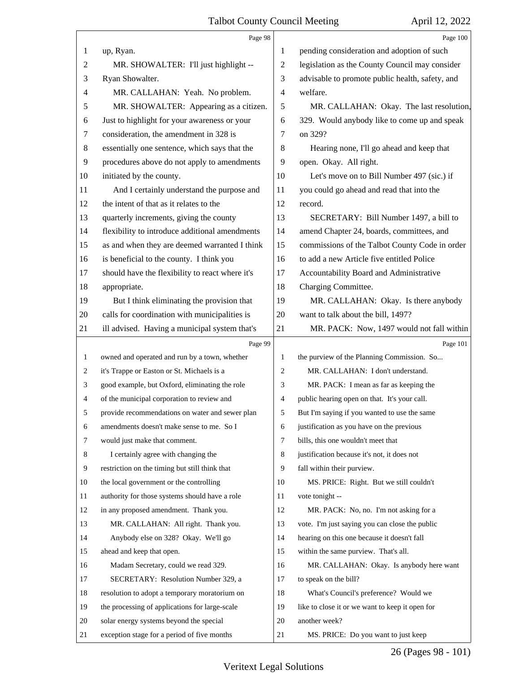|                | Page 98                                         |                          | Page 100                                        |
|----------------|-------------------------------------------------|--------------------------|-------------------------------------------------|
| 1              | up, Ryan.                                       | 1                        | pending consideration and adoption of such      |
| $\overline{c}$ | MR. SHOWALTER: I'll just highlight --           | $\overline{c}$           | legislation as the County Council may consider  |
| 3              | Ryan Showalter.                                 | 3                        | advisable to promote public health, safety, and |
| 4              | MR. CALLAHAN: Yeah. No problem.                 | $\overline{\mathcal{A}}$ | welfare.                                        |
| 5              | MR. SHOWALTER: Appearing as a citizen.          | 5                        | MR. CALLAHAN: Okay. The last resolution,        |
| 6              | Just to highlight for your awareness or your    | 6                        | 329. Would anybody like to come up and speak    |
| 7              | consideration, the amendment in 328 is          | 7                        | on 329?                                         |
| $\,8\,$        | essentially one sentence, which says that the   | 8                        | Hearing none, I'll go ahead and keep that       |
| 9              | procedures above do not apply to amendments     | 9                        | open. Okay. All right.                          |
| 10             | initiated by the county.                        | 10                       | Let's move on to Bill Number 497 (sic.) if      |
| 11             | And I certainly understand the purpose and      | 11                       | you could go ahead and read that into the       |
| 12             | the intent of that as it relates to the         | 12                       | record.                                         |
| 13             | quarterly increments, giving the county         | 13                       | SECRETARY: Bill Number 1497, a bill to          |
| 14             | flexibility to introduce additional amendments  | 14                       | amend Chapter 24, boards, committees, and       |
| 15             | as and when they are deemed warranted I think   | 15                       | commissions of the Talbot County Code in order  |
| 16             | is beneficial to the county. I think you        | 16                       | to add a new Article five entitled Police       |
| 17             | should have the flexibility to react where it's | 17                       | Accountability Board and Administrative         |
| $18\,$         | appropriate.                                    | 18                       | Charging Committee.                             |
| 19             | But I think eliminating the provision that      | 19                       | MR. CALLAHAN: Okay. Is there anybody            |
| 20             | calls for coordination with municipalities is   | 20                       | want to talk about the bill, 1497?              |
| 21             | ill advised. Having a municipal system that's   | 21                       | MR. PACK: Now, 1497 would not fall within       |
|                | Page 99                                         |                          | Page 101                                        |
| $\mathbf{1}$   | owned and operated and run by a town, whether   |                          |                                                 |
|                |                                                 | 1                        | the purview of the Planning Commission. So      |
| 2              | it's Trappe or Easton or St. Michaels is a      | 2                        | MR. CALLAHAN: I don't understand.               |
| 3              | good example, but Oxford, eliminating the role  | 3                        | MR. PACK: I mean as far as keeping the          |
| 4              | of the municipal corporation to review and      | $\overline{4}$           | public hearing open on that. It's your call.    |
| 5              | provide recommendations on water and sewer plan | 5 <sup>5</sup>           | But I'm saying if you wanted to use the same    |
| 6              | amendments doesn't make sense to me. So I       | 6                        | justification as you have on the previous       |
| 7              | would just make that comment.                   | $\tau$                   | bills, this one wouldn't meet that              |
| 8              | I certainly agree with changing the             | 8                        | justification because it's not, it does not     |
| 9              | restriction on the timing but still think that  | 9                        | fall within their purview.                      |
| 10             | the local government or the controlling         | 10                       | MS. PRICE: Right. But we still couldn't         |
| 11             | authority for those systems should have a role  | 11                       | vote tonight --                                 |
| 12             | in any proposed amendment. Thank you.           | 12                       | MR. PACK: No, no. I'm not asking for a          |
| 13             | MR. CALLAHAN: All right. Thank you.             | 13                       | vote. I'm just saying you can close the public  |
| 14             | Anybody else on 328? Okay. We'll go             | 14                       | hearing on this one because it doesn't fall     |
| 15             | ahead and keep that open.                       | 15                       | within the same purview. That's all.            |
| 16             | Madam Secretary, could we read 329.             | 16                       | MR. CALLAHAN: Okay. Is anybody here want        |
| 17             | SECRETARY: Resolution Number 329, a             | 17                       | to speak on the bill?                           |
| 18             | resolution to adopt a temporary moratorium on   | 18                       | What's Council's preference? Would we           |
| 19             | the processing of applications for large-scale  | 19                       | like to close it or we want to keep it open for |
| 20             | solar energy systems beyond the special         | 20                       | another week?                                   |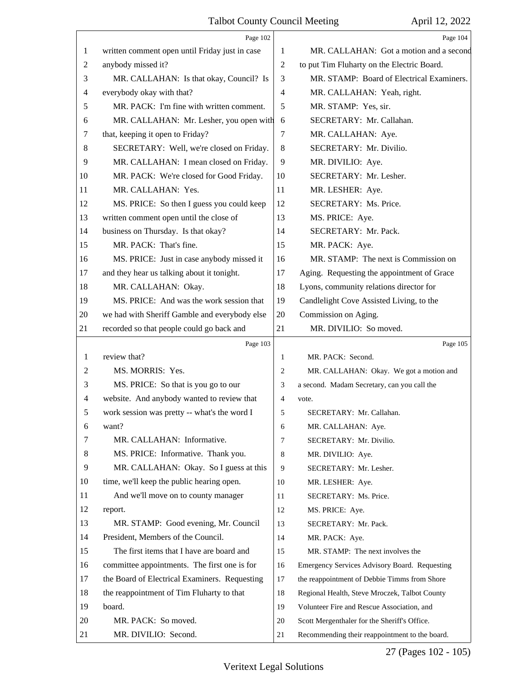|                | Page 102                                       |                | Page 104                                      |
|----------------|------------------------------------------------|----------------|-----------------------------------------------|
| 1              | written comment open until Friday just in case | 1              | MR. CALLAHAN: Got a motion and a second       |
| $\overline{c}$ | anybody missed it?                             | 2              | to put Tim Fluharty on the Electric Board.    |
| 3              | MR. CALLAHAN: Is that okay, Council? Is        | 3              | MR. STAMP: Board of Electrical Examiners.     |
| 4              | everybody okay with that?                      | $\overline{4}$ | MR. CALLAHAN: Yeah, right.                    |
| 5              | MR. PACK: I'm fine with written comment.       | 5              | MR. STAMP: Yes, sir.                          |
| 6              | MR. CALLAHAN: Mr. Lesher, you open with        | 6              | SECRETARY: Mr. Callahan.                      |
| 7              | that, keeping it open to Friday?               | 7              | MR. CALLAHAN: Aye.                            |
| 8              | SECRETARY: Well, we're closed on Friday.       | 8              | SECRETARY: Mr. Divilio.                       |
| 9              | MR. CALLAHAN: I mean closed on Friday.         | 9              | MR. DIVILIO: Aye.                             |
| 10             | MR. PACK: We're closed for Good Friday.        | 10             | SECRETARY: Mr. Lesher.                        |
| 11             | MR. CALLAHAN: Yes.                             | 11             | MR. LESHER: Aye.                              |
| 12             | MS. PRICE: So then I guess you could keep      | 12             | SECRETARY: Ms. Price.                         |
| 13             | written comment open until the close of        | 13             | MS. PRICE: Aye.                               |
| 14             | business on Thursday. Is that okay?            | 14             | SECRETARY: Mr. Pack.                          |
| 15             | MR. PACK: That's fine.                         | 15             | MR. PACK: Aye.                                |
| 16             | MS. PRICE: Just in case anybody missed it      | 16             | MR. STAMP: The next is Commission on          |
| 17             | and they hear us talking about it tonight.     | 17             | Aging. Requesting the appointment of Grace    |
| 18             | MR. CALLAHAN: Okay.                            | 18             | Lyons, community relations director for       |
| 19             | MS. PRICE: And was the work session that       | 19             | Candlelight Cove Assisted Living, to the      |
| 20             | we had with Sheriff Gamble and everybody else  | 20             | Commission on Aging.                          |
| 21             | recorded so that people could go back and      | 21             | MR. DIVILIO: So moved.                        |
|                | Page 103                                       |                | Page 105                                      |
| 1              | review that?                                   | 1              | MR. PACK: Second.                             |
| 2              | MS. MORRIS: Yes.                               | 2              | MR. CALLAHAN: Okay. We got a motion and       |
| 3              | MS. PRICE: So that is you go to our            | 3              | a second. Madam Secretary, can you call the   |
| $\overline{4}$ | website. And anybody wanted to review that     | 4              | vote.                                         |
| 5              | work session was pretty -- what's the word I   | 5              | SECRETARY: Mr. Callahan.                      |
| 6              | want?                                          | 6              | MR. CALLAHAN: Aye.                            |
| 7              | MR. CALLAHAN: Informative.                     | 7              | SECRETARY: Mr. Divilio.                       |
| 8              | MS. PRICE: Informative. Thank you.             | 8              |                                               |
| 9              |                                                |                | MR. DIVILIO: Aye.                             |
| 10             | MR. CALLAHAN: Okay. So I guess at this         | 9              | SECRETARY: Mr. Lesher.                        |
|                | time, we'll keep the public hearing open.      | 10             | MR. LESHER: Aye.                              |
| 11             | And we'll move on to county manager            | 11             | SECRETARY: Ms. Price.                         |
| 12             | report.                                        | 12             | MS. PRICE: Aye.                               |
| 13             | MR. STAMP: Good evening, Mr. Council           | 13             | SECRETARY: Mr. Pack.                          |
| 14             | President, Members of the Council.             | 14             | MR. PACK: Aye.                                |
| 15             | The first items that I have are board and      | 15             | MR. STAMP: The next involves the              |
| 16             | committee appointments. The first one is for   | 16             | Emergency Services Advisory Board. Requesting |
| 17             | the Board of Electrical Examiners. Requesting  | 17             | the reappointment of Debbie Timms from Shore  |
| 18             | the reappointment of Tim Fluharty to that      | 18             | Regional Health, Steve Mroczek, Talbot County |
| 19             | board.                                         | 19             | Volunteer Fire and Rescue Association, and    |
| 20             | MR. PACK: So moved.                            | 20             | Scott Mergenthaler for the Sheriff's Office.  |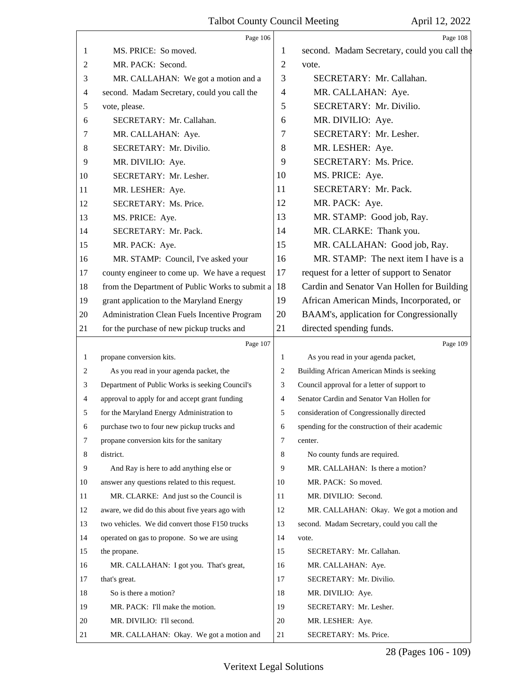|                | Page 106                                        |                | Page 108                                        |
|----------------|-------------------------------------------------|----------------|-------------------------------------------------|
| 1              | MS. PRICE: So moved.                            | 1              | second. Madam Secretary, could you call the     |
| $\overline{c}$ | MR. PACK: Second.                               | $\overline{2}$ | vote.                                           |
| 3              | MR. CALLAHAN: We got a motion and a             | 3              | SECRETARY: Mr. Callahan.                        |
| 4              | second. Madam Secretary, could you call the     | 4              | MR. CALLAHAN: Aye.                              |
| 5              | vote, please.                                   | 5              | SECRETARY: Mr. Divilio.                         |
| 6              | SECRETARY: Mr. Callahan.                        | 6              | MR. DIVILIO: Aye.                               |
| 7              | MR. CALLAHAN: Aye.                              | $\tau$         | SECRETARY: Mr. Lesher.                          |
| 8              | SECRETARY: Mr. Divilio.                         | 8              | MR. LESHER: Aye.                                |
| 9              | MR. DIVILIO: Aye.                               | 9              | SECRETARY: Ms. Price.                           |
| 10             | SECRETARY: Mr. Lesher.                          | 10             | MS. PRICE: Aye.                                 |
| 11             | MR. LESHER: Aye.                                | 11             | SECRETARY: Mr. Pack.                            |
| 12             | SECRETARY: Ms. Price.                           | 12             | MR. PACK: Aye.                                  |
| 13             | MS. PRICE: Aye.                                 | 13             | MR. STAMP: Good job, Ray.                       |
| 14             | SECRETARY: Mr. Pack.                            | 14             | MR. CLARKE: Thank you.                          |
| 15             | MR. PACK: Aye.                                  | 15             | MR. CALLAHAN: Good job, Ray.                    |
| 16             | MR. STAMP: Council, I've asked your             | 16             | MR. STAMP: The next item I have is a            |
| 17             | county engineer to come up. We have a request   | 17             | request for a letter of support to Senator      |
| 18             | from the Department of Public Works to submit a | 18             | Cardin and Senator Van Hollen for Building      |
| 19             | grant application to the Maryland Energy        | 19             | African American Minds, Incorporated, or        |
| 20             | Administration Clean Fuels Incentive Program    | 20             | BAAM's, application for Congressionally         |
| 21             | for the purchase of new pickup trucks and       | 21             | directed spending funds.                        |
|                |                                                 |                |                                                 |
|                | Page 107                                        |                | Page 109                                        |
| $\mathbf{1}$   | propane conversion kits.                        | 1              | As you read in your agenda packet,              |
| 2              | As you read in your agenda packet, the          | 2              | Building African American Minds is seeking      |
| 3              | Department of Public Works is seeking Council's | 3              | Council approval for a letter of support to     |
| 4              | approval to apply for and accept grant funding  | 4              | Senator Cardin and Senator Van Hollen for       |
| 5              | for the Maryland Energy Administration to       | 5              | consideration of Congressionally directed       |
| 6              | purchase two to four new pickup trucks and      | 6              | spending for the construction of their academic |
| 7              | propane conversion kits for the sanitary        | 7              | center.                                         |
| 8              | district.                                       | 8              | No county funds are required.                   |
| 9              | And Ray is here to add anything else or         | 9              | MR. CALLAHAN: Is there a motion?                |
| 10             | answer any questions related to this request.   | 10             | MR. PACK: So moved.                             |
| 11             | MR. CLARKE: And just so the Council is          | 11             | MR. DIVILIO: Second.                            |
| 12             | aware, we did do this about five years ago with | 12             | MR. CALLAHAN: Okay. We got a motion and         |
| 13             | two vehicles. We did convert those F150 trucks  | 13             | second. Madam Secretary, could you call the     |
| 14             | operated on gas to propone. So we are using     | 14             | vote.                                           |
| 15             | the propane.                                    | 15             | SECRETARY: Mr. Callahan.                        |
| 16             | MR. CALLAHAN: I got you. That's great,          | 16             | MR. CALLAHAN: Aye.                              |
| 17             | that's great.                                   | 17             | SECRETARY: Mr. Divilio.                         |
| 18             | So is there a motion?                           | 18             | MR. DIVILIO: Aye.                               |
| 19             | MR. PACK: I'll make the motion.                 | 19             | SECRETARY: Mr. Lesher.                          |
| 20             | MR. DIVILIO: I'll second.                       | 20             | MR. LESHER: Aye.                                |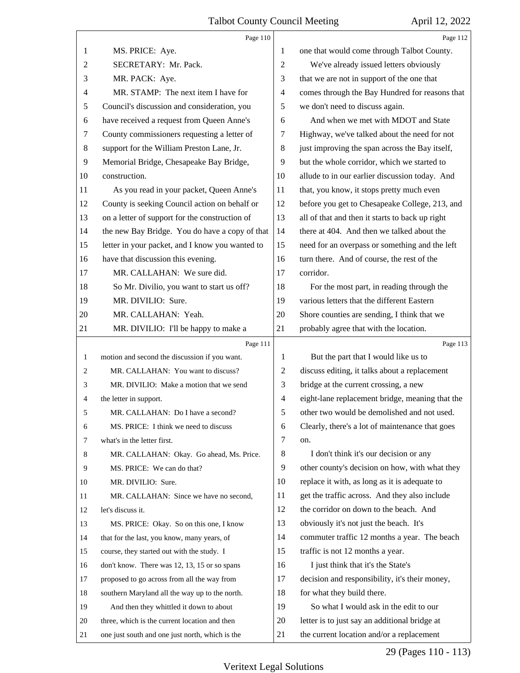|                | Page 110                                        |                          | Page 112                                        |
|----------------|-------------------------------------------------|--------------------------|-------------------------------------------------|
| 1              | MS. PRICE: Aye.                                 | 1                        | one that would come through Talbot County.      |
| 2              | SECRETARY: Mr. Pack.                            | 2                        | We've already issued letters obviously          |
| 3              | MR. PACK: Aye.                                  | 3                        | that we are not in support of the one that      |
| 4              | MR. STAMP: The next item I have for             | $\overline{\mathcal{A}}$ | comes through the Bay Hundred for reasons that  |
| 5              | Council's discussion and consideration, you     | 5                        | we don't need to discuss again.                 |
| 6              | have received a request from Queen Anne's       | 6                        | And when we met with MDOT and State             |
| 7              | County commissioners requesting a letter of     | 7                        | Highway, we've talked about the need for not    |
| 8              | support for the William Preston Lane, Jr.       | 8                        | just improving the span across the Bay itself,  |
| $\overline{9}$ | Memorial Bridge, Chesapeake Bay Bridge,         | 9                        | but the whole corridor, which we started to     |
| 10             | construction.                                   | 10                       | allude to in our earlier discussion today. And  |
| 11             | As you read in your packet, Queen Anne's        | 11                       | that, you know, it stops pretty much even       |
| 12             | County is seeking Council action on behalf or   | 12                       | before you get to Chesapeake College, 213, and  |
| 13             | on a letter of support for the construction of  | 13                       | all of that and then it starts to back up right |
| 14             | the new Bay Bridge. You do have a copy of that  | 14                       | there at 404. And then we talked about the      |
| 15             | letter in your packet, and I know you wanted to | 15                       | need for an overpass or something and the left  |
| 16             | have that discussion this evening.              | 16                       | turn there. And of course, the rest of the      |
| 17             | MR. CALLAHAN: We sure did.                      | 17                       | corridor.                                       |
| 18             | So Mr. Divilio, you want to start us off?       | 18                       | For the most part, in reading through the       |
| 19             | MR. DIVILIO: Sure.                              | 19                       | various letters that the different Eastern      |
| 20             | MR. CALLAHAN: Yeah.                             | 20                       | Shore counties are sending, I think that we     |
| 21             | MR. DIVILIO: I'll be happy to make a            | 21                       | probably agree that with the location.          |
|                |                                                 |                          |                                                 |
|                | Page 111                                        |                          | Page 113                                        |
| $\mathbf{1}$   | motion and second the discussion if you want.   | 1                        | But the part that I would like us to            |
| 2              | MR. CALLAHAN: You want to discuss?              | 2                        | discuss editing, it talks about a replacement   |
| 3              | MR. DIVILIO: Make a motion that we send         | 3                        | bridge at the current crossing, a new           |
| 4              | the letter in support.                          | $\overline{4}$           | eight-lane replacement bridge, meaning that the |
| 5              | MR. CALLAHAN: Do I have a second?               | 5                        | other two would be demolished and not used.     |
| 6              | MS. PRICE: I think we need to discuss           | 6                        | Clearly, there's a lot of maintenance that goes |
| 7              | what's in the letter first.                     | 7                        | on.                                             |
| 8              | MR. CALLAHAN: Okay. Go ahead, Ms. Price.        | 8                        | I don't think it's our decision or any          |
| 9              | MS. PRICE: We can do that?                      | 9                        | other county's decision on how, with what they  |
| 10             | MR. DIVILIO: Sure.                              | 10                       | replace it with, as long as it is adequate to   |
| 11             | MR. CALLAHAN: Since we have no second,          | 11                       | get the traffic across. And they also include   |
| 12             | let's discuss it.                               | 12                       | the corridor on down to the beach. And          |
| 13             | MS. PRICE: Okay. So on this one, I know         | 13                       | obviously it's not just the beach. It's         |
| 14             | that for the last, you know, many years, of     | 14                       | commuter traffic 12 months a year. The beach    |
| 15             | course, they started out with the study. I      | 15                       | traffic is not 12 months a year.                |
| 16             | don't know. There was 12, 13, 15 or so spans    | 16                       | I just think that it's the State's              |
| 17             | proposed to go across from all the way from     | 17                       | decision and responsibility, it's their money,  |
| 18             | southern Maryland all the way up to the north.  | 18                       | for what they build there.                      |
| 19             | And then they whittled it down to about         | 19                       | So what I would ask in the edit to our          |
| 20             | three, which is the current location and then   | 20                       | letter is to just say an additional bridge at   |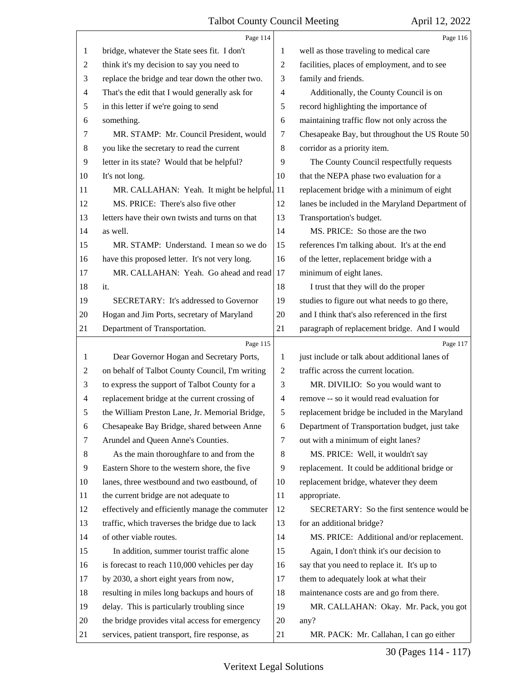|                | Page 114                                        |                          | Page 116                                        |
|----------------|-------------------------------------------------|--------------------------|-------------------------------------------------|
| 1              | bridge, whatever the State sees fit. I don't    | 1                        | well as those traveling to medical care         |
| $\overline{c}$ | think it's my decision to say you need to       | $\overline{c}$           | facilities, places of employment, and to see    |
| 3              | replace the bridge and tear down the other two. | 3                        | family and friends.                             |
| 4              | That's the edit that I would generally ask for  | 4                        | Additionally, the County Council is on          |
| 5              | in this letter if we're going to send           | 5                        | record highlighting the importance of           |
| 6              | something.                                      | 6                        | maintaining traffic flow not only across the    |
| 7              | MR. STAMP: Mr. Council President, would         | 7                        | Chesapeake Bay, but throughout the US Route 50  |
| 8              | you like the secretary to read the current      | 8                        | corridor as a priority item.                    |
| 9              | letter in its state? Would that be helpful?     | 9                        | The County Council respectfully requests        |
| 10             | It's not long.                                  | 10                       | that the NEPA phase two evaluation for a        |
| 11             | MR. CALLAHAN: Yeah. It might be helpful. 11     |                          | replacement bridge with a minimum of eight      |
| 12             | MS. PRICE: There's also five other              | 12                       | lanes be included in the Maryland Department of |
| 13             | letters have their own twists and turns on that | 13                       | Transportation's budget.                        |
| 14             | as well.                                        | 14                       | MS. PRICE: So those are the two                 |
| 15             | MR. STAMP: Understand. I mean so we do          | 15                       | references I'm talking about. It's at the end   |
| 16             | have this proposed letter. It's not very long.  | 16                       | of the letter, replacement bridge with a        |
| 17             | MR. CALLAHAN: Yeah. Go ahead and read           | 17                       | minimum of eight lanes.                         |
| 18             | it.                                             | 18                       | I trust that they will do the proper            |
| 19             | SECRETARY: It's addressed to Governor           | 19                       | studies to figure out what needs to go there,   |
| 20             | Hogan and Jim Ports, secretary of Maryland      | 20                       | and I think that's also referenced in the first |
| 21             | Department of Transportation.                   | 21                       | paragraph of replacement bridge. And I would    |
|                | Page 115                                        |                          | Page 117                                        |
| 1              | Dear Governor Hogan and Secretary Ports,        | 1                        | just include or talk about additional lanes of  |
| 2              | on behalf of Talbot County Council, I'm writing | $\overline{2}$           | traffic across the current location.            |
| 3              | to express the support of Talbot County for a   | 3                        | MR. DIVILIO: So you would want to               |
| $\overline{4}$ | replacement bridge at the current crossing of   | $\overline{\mathcal{A}}$ | remove -- so it would read evaluation for       |
| 5              | the William Preston Lane, Jr. Memorial Bridge,  | 5                        | replacement bridge be included in the Maryland  |
| 6              | Chesapeake Bay Bridge, shared between Anne      | 6                        | Department of Transportation budget, just take  |
| 7              | Arundel and Queen Anne's Counties.              | $\overline{7}$           | out with a minimum of eight lanes?              |
| 8              | As the main thoroughfare to and from the        | 8                        | MS. PRICE: Well, it wouldn't say                |
| 9              | Eastern Shore to the western shore, the five    | 9                        | replacement. It could be additional bridge or   |
| 10             | lanes, three westbound and two eastbound, of    | 10                       | replacement bridge, whatever they deem          |
| 11             | the current bridge are not adequate to          | 11                       | appropriate.                                    |
| 12             |                                                 |                          |                                                 |
| 13             | effectively and efficiently manage the commuter | 12                       | SECRETARY: So the first sentence would be       |
|                | traffic, which traverses the bridge due to lack | 13                       | for an additional bridge?                       |
| 14             | of other viable routes.                         | 14                       | MS. PRICE: Additional and/or replacement.       |
| 15             | In addition, summer tourist traffic alone       | 15                       | Again, I don't think it's our decision to       |
| 16             | is forecast to reach 110,000 vehicles per day   | 16                       | say that you need to replace it. It's up to     |
| 17             | by 2030, a short eight years from now,          | 17                       | them to adequately look at what their           |
| 18             | resulting in miles long backups and hours of    | 18                       | maintenance costs are and go from there.        |
| 19             | delay. This is particularly troubling since     | 19                       | MR. CALLAHAN: Okay. Mr. Pack, you got           |
| 20             | the bridge provides vital access for emergency  | 20                       | any?                                            |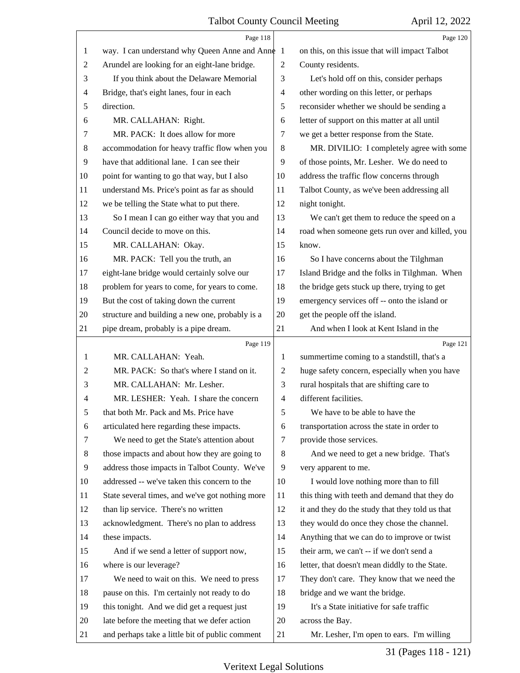|                | Page 118                                        |                | Page 120                                        |
|----------------|-------------------------------------------------|----------------|-------------------------------------------------|
| 1              | way. I can understand why Queen Anne and Anne 1 |                | on this, on this issue that will impact Talbot  |
| $\overline{c}$ | Arundel are looking for an eight-lane bridge.   | $\overline{c}$ | County residents.                               |
| 3              | If you think about the Delaware Memorial        | 3              | Let's hold off on this, consider perhaps        |
| 4              | Bridge, that's eight lanes, four in each        | 4              | other wording on this letter, or perhaps        |
| 5              | direction.                                      | 5              | reconsider whether we should be sending a       |
| 6              | MR. CALLAHAN: Right.                            | 6              | letter of support on this matter at all until   |
| 7              | MR. PACK: It does allow for more                | 7              | we get a better response from the State.        |
| 8              | accommodation for heavy traffic flow when you   | $\,8\,$        | MR. DIVILIO: I completely agree with some       |
| 9              | have that additional lane. I can see their      | 9              | of those points, Mr. Lesher. We do need to      |
| 10             | point for wanting to go that way, but I also    | 10             | address the traffic flow concerns through       |
| 11             | understand Ms. Price's point as far as should   | 11             | Talbot County, as we've been addressing all     |
| 12             | we be telling the State what to put there.      | 12             | night tonight.                                  |
| 13             | So I mean I can go either way that you and      | 13             | We can't get them to reduce the speed on a      |
| 14             | Council decide to move on this.                 | 14             | road when someone gets run over and killed, you |
| 15             | MR. CALLAHAN: Okay.                             | 15             | know.                                           |
| 16             | MR. PACK: Tell you the truth, an                | 16             | So I have concerns about the Tilghman           |
| 17             | eight-lane bridge would certainly solve our     | 17             | Island Bridge and the folks in Tilghman. When   |
| 18             | problem for years to come, for years to come.   | 18             | the bridge gets stuck up there, trying to get   |
| 19             | But the cost of taking down the current         | 19             | emergency services off -- onto the island or    |
| 20             | structure and building a new one, probably is a | 20             | get the people off the island.                  |
| 21             | pipe dream, probably is a pipe dream.           | 21             | And when I look at Kent Island in the           |
|                |                                                 |                |                                                 |
|                | Page 119                                        |                | Page 121                                        |
| 1              | MR. CALLAHAN: Yeah.                             | 1              | summertime coming to a standstill, that's a     |
| 2              | MR. PACK: So that's where I stand on it.        | $\overline{c}$ | huge safety concern, especially when you have   |
| 3              | MR. CALLAHAN: Mr. Lesher.                       | 3              | rural hospitals that are shifting care to       |
| 4              | MR. LESHER: Yeah. I share the concern           | $\overline{4}$ | different facilities.                           |
| 5              | that both Mr. Pack and Ms. Price have           | 5              | We have to be able to have the                  |
| 6              | articulated here regarding these impacts.       | 6              | transportation across the state in order to     |
| 7              | We need to get the State's attention about      | 7              | provide those services.                         |
| 8              | those impacts and about how they are going to   | 8              | And we need to get a new bridge. That's         |
| 9              | address those impacts in Talbot County. We've   | 9              | very apparent to me.                            |
| 10             | addressed -- we've taken this concern to the    | 10             | I would love nothing more than to fill          |
| 11             | State several times, and we've got nothing more | 11             | this thing with teeth and demand that they do   |
| 12             | than lip service. There's no written            | 12             | it and they do the study that they told us that |
| 13             | acknowledgment. There's no plan to address      | 13             | they would do once they chose the channel.      |
| 14             | these impacts.                                  | 14             | Anything that we can do to improve or twist     |
| 15             | And if we send a letter of support now,         | 15             | their arm, we can't -- if we don't send a       |
| 16             | where is our leverage?                          | 16             | letter, that doesn't mean diddly to the State.  |
| 17             | We need to wait on this. We need to press       | 17             | They don't care. They know that we need the     |
| 18             | pause on this. I'm certainly not ready to do    | 18             | bridge and we want the bridge.                  |
| 19             | this tonight. And we did get a request just     | 19             | It's a State initiative for safe traffic        |
| 20             | late before the meeting that we defer action    | 20             | across the Bay.                                 |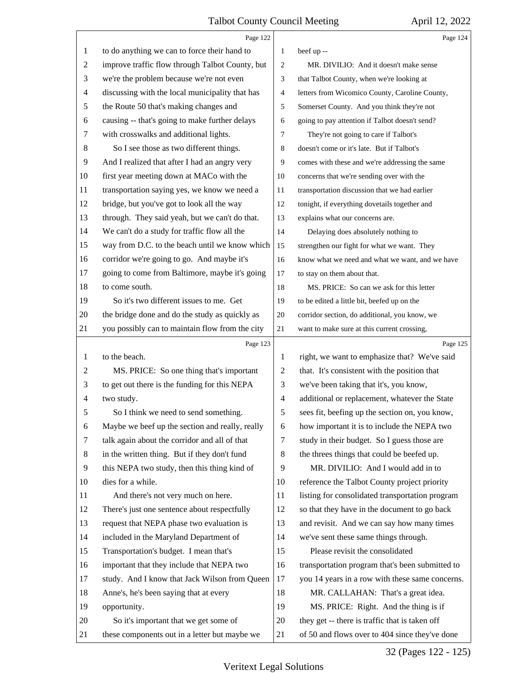|                | Page 122                                        |                | Page 124                                        |
|----------------|-------------------------------------------------|----------------|-------------------------------------------------|
| 1              | to do anything we can to force their hand to    | $\mathbf{1}$   | beef up --                                      |
| 2              | improve traffic flow through Talbot County, but | 2              | MR. DIVILIO: And it doesn't make sense          |
| 3              | we're the problem because we're not even        | 3              | that Talbot County, when we're looking at       |
| $\overline{4}$ | discussing with the local municipality that has | $\overline{4}$ | letters from Wicomico County, Caroline County,  |
| 5              | the Route 50 that's making changes and          | 5              | Somerset County. And you think they're not      |
| 6              | causing -- that's going to make further delays  | 6              | going to pay attention if Talbot doesn't send?  |
| 7              | with crosswalks and additional lights.          | 7              | They're not going to care if Talbot's           |
| 8              | So I see those as two different things.         | 8              | doesn't come or it's late. But if Talbot's      |
| 9              | And I realized that after I had an angry very   | 9              | comes with these and we're addressing the same  |
| 10             | first year meeting down at MACo with the        | 10             | concerns that we're sending over with the       |
| 11             | transportation saying yes, we know we need a    | 11             | transportation discussion that we had earlier   |
| 12             | bridge, but you've got to look all the way      | 12             | tonight, if everything dovetails together and   |
| 13             | through. They said yeah, but we can't do that.  | 13             | explains what our concerns are.                 |
| 14             | We can't do a study for traffic flow all the    | 14             | Delaying does absolutely nothing to             |
| 15             | way from D.C. to the beach until we know which  | 15             | strengthen our fight for what we want. They     |
| 16             | corridor we're going to go. And maybe it's      | 16             | know what we need and what we want, and we have |
| 17             | going to come from Baltimore, maybe it's going  | 17             | to stay on them about that.                     |
| 18             | to come south.                                  | 18             | MS. PRICE: So can we ask for this letter        |
| 19             | So it's two different issues to me. Get         | 19             | to be edited a little bit, beefed up on the     |
| 20             | the bridge done and do the study as quickly as  | 20             | corridor section, do additional, you know, we   |
| 21             | you possibly can to maintain flow from the city | 21             | want to make sure at this current crossing,     |
|                | Page 123                                        |                | Page 125                                        |
| 1              | to the beach.                                   | 1              | right, we want to emphasize that? We've said    |
| $\overline{c}$ | MS. PRICE: So one thing that's important        | $\overline{2}$ | that. It's consistent with the position that    |
| 3              | to get out there is the funding for this NEPA   | 3              | we've been taking that it's, you know,          |
|                |                                                 |                |                                                 |
| 4              | two study.                                      | $\overline{4}$ | additional or replacement, whatever the State   |
| 5              | So I think we need to send something.           | 5              | sees fit, beefing up the section on, you know,  |
| 6              | Maybe we beef up the section and really, really | 6              | how important it is to include the NEPA two     |
| 7              | talk again about the corridor and all of that   | 7              | study in their budget. So I guess those are     |
| 8              | in the written thing. But if they don't fund    | 8              | the threes things that could be beefed up.      |
| 9              | this NEPA two study, then this thing kind of    | 9              | MR. DIVILIO: And I would add in to              |
| 10             | dies for a while.                               | 10             | reference the Talbot County project priority    |
| 11             | And there's not very much on here.              | 11             | listing for consolidated transportation program |
| 12             | There's just one sentence about respectfully    | 12             | so that they have in the document to go back    |
| 13             | request that NEPA phase two evaluation is       | 13             | and revisit. And we can say how many times      |
| 14             | included in the Maryland Department of          | 14             | we've sent these same things through.           |
| 15             | Transportation's budget. I mean that's          | 15             | Please revisit the consolidated                 |
| 16             | important that they include that NEPA two       | 16             | transportation program that's been submitted to |
| 17             | study. And I know that Jack Wilson from Queen   | 17             | you 14 years in a row with these same concerns. |
| 18             | Anne's, he's been saying that at every          | 18             | MR. CALLAHAN: That's a great idea.              |
| 19             | opportunity.                                    | 19             | MS. PRICE: Right. And the thing is if           |
| 20             | So it's important that we get some of           | 20             | they get -- there is traffic that is taken off  |

32 (Pages 122 - 125)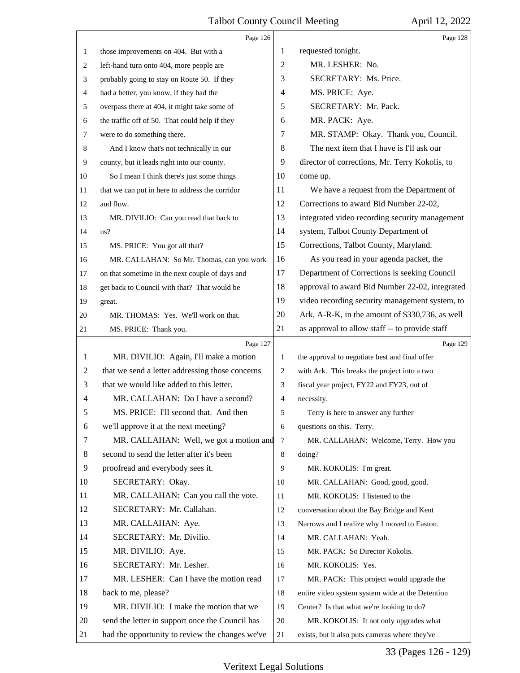|    | Page 126                                        |    | Page 128                                         |
|----|-------------------------------------------------|----|--------------------------------------------------|
| 1  | those improvements on 404. But with a           | 1  | requested tonight.                               |
| 2  | left-hand turn onto 404, more people are        | 2  | MR. LESHER: No.                                  |
| 3  | probably going to stay on Route 50. If they     | 3  | SECRETARY: Ms. Price.                            |
| 4  | had a better, you know, if they had the         | 4  | MS. PRICE: Aye.                                  |
| 5  | overpass there at 404, it might take some of    | 5  | SECRETARY: Mr. Pack.                             |
| 6  | the traffic off of 50. That could help if they  | 6  | MR. PACK: Aye.                                   |
| 7  | were to do something there.                     | 7  | MR. STAMP: Okay. Thank you, Council.             |
| 8  | And I know that's not technically in our        | 8  | The next item that I have is I'll ask our        |
| 9  | county, but it leads right into our county.     | 9  | director of corrections, Mr. Terry Kokolis, to   |
| 10 | So I mean I think there's just some things      | 10 | come up.                                         |
| 11 | that we can put in here to address the corridor | 11 | We have a request from the Department of         |
| 12 | and flow.                                       | 12 | Corrections to award Bid Number 22-02,           |
| 13 | MR. DIVILIO: Can you read that back to          | 13 | integrated video recording security management   |
| 14 | us?                                             | 14 | system, Talbot County Department of              |
| 15 | MS. PRICE: You got all that?                    | 15 | Corrections, Talbot County, Maryland.            |
| 16 | MR. CALLAHAN: So Mr. Thomas, can you work       | 16 | As you read in your agenda packet, the           |
| 17 | on that sometime in the next couple of days and | 17 | Department of Corrections is seeking Council     |
| 18 | get back to Council with that? That would be    | 18 | approval to award Bid Number 22-02, integrated   |
| 19 | great.                                          | 19 | video recording security management system, to   |
| 20 | MR. THOMAS: Yes. We'll work on that.            | 20 | Ark, A-R-K, in the amount of \$330,736, as well  |
| 21 | MS. PRICE: Thank you.                           | 21 | as approval to allow staff -- to provide staff   |
|    |                                                 |    |                                                  |
|    | Page 127                                        |    | Page 129                                         |
| 1  | MR. DIVILIO: Again, I'll make a motion          | 1  | the approval to negotiate best and final offer   |
| 2  | that we send a letter addressing those concerns | 2  | with Ark. This breaks the project into a two     |
| 3  | that we would like added to this letter.        | 3  | fiscal year project, FY22 and FY23, out of       |
| 4  | MR. CALLAHAN: Do I have a second?               | 4  | necessity.                                       |
| 5  | MS. PRICE: I'll second that. And then           | 5  | Terry is here to answer any further              |
| 6  | we'll approve it at the next meeting?           | 6  | questions on this. Terry.                        |
| 7  | MR. CALLAHAN: Well, we got a motion and         | 7  | MR. CALLAHAN: Welcome, Terry. How you            |
| 8  | second to send the letter after it's been       | 8  | doing?                                           |
| 9  | proofread and everybody sees it.                | 9  | MR. KOKOLIS: I'm great.                          |
| 10 | SECRETARY: Okay.                                | 10 | MR. CALLAHAN: Good, good, good.                  |
| 11 | MR. CALLAHAN: Can you call the vote.            | 11 | MR. KOKOLIS: I listened to the                   |
| 12 | SECRETARY: Mr. Callahan.                        | 12 | conversation about the Bay Bridge and Kent       |
| 13 | MR. CALLAHAN: Aye.                              | 13 | Narrows and I realize why I moved to Easton.     |
| 14 | SECRETARY: Mr. Divilio.                         | 14 | MR. CALLAHAN: Yeah.                              |
| 15 | MR. DIVILIO: Aye.                               | 15 | MR. PACK: So Director Kokolis.                   |
| 16 | SECRETARY: Mr. Lesher.                          | 16 | MR. KOKOLIS: Yes.                                |
| 17 | MR. LESHER: Can I have the motion read          | 17 | MR. PACK: This project would upgrade the         |
| 18 | back to me, please?                             | 18 | entire video system system wide at the Detention |
| 19 | MR. DIVILIO: I make the motion that we          | 19 | Center? Is that what we're looking to do?        |
| 20 | send the letter in support once the Council has | 20 | MR. KOKOLIS: It not only upgrades what           |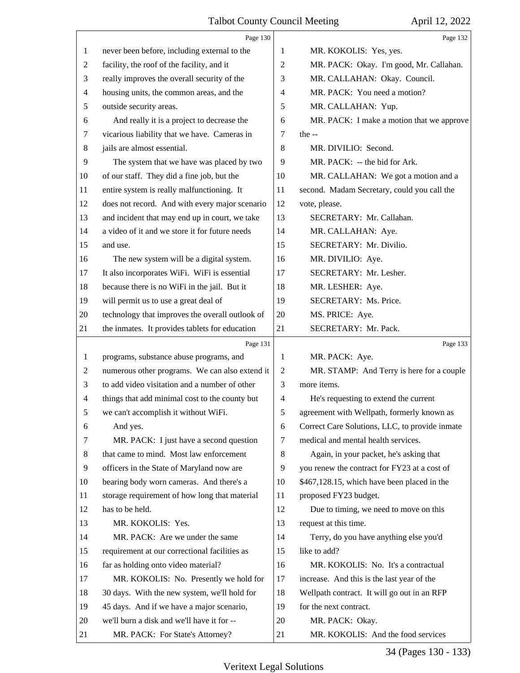|              | Page 130                                        |                | Page 132                                       |
|--------------|-------------------------------------------------|----------------|------------------------------------------------|
| 1            | never been before, including external to the    | 1              | MR. KOKOLIS: Yes, yes.                         |
| 2            | facility, the roof of the facility, and it      | $\mathfrak{2}$ | MR. PACK: Okay. I'm good, Mr. Callahan.        |
| 3            | really improves the overall security of the     | 3              | MR. CALLAHAN: Okay. Council.                   |
| 4            | housing units, the common areas, and the        | $\overline{4}$ | MR. PACK: You need a motion?                   |
| 5            | outside security areas.                         | 5              | MR. CALLAHAN: Yup.                             |
| 6            | And really it is a project to decrease the      | 6              | MR. PACK: I make a motion that we approve      |
| 7            | vicarious liability that we have. Cameras in    | 7              | the $-$                                        |
| 8            | jails are almost essential.                     | 8              | MR. DIVILIO: Second.                           |
| 9            | The system that we have was placed by two       | 9              | MR. PACK: -- the bid for Ark.                  |
| 10           | of our staff. They did a fine job, but the      | 10             | MR. CALLAHAN: We got a motion and a            |
| 11           | entire system is really malfunctioning. It      | 11             | second. Madam Secretary, could you call the    |
| 12           | does not record. And with every major scenario  | 12             | vote, please.                                  |
| 13           | and incident that may end up in court, we take  | 13             | SECRETARY: Mr. Callahan.                       |
| 14           | a video of it and we store it for future needs  | 14             | MR. CALLAHAN: Aye.                             |
| 15           | and use.                                        | 15             | SECRETARY: Mr. Divilio.                        |
| 16           | The new system will be a digital system.        | 16             | MR. DIVILIO: Aye.                              |
| 17           | It also incorporates WiFi. WiFi is essential    | 17             | SECRETARY: Mr. Lesher.                         |
| 18           | because there is no WiFi in the jail. But it    | 18             | MR. LESHER: Aye.                               |
| 19           | will permit us to use a great deal of           | 19             | SECRETARY: Ms. Price.                          |
| 20           | technology that improves the overall outlook of | 20             | MS. PRICE: Aye.                                |
| 21           | the inmates. It provides tablets for education  | 21             | SECRETARY: Mr. Pack.                           |
|              | Page 131                                        |                | Page 133                                       |
| $\mathbf{1}$ | programs, substance abuse programs, and         | $\mathbf{1}$   | MR. PACK: Aye.                                 |
|              |                                                 |                |                                                |
| 2            | numerous other programs. We can also extend it  | $\overline{c}$ | MR. STAMP: And Terry is here for a couple      |
| 3            | to add video visitation and a number of other   | 3              | more items.                                    |
| 4            | things that add minimal cost to the county but  | $\overline{4}$ | He's requesting to extend the current          |
| 5            | we can't accomplish it without WiFi.            | 5              | agreement with Wellpath, formerly known as     |
| 6            | And yes.                                        | 6              | Correct Care Solutions, LLC, to provide inmate |
| 7            | MR. PACK: I just have a second question         | 7              | medical and mental health services.            |
| 8            | that came to mind. Most law enforcement         | 8              | Again, in your packet, he's asking that        |
| 9            | officers in the State of Maryland now are       | 9              | you renew the contract for FY23 at a cost of   |
| 10           | bearing body worn cameras. And there's a        | 10             | \$467,128.15, which have been placed in the    |
| 11           | storage requirement of how long that material   | 11             | proposed FY23 budget.                          |
| 12           | has to be held.                                 | 12             | Due to timing, we need to move on this         |
| 13           | MR. KOKOLIS: Yes.                               | 13             | request at this time.                          |
| 14           | MR. PACK: Are we under the same                 | 14             | Terry, do you have anything else you'd         |
| 15           | requirement at our correctional facilities as   | 15             | like to add?                                   |
| 16           | far as holding onto video material?             | 16             | MR. KOKOLIS: No. It's a contractual            |
| 17           | MR. KOKOLIS: No. Presently we hold for          | 17             | increase. And this is the last year of the     |
| 18           | 30 days. With the new system, we'll hold for    | 18             | Wellpath contract. It will go out in an RFP    |
| 19           | 45 days. And if we have a major scenario,       | 19             | for the next contract.                         |
| 20           | we'll burn a disk and we'll have it for --      | 20             | MR. PACK: Okay.                                |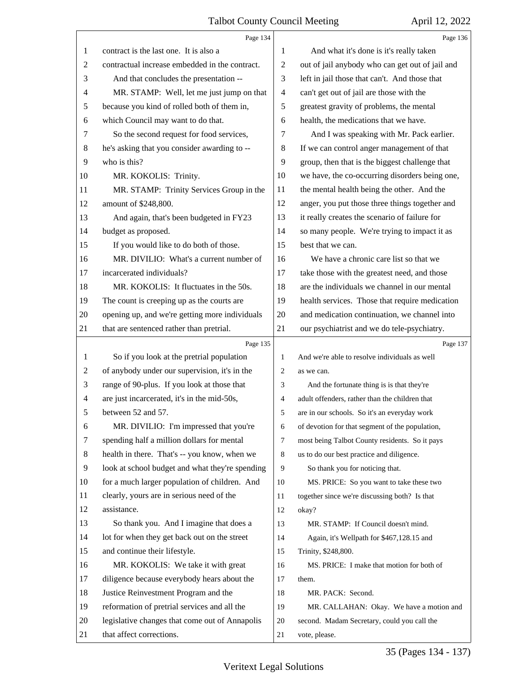|                | Page 134                                        |                | Page 136                                        |
|----------------|-------------------------------------------------|----------------|-------------------------------------------------|
| 1              | contract is the last one. It is also a          | 1              | And what it's done is it's really taken         |
| $\overline{c}$ | contractual increase embedded in the contract.  | $\overline{2}$ | out of jail anybody who can get out of jail and |
| 3              | And that concludes the presentation --          | 3              | left in jail those that can't. And those that   |
| $\overline{4}$ | MR. STAMP: Well, let me just jump on that       | $\overline{4}$ | can't get out of jail are those with the        |
| 5              | because you kind of rolled both of them in,     | 5              | greatest gravity of problems, the mental        |
| 6              | which Council may want to do that.              | 6              | health, the medications that we have.           |
| 7              | So the second request for food services,        | 7              | And I was speaking with Mr. Pack earlier.       |
| 8              | he's asking that you consider awarding to --    | $\,8$          | If we can control anger management of that      |
| 9              | who is this?                                    | 9              | group, then that is the biggest challenge that  |
| 10             | MR. KOKOLIS: Trinity.                           | 10             | we have, the co-occurring disorders being one,  |
| 11             | MR. STAMP: Trinity Services Group in the        | 11             | the mental health being the other. And the      |
| 12             | amount of \$248,800.                            | 12             | anger, you put those three things together and  |
| 13             | And again, that's been budgeted in FY23         | 13             | it really creates the scenario of failure for   |
| 14             | budget as proposed.                             | 14             | so many people. We're trying to impact it as    |
| 15             | If you would like to do both of those.          | 15             | best that we can.                               |
| 16             | MR. DIVILIO: What's a current number of         | 16             | We have a chronic care list so that we          |
| 17             | incarcerated individuals?                       | 17             | take those with the greatest need, and those    |
| 18             | MR. KOKOLIS: It fluctuates in the 50s.          | 18             | are the individuals we channel in our mental    |
| 19             | The count is creeping up as the courts are      | 19             | health services. Those that require medication  |
| 20             | opening up, and we're getting more individuals  | 20             | and medication continuation, we channel into    |
| 21             | that are sentenced rather than pretrial.        | 21             | our psychiatrist and we do tele-psychiatry.     |
|                | Page 135                                        |                | Page 137                                        |
| $\mathbf{1}$   | So if you look at the pretrial population       | $\mathbf{1}$   | And we're able to resolve individuals as well   |
| $\overline{c}$ | of anybody under our supervision, it's in the   | 2              | as we can.                                      |
| 3              | range of 90-plus. If you look at those that     | 3              | And the fortunate thing is is that they're      |
| 4              | are just incarcerated, it's in the mid-50s,     | $\overline{4}$ | adult offenders, rather than the children that  |
| 5              | between 52 and 57.                              | 5              | are in our schools. So it's an everyday work    |
| 6              | MR. DIVILIO: I'm impressed that you're          | 6              | of devotion for that segment of the population, |
| 7              | spending half a million dollars for mental      | $\tau$         | most being Talbot County residents. So it pays  |
| 8              | health in there. That's -- you know, when we    | 8              | us to do our best practice and diligence.       |
| 9              | look at school budget and what they're spending | 9              | So thank you for noticing that.                 |
| 10             | for a much larger population of children. And   | 10             | MS. PRICE: So you want to take these two        |
| 11             | clearly, yours are in serious need of the       | 11             | together since we're discussing both? Is that   |
| 12             | assistance.                                     | 12             | okay?                                           |
| 13             | So thank you. And I imagine that does a         | 13             | MR. STAMP: If Council doesn't mind.             |
| 14             | lot for when they get back out on the street    | 14             | Again, it's Wellpath for \$467,128.15 and       |
| 15             | and continue their lifestyle.                   | 15             | Trinity, \$248,800.                             |
| 16             | MR. KOKOLIS: We take it with great              | 16             | MS. PRICE: I make that motion for both of       |
| 17             | diligence because everybody hears about the     | 17             | them.                                           |
| 18             | Justice Reinvestment Program and the            | 18             | MR. PACK: Second.                               |
| 19             |                                                 |                |                                                 |
|                | reformation of pretrial services and all the    | 19             | MR. CALLAHAN: Okay. We have a motion and        |
| 20             | legislative changes that come out of Annapolis  | 20             | second. Madam Secretary, could you call the     |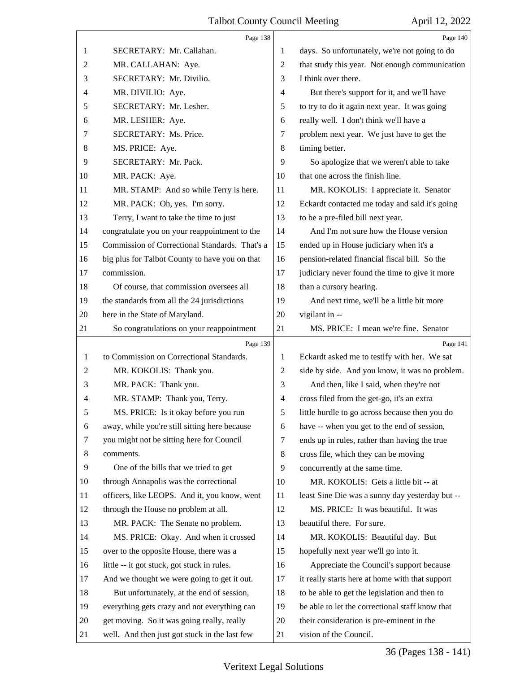|    | Page 138                                       |                | Page 140                                        |
|----|------------------------------------------------|----------------|-------------------------------------------------|
| 1  | SECRETARY: Mr. Callahan.                       | 1              | days. So unfortunately, we're not going to do   |
| 2  | MR. CALLAHAN: Aye.                             | 2              | that study this year. Not enough communication  |
| 3  | SECRETARY: Mr. Divilio.                        | 3              | I think over there.                             |
| 4  | MR. DIVILIO: Aye.                              | $\overline{4}$ | But there's support for it, and we'll have      |
| 5  | SECRETARY: Mr. Lesher.                         | 5              | to try to do it again next year. It was going   |
| 6  | MR. LESHER: Aye.                               | 6              | really well. I don't think we'll have a         |
| 7  | SECRETARY: Ms. Price.                          | 7              | problem next year. We just have to get the      |
| 8  | MS. PRICE: Aye.                                | 8              | timing better.                                  |
| 9  | SECRETARY: Mr. Pack.                           | 9              | So apologize that we weren't able to take       |
| 10 | MR. PACK: Aye.                                 | 10             | that one across the finish line.                |
| 11 | MR. STAMP: And so while Terry is here.         | 11             | MR. KOKOLIS: I appreciate it. Senator           |
| 12 | MR. PACK: Oh, yes. I'm sorry.                  | 12             | Eckardt contacted me today and said it's going  |
| 13 | Terry, I want to take the time to just         | 13             | to be a pre-filed bill next year.               |
| 14 | congratulate you on your reappointment to the  | 14             | And I'm not sure how the House version          |
| 15 | Commission of Correctional Standards. That's a | 15             | ended up in House judiciary when it's a         |
| 16 | big plus for Talbot County to have you on that | 16             | pension-related financial fiscal bill. So the   |
| 17 | commission.                                    | 17             | judiciary never found the time to give it more  |
| 18 | Of course, that commission oversees all        | 18             | than a cursory hearing.                         |
| 19 | the standards from all the 24 jurisdictions    | 19             | And next time, we'll be a little bit more       |
| 20 | here in the State of Maryland.                 | 20             | vigilant in --                                  |
| 21 | So congratulations on your reappointment       | 21             | MS. PRICE: I mean we're fine. Senator           |
|    |                                                |                |                                                 |
|    | Page 139                                       |                | Page 141                                        |
| 1  | to Commission on Correctional Standards.       | 1              | Eckardt asked me to testify with her. We sat    |
| 2  | MR. KOKOLIS: Thank you.                        | 2              | side by side. And you know, it was no problem.  |
| 3  | MR. PACK: Thank you.                           | 3              | And then, like I said, when they're not         |
| 4  | MR. STAMP: Thank you, Terry.                   | 4              | cross filed from the get-go, it's an extra      |
| C  | MS. PRICE: Is it okay before you run           | 5              | little hurdle to go across because then you do  |
| 6  | away, while you're still sitting here because  | 6              | have -- when you get to the end of session,     |
| 7  | you might not be sitting here for Council      | 7              | ends up in rules, rather than having the true   |
| 8  | comments.                                      | 8              | cross file, which they can be moving            |
| 9  | One of the bills that we tried to get          | 9              | concurrently at the same time.                  |
| 10 | through Annapolis was the correctional         | 10             | MR. KOKOLIS: Gets a little bit -- at            |
| 11 | officers, like LEOPS. And it, you know, went   | 11             | least Sine Die was a sunny day yesterday but -- |
| 12 | through the House no problem at all.           | 12             | MS. PRICE: It was beautiful. It was             |
| 13 | MR. PACK: The Senate no problem.               | 13             | beautiful there. For sure.                      |
| 14 | MS. PRICE: Okay. And when it crossed           | 14             | MR. KOKOLIS: Beautiful day. But                 |
| 15 | over to the opposite House, there was a        | 15             | hopefully next year we'll go into it.           |
| 16 | little -- it got stuck, got stuck in rules.    | 16             | Appreciate the Council's support because        |
| 17 | And we thought we were going to get it out.    | 17             | it really starts here at home with that support |
| 18 | But unfortunately, at the end of session,      | 18             | to be able to get the legislation and then to   |
| 19 | everything gets crazy and not everything can   | 19             | be able to let the correctional staff know that |
| 20 | get moving. So it was going really, really     | 20             | their consideration is pre-eminent in the       |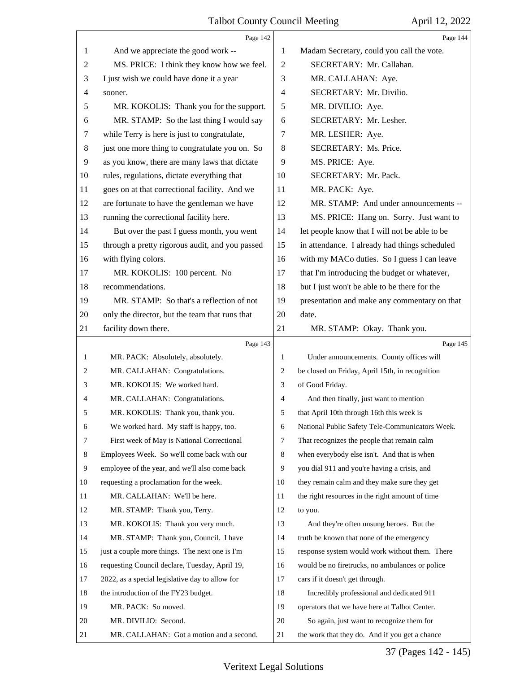<span id="page-36-0"></span>

|                | Page 142                                        |                          | Page 144                                        |
|----------------|-------------------------------------------------|--------------------------|-------------------------------------------------|
| 1              | And we appreciate the good work --              | 1                        | Madam Secretary, could you call the vote.       |
| $\overline{c}$ | MS. PRICE: I think they know how we feel.       | $\overline{2}$           | SECRETARY: Mr. Callahan.                        |
| 3              | I just wish we could have done it a year        | 3                        | MR. CALLAHAN: Aye.                              |
| $\overline{4}$ | sooner.                                         | $\overline{\mathcal{A}}$ | SECRETARY: Mr. Divilio.                         |
| 5              | MR. KOKOLIS: Thank you for the support.         | 5                        | MR. DIVILIO: Aye.                               |
| 6              | MR. STAMP: So the last thing I would say        | 6                        | SECRETARY: Mr. Lesher.                          |
| 7              | while Terry is here is just to congratulate,    | $\tau$                   | MR. LESHER: Aye.                                |
| $8\,$          | just one more thing to congratulate you on. So  | $\,8\,$                  | SECRETARY: Ms. Price.                           |
| 9              | as you know, there are many laws that dictate   | 9                        | MS. PRICE: Aye.                                 |
| 10             | rules, regulations, dictate everything that     | 10                       | SECRETARY: Mr. Pack.                            |
| 11             | goes on at that correctional facility. And we   | 11                       | MR. PACK: Aye.                                  |
| 12             | are fortunate to have the gentleman we have     | 12                       | MR. STAMP: And under announcements --           |
| 13             | running the correctional facility here.         | 13                       | MS. PRICE: Hang on. Sorry. Just want to         |
| 14             | But over the past I guess month, you went       | 14                       | let people know that I will not be able to be   |
| 15             | through a pretty rigorous audit, and you passed | 15                       | in attendance. I already had things scheduled   |
| 16             | with flying colors.                             | 16                       | with my MACo duties. So I guess I can leave     |
| 17             | MR. KOKOLIS: 100 percent. No                    | 17                       | that I'm introducing the budget or whatever,    |
| 18             | recommendations.                                | 18                       | but I just won't be able to be there for the    |
| 19             | MR. STAMP: So that's a reflection of not        | 19                       | presentation and make any commentary on that    |
| 20             | only the director, but the team that runs that  | 20                       | date.                                           |
| 21             | facility down there.                            | 21                       | MR. STAMP: Okay. Thank you.                     |
|                |                                                 |                          |                                                 |
|                | Page 143                                        |                          | Page 145                                        |
| 1              | MR. PACK: Absolutely, absolutely.               | 1                        | Under announcements. County offices will        |
| 2              | MR. CALLAHAN: Congratulations.                  | 2                        | be closed on Friday, April 15th, in recognition |
| 3              | MR. KOKOLIS: We worked hard.                    | 3                        | of Good Friday.                                 |
| 4              | MR. CALLAHAN: Congratulations.                  | 4                        | And then finally, just want to mention          |
| 5              | MR. KOKOLIS: Thank you, thank you.              | 5                        | that April 10th through 16th this week is       |
| 6              | We worked hard. My staff is happy, too.         | 6                        | National Public Safety Tele-Communicators Week. |
| 7              | First week of May is National Correctional      | 7                        | That recognizes the people that remain calm     |
| 8              | Employees Week. So we'll come back with our     | 8                        | when everybody else isn't. And that is when     |
| 9              | employee of the year, and we'll also come back  | 9                        | you dial 911 and you're having a crisis, and    |
| 10             | requesting a proclamation for the week.         | 10                       | they remain calm and they make sure they get    |
| 11             | MR. CALLAHAN: We'll be here.                    | 11                       | the right resources in the right amount of time |
| 12             | MR. STAMP: Thank you, Terry.                    | 12                       | to you.                                         |
| 13             | MR. KOKOLIS: Thank you very much.               | 13                       | And they're often unsung heroes. But the        |
| 14             | MR. STAMP: Thank you, Council. I have           | 14                       | truth be known that none of the emergency       |
| 15             | just a couple more things. The next one is I'm  | 15                       | response system would work without them. There  |
| 16             | requesting Council declare, Tuesday, April 19,  | 16                       | would be no firetrucks, no ambulances or police |
| 17             | 2022, as a special legislative day to allow for | 17                       | cars if it doesn't get through.                 |
| 18             | the introduction of the FY23 budget.            | 18                       | Incredibly professional and dedicated 911       |
| 19             | MR. PACK: So moved.                             | 19                       | operators that we have here at Talbot Center.   |
| 20             | MR. DIVILIO: Second.                            | 20                       | So again, just want to recognize them for       |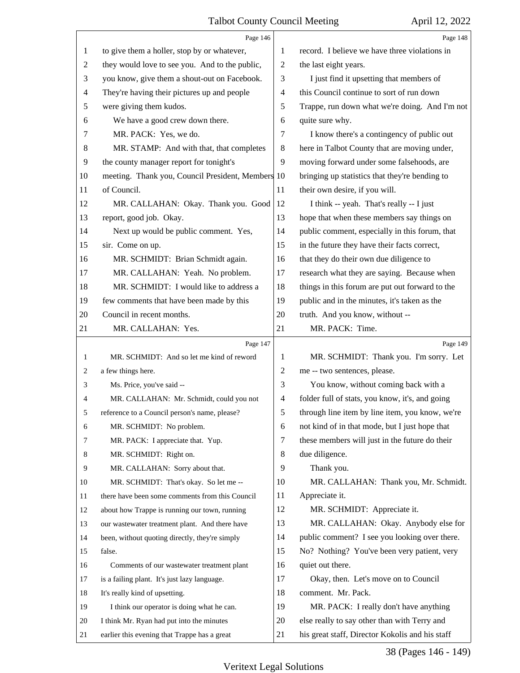<span id="page-37-0"></span>

|                | Page 146                                          |    | Page 148                                        |
|----------------|---------------------------------------------------|----|-------------------------------------------------|
| 1              | to give them a holler, stop by or whatever,       | 1  | record. I believe we have three violations in   |
| $\overline{c}$ | they would love to see you. And to the public,    | 2  | the last eight years.                           |
| 3              | you know, give them a shout-out on Facebook.      | 3  | I just find it upsetting that members of        |
| $\overline{4}$ | They're having their pictures up and people       | 4  | this Council continue to sort of run down       |
| 5              | were giving them kudos.                           | 5  | Trappe, run down what we're doing. And I'm not  |
| 6              | We have a good crew down there.                   | 6  | quite sure why.                                 |
| 7              | MR. PACK: Yes, we do.                             | 7  | I know there's a contingency of public out      |
| 8              | MR. STAMP: And with that, that completes          | 8  | here in Talbot County that are moving under,    |
| 9              | the county manager report for tonight's           | 9  | moving forward under some falsehoods, are       |
| 10             | meeting. Thank you, Council President, Members 10 |    | bringing up statistics that they're bending to  |
| 11             | of Council.                                       | 11 | their own desire, if you will.                  |
| 12             | MR. CALLAHAN: Okay. Thank you. Good               | 12 | I think -- yeah. That's really -- I just        |
| 13             | report, good job. Okay.                           | 13 | hope that when these members say things on      |
| 14             | Next up would be public comment. Yes,             | 14 | public comment, especially in this forum, that  |
| 15             | sir. Come on up.                                  | 15 | in the future they have their facts correct,    |
| 16             | MR. SCHMIDT: Brian Schmidt again.                 | 16 | that they do their own due diligence to         |
| 17             | MR. CALLAHAN: Yeah. No problem.                   | 17 | research what they are saying. Because when     |
| 18             | MR. SCHMIDT: I would like to address a            | 18 | things in this forum are put out forward to the |
| 19             | few comments that have been made by this          | 19 | public and in the minutes, it's taken as the    |
| 20             | Council in recent months.                         | 20 | truth. And you know, without --                 |
| 21             | MR. CALLAHAN: Yes.                                | 21 | MR. PACK: Time.                                 |
|                | Page 147                                          |    | Page 149                                        |
| 1              | MR. SCHMIDT: And so let me kind of reword         | 1  | MR. SCHMIDT: Thank you. I'm sorry. Let          |
| 2              | a few things here.                                | 2  | me -- two sentences, please.                    |
| 3              | Ms. Price, you've said --                         | 3  | You know, without coming back with a            |
| 4              | MR. CALLAHAN: Mr. Schmidt, could you not          | 4  | folder full of stats, you know, it's, and going |
| 5              | reference to a Council person's name, please?     | 5  | through line item by line item, you know, we're |
| 6              | MR. SCHMIDT: No problem.                          | 6  | not kind of in that mode, but I just hope that  |
| 7              | MR. PACK: I appreciate that. Yup.                 | 7  | these members will just in the future do their  |
| 8              | MR. SCHMIDT: Right on.                            | 8  | due diligence.                                  |
| 9              | MR. CALLAHAN: Sorry about that.                   | 9  | Thank you.                                      |
| 10             | MR. SCHMIDT: That's okay. So let me --            | 10 | MR. CALLAHAN: Thank you, Mr. Schmidt.           |
| 11             | there have been some comments from this Council   | 11 | Appreciate it.                                  |
| 12             |                                                   |    | MR. SCHMIDT: Appreciate it.                     |
| 13             | about how Trappe is running our town, running     | 12 |                                                 |
|                | our wastewater treatment plant. And there have    | 13 | MR. CALLAHAN: Okay. Anybody else for            |
| 14             | been, without quoting directly, they're simply    | 14 | public comment? I see you looking over there.   |
| 15             | false.                                            | 15 | No? Nothing? You've been very patient, very     |
| 16             | Comments of our wastewater treatment plant        | 16 | quiet out there.                                |
| 17             | is a failing plant. It's just lazy language.      | 17 | Okay, then. Let's move on to Council            |
| 18             | It's really kind of upsetting.                    | 18 | comment. Mr. Pack.                              |
| 19             | I think our operator is doing what he can.        | 19 | MR. PACK: I really don't have anything          |
| 20             | I think Mr. Ryan had put into the minutes         | 20 | else really to say other than with Terry and    |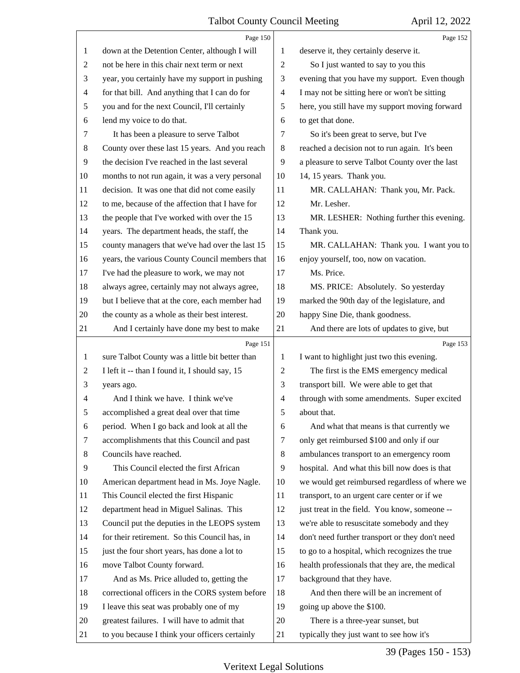<span id="page-38-0"></span>

|                | Page 150                                        |                | Page 152                                        |
|----------------|-------------------------------------------------|----------------|-------------------------------------------------|
| 1              | down at the Detention Center, although I will   | 1              | deserve it, they certainly deserve it.          |
| $\overline{c}$ | not be here in this chair next term or next     | $\overline{2}$ | So I just wanted to say to you this             |
| 3              | year, you certainly have my support in pushing  | 3              | evening that you have my support. Even though   |
| $\overline{4}$ | for that bill. And anything that I can do for   | $\overline{4}$ | I may not be sitting here or won't be sitting   |
| $\sqrt{5}$     | you and for the next Council, I'll certainly    | 5              | here, you still have my support moving forward  |
| 6              | lend my voice to do that.                       | 6              | to get that done.                               |
| 7              | It has been a pleasure to serve Talbot          | 7              | So it's been great to serve, but I've           |
| 8              | County over these last 15 years. And you reach  | $\,8\,$        | reached a decision not to run again. It's been  |
| 9              | the decision I've reached in the last several   | 9              | a pleasure to serve Talbot County over the last |
| 10             | months to not run again, it was a very personal | 10             | 14, 15 years. Thank you.                        |
| 11             | decision. It was one that did not come easily   | 11             | MR. CALLAHAN: Thank you, Mr. Pack.              |
| 12             | to me, because of the affection that I have for | 12             | Mr. Lesher.                                     |
| 13             | the people that I've worked with over the 15    | 13             | MR. LESHER: Nothing further this evening.       |
| 14             | years. The department heads, the staff, the     | 14             | Thank you.                                      |
| 15             | county managers that we've had over the last 15 | 15             | MR. CALLAHAN: Thank you. I want you to          |
| 16             | years, the various County Council members that  | 16             | enjoy yourself, too, now on vacation.           |
| 17             | I've had the pleasure to work, we may not       | 17             | Ms. Price.                                      |
| 18             | always agree, certainly may not always agree,   | 18             | MS. PRICE: Absolutely. So yesterday             |
| 19             | but I believe that at the core, each member had | 19             | marked the 90th day of the legislature, and     |
| 20             | the county as a whole as their best interest.   | 20             | happy Sine Die, thank goodness.                 |
| 21             | And I certainly have done my best to make       | 21             | And there are lots of updates to give, but      |
|                |                                                 |                |                                                 |
|                | Page 151                                        |                | Page 153                                        |
| 1              | sure Talbot County was a little bit better than | 1              | I want to highlight just two this evening.      |
| $\overline{2}$ | I left it -- than I found it, I should say, 15  | $\overline{2}$ | The first is the EMS emergency medical          |
| 3              | years ago.                                      | 3              | transport bill. We were able to get that        |
| 4              | And I think we have. I think we've              | $\overline{4}$ | through with some amendments. Super excited     |
| 5              | accomplished a great deal over that time        | 5              | about that.                                     |
| 6              | period. When I go back and look at all the      | 6              | And what that means is that currently we        |
| 7              | accomplishments that this Council and past      | 7              | only get reimbursed \$100 and only if our       |
| 8              | Councils have reached.                          | 8              | ambulances transport to an emergency room       |
| 9              | This Council elected the first African          | 9              | hospital. And what this bill now does is that   |
| 10             | American department head in Ms. Joye Nagle.     | 10             | we would get reimbursed regardless of where we  |
| 11             | This Council elected the first Hispanic         | 11             | transport, to an urgent care center or if we    |
| 12             | department head in Miguel Salinas. This         | 12             | just treat in the field. You know, someone --   |
| 13             | Council put the deputies in the LEOPS system    | 13             | we're able to resuscitate somebody and they     |
| 14             | for their retirement. So this Council has, in   | 14             | don't need further transport or they don't need |
| 15             | just the four short years, has done a lot to    | 15             | to go to a hospital, which recognizes the true  |
| 16             | move Talbot County forward.                     | 16             | health professionals that they are, the medical |
| 17             | And as Ms. Price alluded to, getting the        | 17             | background that they have.                      |
| 18             | correctional officers in the CORS system before | 18             | And then there will be an increment of          |
| 19             | I leave this seat was probably one of my        | 19             | going up above the \$100.                       |
| 20             | greatest failures. I will have to admit that    | 20             | There is a three-year sunset, but               |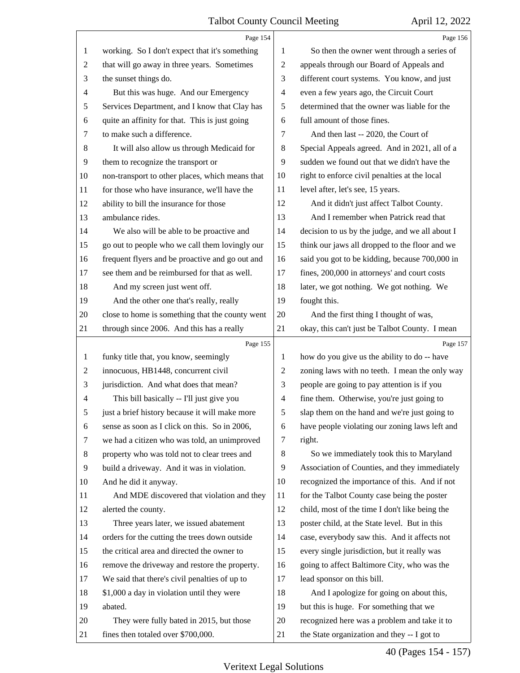<span id="page-39-0"></span>

|                | Page 154                                        |                          | Page 156                                        |
|----------------|-------------------------------------------------|--------------------------|-------------------------------------------------|
| $\mathbf{1}$   | working. So I don't expect that it's something  | 1                        | So then the owner went through a series of      |
| $\overline{c}$ | that will go away in three years. Sometimes     | $\sqrt{2}$               | appeals through our Board of Appeals and        |
| 3              | the sunset things do.                           | 3                        | different court systems. You know, and just     |
| 4              | But this was huge. And our Emergency            | $\overline{\mathcal{A}}$ | even a few years ago, the Circuit Court         |
| 5              | Services Department, and I know that Clay has   | 5                        | determined that the owner was liable for the    |
| 6              | quite an affinity for that. This is just going  | 6                        | full amount of those fines.                     |
| 7              | to make such a difference.                      | 7                        | And then last -- 2020, the Court of             |
| 8              | It will also allow us through Medicaid for      | 8                        | Special Appeals agreed. And in 2021, all of a   |
| $\overline{9}$ | them to recognize the transport or              | 9                        | sudden we found out that we didn't have the     |
| 10             | non-transport to other places, which means that | 10                       | right to enforce civil penalties at the local   |
| 11             | for those who have insurance, we'll have the    | 11                       | level after, let's see, 15 years.               |
| 12             | ability to bill the insurance for those         | 12                       | And it didn't just affect Talbot County.        |
| 13             | ambulance rides.                                | 13                       | And I remember when Patrick read that           |
| 14             | We also will be able to be proactive and        | 14                       | decision to us by the judge, and we all about I |
| 15             | go out to people who we call them lovingly our  | 15                       | think our jaws all dropped to the floor and we  |
| 16             | frequent flyers and be proactive and go out and | 16                       | said you got to be kidding, because 700,000 in  |
| 17             | see them and be reimbursed for that as well.    | 17                       | fines, 200,000 in attorneys' and court costs    |
| 18             | And my screen just went off.                    | 18                       | later, we got nothing. We got nothing. We       |
| 19             | And the other one that's really, really         | 19                       | fought this.                                    |
| 20             | close to home is something that the county went | 20                       | And the first thing I thought of was,           |
| 21             | through since 2006. And this has a really       | 21                       | okay, this can't just be Talbot County. I mean  |
|                | Page 155                                        |                          | Page 157                                        |
| $\mathbf{1}$   | funky title that, you know, seemingly           |                          |                                                 |
|                |                                                 | 1                        | how do you give us the ability to do -- have    |
| $\overline{c}$ | innocuous, HB1448, concurrent civil             | $\overline{c}$           | zoning laws with no teeth. I mean the only way  |
| 3              | jurisdiction. And what does that mean?          | 3                        | people are going to pay attention is if you     |
| 4              | This bill basically -- I'll just give you       | $\overline{\mathcal{A}}$ | fine them. Otherwise, you're just going to      |
| 5              | just a brief history because it will make more  | 5                        | slap them on the hand and we're just going to   |
| 6              | sense as soon as I click on this. So in 2006,   | 6                        | have people violating our zoning laws left and  |
| 7              | we had a citizen who was told, an unimproved    | 7                        | right.                                          |
| 8              | property who was told not to clear trees and    | 8                        | So we immediately took this to Maryland         |
| 9              | build a driveway. And it was in violation.      | 9                        | Association of Counties, and they immediately   |
| 10             | And he did it anyway.                           | 10                       | recognized the importance of this. And if not   |
| 11             | And MDE discovered that violation and they      | 11                       | for the Talbot County case being the poster     |
| 12             | alerted the county.                             | 12                       | child, most of the time I don't like being the  |
| 13             | Three years later, we issued abatement          | 13                       | poster child, at the State level. But in this   |
| 14             | orders for the cutting the trees down outside   | 14                       | case, everybody saw this. And it affects not    |
| 15             | the critical area and directed the owner to     | 15                       | every single jurisdiction, but it really was    |
| 16             | remove the driveway and restore the property.   | 16                       | going to affect Baltimore City, who was the     |
| 17             | We said that there's civil penalties of up to   | 17                       | lead sponsor on this bill.                      |
| 18             | \$1,000 a day in violation until they were      | 18                       | And I apologize for going on about this,        |
| 19             | abated.                                         | 19                       | but this is huge. For something that we         |
| 20             | They were fully bated in 2015, but those        | 20                       | recognized here was a problem and take it to    |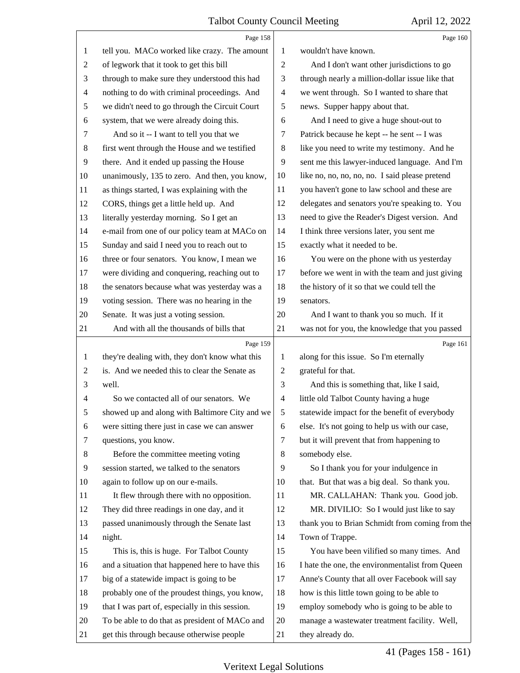<span id="page-40-0"></span>

|                | Page 158                                        |                          | Page 160                                        |
|----------------|-------------------------------------------------|--------------------------|-------------------------------------------------|
| 1              | tell you. MACo worked like crazy. The amount    | 1                        | wouldn't have known.                            |
| $\overline{c}$ | of legwork that it took to get this bill        | $\overline{c}$           | And I don't want other jurisdictions to go      |
| 3              | through to make sure they understood this had   | 3                        | through nearly a million-dollar issue like that |
| $\overline{4}$ | nothing to do with criminal proceedings. And    | $\overline{\mathcal{A}}$ | we went through. So I wanted to share that      |
| 5              | we didn't need to go through the Circuit Court  | 5                        | news. Supper happy about that.                  |
| 6              | system, that we were already doing this.        | 6                        | And I need to give a huge shout-out to          |
| 7              | And so it -- I want to tell you that we         | 7                        | Patrick because he kept -- he sent -- I was     |
| $8\,$          | first went through the House and we testified   | $\,8\,$                  | like you need to write my testimony. And he     |
| 9              | there. And it ended up passing the House        | 9                        | sent me this lawyer-induced language. And I'm   |
| 10             | unanimously, 135 to zero. And then, you know,   | 10                       | like no, no, no, no, no. I said please pretend  |
| 11             | as things started, I was explaining with the    | 11                       | you haven't gone to law school and these are    |
| 12             | CORS, things get a little held up. And          | 12                       | delegates and senators you're speaking to. You  |
| 13             | literally yesterday morning. So I get an        | 13                       | need to give the Reader's Digest version. And   |
| 14             | e-mail from one of our policy team at MACo on   | 14                       | I think three versions later, you sent me       |
| 15             | Sunday and said I need you to reach out to      | 15                       | exactly what it needed to be.                   |
| 16             | three or four senators. You know, I mean we     | 16                       | You were on the phone with us yesterday         |
| 17             | were dividing and conquering, reaching out to   | 17                       | before we went in with the team and just giving |
| 18             | the senators because what was yesterday was a   | 18                       | the history of it so that we could tell the     |
| 19             | voting session. There was no hearing in the     | 19                       | senators.                                       |
| 20             | Senate. It was just a voting session.           | 20                       | And I want to thank you so much. If it          |
| 21             | And with all the thousands of bills that        | 21                       | was not for you, the knowledge that you passed  |
|                | Page 159                                        |                          | Page 161                                        |
| 1              | they're dealing with, they don't know what this | 1                        | along for this issue. So I'm eternally          |
| $\overline{c}$ | is. And we needed this to clear the Senate as   | $\overline{c}$           | grateful for that.                              |
| 3              | well.                                           | 3                        | And this is something that, like I said,        |
| 4              | So we contacted all of our senators. We         | 4                        | little old Talbot County having a huge          |
|                | showed up and along with Baltimore City and we  | 5                        | statewide impact for the benefit of everybody   |
| 6              | were sitting there just in case we can answer   | 6                        | else. It's not going to help us with our case,  |
| 7              | questions, you know.                            | 7                        | but it will prevent that from happening to      |
| 8              | Before the committee meeting voting             | $\,8\,$                  | somebody else.                                  |
| 9              | session started, we talked to the senators      | 9                        | So I thank you for your indulgence in           |
| 10             |                                                 |                          |                                                 |
| 11             | again to follow up on our e-mails.              | 10                       | that. But that was a big deal. So thank you.    |
| 12             | It flew through there with no opposition.       | 11                       | MR. CALLAHAN: Thank you. Good job.              |
|                | They did three readings in one day, and it      | 12                       | MR. DIVILIO: So I would just like to say        |
| 13             | passed unanimously through the Senate last      | 13                       | thank you to Brian Schmidt from coming from the |
| 14             | night.                                          | 14                       | Town of Trappe.                                 |
| 15             | This is, this is huge. For Talbot County        | 15                       | You have been vilified so many times. And       |
| 16             | and a situation that happened here to have this | 16                       | I hate the one, the environmentalist from Queen |
| 17             | big of a statewide impact is going to be        | 17                       | Anne's County that all over Facebook will say   |
| 18             | probably one of the proudest things, you know,  | 18                       | how is this little town going to be able to     |
| 19             | that I was part of, especially in this session. | 19                       | employ somebody who is going to be able to      |
| 20             | To be able to do that as president of MACo and  | 20                       | manage a wastewater treatment facility. Well,   |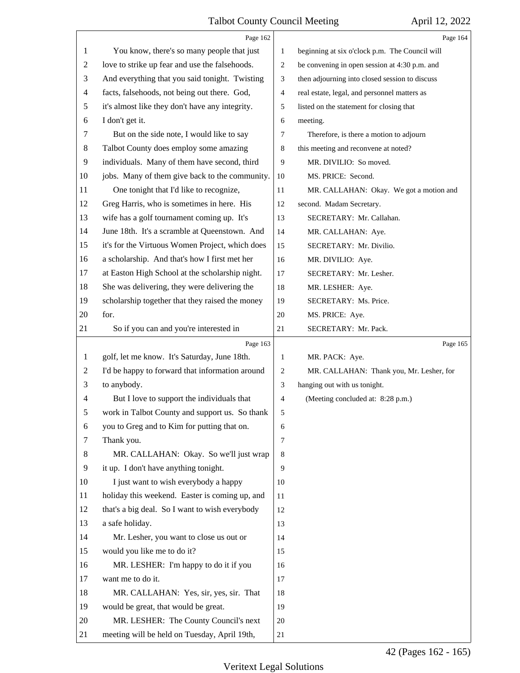<span id="page-41-0"></span>

|                          | Page 162                                        |                | Page 164                                       |
|--------------------------|-------------------------------------------------|----------------|------------------------------------------------|
| 1                        | You know, there's so many people that just      | $\mathbf{1}$   | beginning at six o'clock p.m. The Council will |
| $\overline{c}$           | love to strike up fear and use the falsehoods.  | $\overline{c}$ | be convening in open session at 4:30 p.m. and  |
| 3                        | And everything that you said tonight. Twisting  | 3              | then adjourning into closed session to discuss |
| 4                        | facts, falsehoods, not being out there. God,    | $\overline{4}$ | real estate, legal, and personnel matters as   |
| 5                        | it's almost like they don't have any integrity. | 5              | listed on the statement for closing that       |
| 6                        | I don't get it.                                 | 6              | meeting.                                       |
| 7                        | But on the side note, I would like to say       | 7              | Therefore, is there a motion to adjourn        |
| $\,8$                    | Talbot County does employ some amazing          | 8              | this meeting and reconvene at noted?           |
| 9                        | individuals. Many of them have second, third    | 9              | MR. DIVILIO: So moved.                         |
| 10                       | jobs. Many of them give back to the community.  | 10             | MS. PRICE: Second.                             |
| 11                       | One tonight that I'd like to recognize,         | 11             | MR. CALLAHAN: Okay. We got a motion and        |
| 12                       | Greg Harris, who is sometimes in here. His      | 12             | second. Madam Secretary.                       |
| 13                       | wife has a golf tournament coming up. It's      | 13             | SECRETARY: Mr. Callahan.                       |
| 14                       | June 18th. It's a scramble at Queenstown. And   | 14             | MR. CALLAHAN: Aye.                             |
| 15                       | it's for the Virtuous Women Project, which does | 15             | SECRETARY: Mr. Divilio.                        |
| 16                       | a scholarship. And that's how I first met her   | 16             | MR. DIVILIO: Aye.                              |
| 17                       | at Easton High School at the scholarship night. | 17             | SECRETARY: Mr. Lesher.                         |
| 18                       | She was delivering, they were delivering the    | 18             | MR. LESHER: Aye.                               |
| 19                       | scholarship together that they raised the money | 19             | SECRETARY: Ms. Price.                          |
| 20                       | for.                                            | 20             | MS. PRICE: Aye.                                |
| 21                       | So if you can and you're interested in          | 21             | SECRETARY: Mr. Pack.                           |
|                          |                                                 |                |                                                |
|                          | Page 163                                        |                | Page 165                                       |
| $\mathbf{1}$             | golf, let me know. It's Saturday, June 18th.    | $\mathbf{1}$   | MR. PACK: Aye.                                 |
| $\overline{2}$           | I'd be happy to forward that information around | 2              | MR. CALLAHAN: Thank you, Mr. Lesher, for       |
| 3                        | to anybody.                                     | 3              | hanging out with us tonight.                   |
| $\overline{\mathcal{A}}$ | But I love to support the individuals that      | 4              | (Meeting concluded at: 8:28 p.m.)              |
| 5                        | work in Talbot County and support us. So thank  | 5              |                                                |
| 6                        | you to Greg and to Kim for putting that on.     | 6              |                                                |
| 7                        | Thank you.                                      | $\overline{7}$ |                                                |
| 8                        | MR. CALLAHAN: Okay. So we'll just wrap          | 8              |                                                |
| 9                        | it up. I don't have anything tonight.           | 9              |                                                |
| 10                       | I just want to wish everybody a happy           | 10             |                                                |
| 11                       | holiday this weekend. Easter is coming up, and  | 11             |                                                |
| 12                       | that's a big deal. So I want to wish everybody  | 12             |                                                |
| 13                       | a safe holiday.                                 | 13             |                                                |
| 14                       | Mr. Lesher, you want to close us out or         | 14             |                                                |
| 15                       | would you like me to do it?                     | 15             |                                                |
| 16                       | MR. LESHER: I'm happy to do it if you           | 16             |                                                |
| 17                       | want me to do it.                               | 17             |                                                |
| 18                       | MR. CALLAHAN: Yes, sir, yes, sir. That          | 18             |                                                |
| 19                       | would be great, that would be great.            | 19             |                                                |
| 20                       | MR. LESHER: The County Council's next           | 20             |                                                |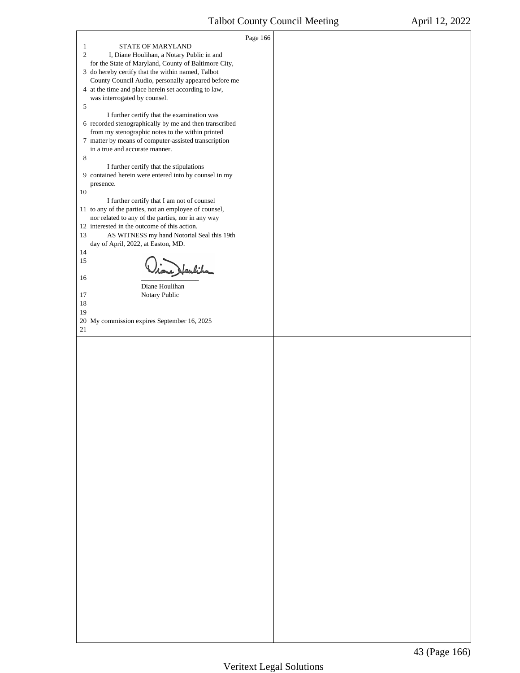<span id="page-42-0"></span>

|                                                                                                             | Page 166 |  |
|-------------------------------------------------------------------------------------------------------------|----------|--|
| STATE OF MARYLAND<br>1                                                                                      |          |  |
| $\overline{c}$<br>I, Diane Houlihan, a Notary Public in and                                                 |          |  |
| for the State of Maryland, County of Baltimore City,                                                        |          |  |
| 3 do hereby certify that the within named, Talbot                                                           |          |  |
| County Council Audio, personally appeared before me<br>4 at the time and place herein set according to law, |          |  |
| was interrogated by counsel.                                                                                |          |  |
| 5                                                                                                           |          |  |
| I further certify that the examination was                                                                  |          |  |
| 6 recorded stenographically by me and then transcribed                                                      |          |  |
| from my stenographic notes to the within printed                                                            |          |  |
| 7 matter by means of computer-assisted transcription                                                        |          |  |
| in a true and accurate manner.                                                                              |          |  |
| 8                                                                                                           |          |  |
| I further certify that the stipulations                                                                     |          |  |
| 9 contained herein were entered into by counsel in my                                                       |          |  |
| presence.                                                                                                   |          |  |
| 10                                                                                                          |          |  |
| I further certify that I am not of counsel                                                                  |          |  |
| 11 to any of the parties, not an employee of counsel,<br>nor related to any of the parties, nor in any way  |          |  |
| 12 interested in the outcome of this action.                                                                |          |  |
| AS WITNESS my hand Notorial Seal this 19th<br>13                                                            |          |  |
| day of April, 2022, at Easton, MD.                                                                          |          |  |
| 14                                                                                                          |          |  |
| 15                                                                                                          |          |  |
| tone Heulika                                                                                                |          |  |
| 16                                                                                                          |          |  |
| Diane Houlihan                                                                                              |          |  |
| Notary Public<br>17                                                                                         |          |  |
| 18                                                                                                          |          |  |
| 19                                                                                                          |          |  |
| 20 My commission expires September 16, 2025<br>21                                                           |          |  |
|                                                                                                             |          |  |
|                                                                                                             |          |  |
|                                                                                                             |          |  |
|                                                                                                             |          |  |
|                                                                                                             |          |  |
|                                                                                                             |          |  |
|                                                                                                             |          |  |
|                                                                                                             |          |  |
|                                                                                                             |          |  |
|                                                                                                             |          |  |
|                                                                                                             |          |  |
|                                                                                                             |          |  |
|                                                                                                             |          |  |
|                                                                                                             |          |  |
|                                                                                                             |          |  |
|                                                                                                             |          |  |
|                                                                                                             |          |  |
|                                                                                                             |          |  |
|                                                                                                             |          |  |
|                                                                                                             |          |  |
|                                                                                                             |          |  |
|                                                                                                             |          |  |
|                                                                                                             |          |  |
|                                                                                                             |          |  |
|                                                                                                             |          |  |
|                                                                                                             |          |  |
|                                                                                                             |          |  |
|                                                                                                             |          |  |
|                                                                                                             |          |  |
|                                                                                                             |          |  |
|                                                                                                             |          |  |
|                                                                                                             |          |  |
|                                                                                                             |          |  |
|                                                                                                             |          |  |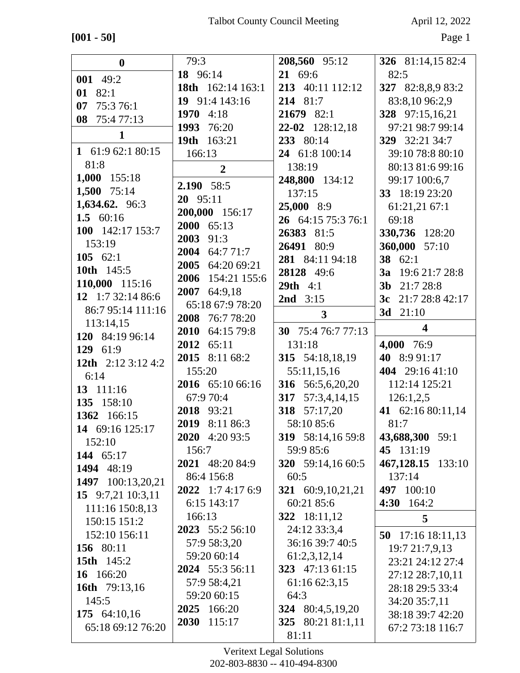# **[001 - 50]** Page 1

| $\boldsymbol{0}$                  | 79:3                       | 208,560 95:12           | 326 81:14,15 82:4                    |
|-----------------------------------|----------------------------|-------------------------|--------------------------------------|
| 001 49:2                          | 18 96:14                   | 21 69:6                 | 82:5                                 |
| 01 82:1                           | <b>18th</b> $162:14$ 163:1 | 213 40:11 112:12        | 327 82:8,8,9 83:2                    |
| 07<br>75:376:1                    | 19 91:4 143:16             | 214 81:7                | 83:8,10 96:2,9                       |
| 08 75:477:13                      | 1970<br>4:18               | 21679 82:1              | 328 97:15,16,21                      |
|                                   | 1993 76:20                 | 22-02 128:12,18         | 97:21 98:7 99:14                     |
| $\mathbf{1}$                      | 19th 163:21                | 233 80:14               | 329 32:21 34:7                       |
| 1 61:9 62:1 80:15                 | 166:13                     | 24 61:8 100:14          | 39:10 78:8 80:10                     |
| 81:8                              | $\overline{2}$             | 138:19                  | 80:13 81:6 99:16                     |
| 1,000 155:18                      |                            | 248,800 134:12          | 99:17 100:6,7                        |
| 1,500 75:14                       | 2.190 58:5                 | 137:15                  | 33 18:19 23:20                       |
| 1,634.62. 96:3                    | 20 95:11                   | 25,000 8:9              | 61:21,21 67:1                        |
| 1.5 $60:16$                       | 200,000 156:17             | 26 64:15 75:3 76:1      | 69:18                                |
| 100 142:17 153:7                  | 2000 65:13                 | 26383 81:5              | 330,736 128:20                       |
| 153:19                            | 2003 91:3                  | 26491 80:9              | 360,000 57:10                        |
| 105 $62:1$                        | 2004 64:7 71:7             | 281 84:11 94:18         | 38 62:1                              |
| 10th 145:5                        | 2005<br>64:20 69:21        | 28128 49:6              | <b>3a</b> 19:6 21:7 28:8             |
| 110,000 115:16                    | 2006 154:21 155:6          | <b>29th</b> $4:1$       | 3b 21:7 28:8                         |
| 12 1:7 32:14 86:6                 | 64:9,18<br>2007            | <b>2nd</b> $3:15$       | 3c $21:728:842:17$                   |
| 86:7 95:14 111:16                 | 65:18 67:9 78:20           | $\overline{\mathbf{3}}$ | 3d $21:10$                           |
| 113:14,15                         | 2008 76:7 78:20            |                         | $\overline{\mathbf{4}}$              |
| 120 84:19 96:14                   | 2010 64:15 79:8            | 30 75:4 76:7 77:13      |                                      |
|                                   | 2012 65:11                 | 131:18                  | 4,000 76:9                           |
| 129 61:9                          |                            |                         |                                      |
|                                   | 2015<br>8:11 68:2          | 315 54:18,18,19         | 40 8:9 91:17                         |
| 12th 2:12 3:12 4:2                | 155:20                     | 55:11,15,16             | 404 29:16 41:10                      |
| 6:14                              | 2016 65:10 66:16           | 316 56:5,6,20,20        | 112:14 125:21                        |
| 13 111:16                         | 67:9 70:4                  | 317 57:3,4,14,15        | 126:1,2,5                            |
| 135 158:10                        | 2018 93:21                 | 318 57:17,20            | 41 62:16 80:11,14                    |
| 1362 166:15                       | 2019<br>8:11 86:3          | 58:10 85:6              | 81:7                                 |
| 14 69:16 125:17                   | 2020 4:20 93:5             | 319 58:14,16 59:8       | 43,688,300 59:1                      |
| 152:10                            | 156:7                      | 59:9 85:6               | 45 131:19                            |
| 144 65:17                         | 2021 48:20 84:9            | 320 59:14,16 60:5       | 467,128.15 133:10                    |
| 1494 48:19                        | 86:4 156:8                 | 60:5                    | 137:14                               |
| 1497 100:13,20,21                 | 2022 1:7 4:17 6:9          | 321 60:9, 10, 21, 21    | 497 100:10                           |
| 15 9:7,21 10:3,11                 | 6:15 143:17                | 60:21 85:6              | 164:2<br>4:30                        |
| 111:16 150:8,13                   | 166:13                     | 322 18:11,12            | 5                                    |
| 150:15 151:2                      | 2023 55:2 56:10            | 24:12 33:3,4            |                                      |
| 152:10 156:11                     | 57:9 58:3,20               | 36:16 39:7 40:5         | 50 $17:16$ 18:11,13                  |
| 156 80:11                         | 59:20 60:14                | 61:2,3,12,14            | 19:7 21:7,9,13                       |
| <b>15th</b> 145:2                 | 2024 55:3 56:11            | 323 47:13 61:15         | 23:21 24:12 27:4                     |
| 16 166:20                         | 57:9 58:4,21               | 61:16 62:3,15           | 27:12 28:7,10,11                     |
| 16th 79:13,16                     | 59:20 60:15                | 64:3                    | 28:18 29:5 33:4                      |
| 145:5                             | 2025 166:20                | 324 80:4,5,19,20        | 34:20 35:7,11                        |
| 175 64:10,16<br>65:18 69:12 76:20 | 2030 115:17                | 325 80:21 81:1,11       | 38:18 39:7 42:20<br>67:2 73:18 116:7 |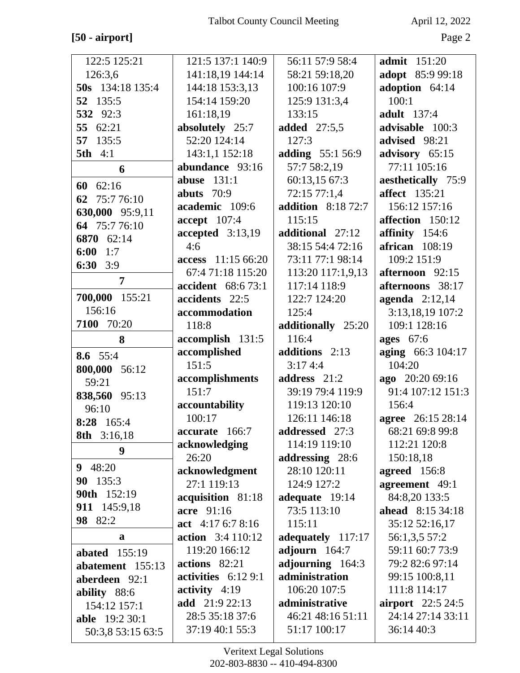## $[50$  -  $\text{airport}]$

April 12, 2022

| 122:5 125:21                               | 121:5 137:1 140:9                  | 56:11 57:9 58:4                   | <b>admit</b> 151:20             |
|--------------------------------------------|------------------------------------|-----------------------------------|---------------------------------|
| 126:3,6                                    | 141:18,19 144:14                   | 58:21 59:18,20                    | adopt 85:9 99:18                |
| 50s 134:18 135:4                           | 144:18 153:3,13                    | 100:16 107:9                      | adoption 64:14                  |
| 52 135:5                                   | 154:14 159:20                      | 125:9 131:3,4                     | 100:1                           |
| 532 92:3                                   | 161:18,19                          | 133:15                            | <b>adult</b> 137:4              |
| 55 62:21                                   | absolutely 25:7                    | <b>added</b> 27:5,5               | advisable 100:3                 |
| 57 135:5                                   | 52:20 124:14                       | 127:3                             | advised 98:21                   |
| <b>5th</b> 4:1                             | 143:1,1 152:18                     | adding 55:1 56:9                  | advisory 65:15                  |
| 6                                          | abundance 93:16                    | 57:7 58:2,19                      | 77:11 105:16                    |
| 62:16<br>60                                | abuse $131:1$                      | 60:13,15 67:3                     | aesthetically 75:9              |
| 62 75:7 76:10                              | abuts $70:9$                       | 72:15 77:1,4                      | <b>affect</b> 135:21            |
|                                            | academic 109:6                     | <b>addition</b> 8:18 72:7         | 156:12 157:16                   |
| 630,000 95:9,11<br>64 75:7 76:10           | accept 107:4                       | 115:15                            | affection 150:12                |
| 6870 62:14                                 | $accepted$ 3:13,19                 | additional 27:12                  | affinity 154:6                  |
| $6:00$ 1:7                                 | 4:6                                | 38:15 54:4 72:16                  | $a$ frican $108:19$             |
| 6:30<br>3:9                                | access 11:15 66:20                 | 73:11 77:1 98:14                  | 109:2 151:9                     |
|                                            | 67:4 71:18 115:20                  | 113:20 117:1,9,13                 | afternoon 92:15                 |
| $\overline{7}$                             | accident 68:6 73:1                 | 117:14 118:9                      | afternoons 38:17                |
| 700,000 155:21                             | accidents 22:5                     | 122:7 124:20                      | agenda $2:12,14$                |
| 156:16                                     | accommodation                      | 125:4                             | 3:13,18,19 107:2                |
| 7100 70:20                                 | 118:8                              | additionally 25:20                | 109:1 128:16                    |
| 8                                          | accomplish 131:5                   | 116:4                             | <b>ages</b> 67:6                |
| 8.6 55:4                                   | accomplished                       | additions 2:13                    | aging 66:3 104:17               |
| 800,000 56:12                              | 151:5                              | 3:174:4                           | 104:20                          |
| 59:21                                      | accomplishments                    | address 21:2                      | ago 20:20 69:16                 |
| 838,560 95:13                              | 151:7                              | 39:19 79:4 119:9                  | 91:4 107:12 151:3               |
| 96:10                                      | accountability                     | 119:13 120:10                     | 156:4                           |
| 8:28 165:4                                 | 100:17                             | 126:11 146:18                     | agree 26:15 28:14               |
| <b>8th</b> 3:16,18                         | accurate 166:7                     | addressed 27:3                    | 68:21 69:8 99:8                 |
| 9                                          | acknowledging                      | 114:19 119:10                     | 112:21 120:8                    |
| 9 $48:20$                                  | 26:20                              | addressing 28:6                   | 150:18,18                       |
| 90 135:3                                   | acknowledgment                     | 28:10 120:11                      | agreed 156:8                    |
| 90th 152:19                                | 27:1 119:13                        | 124:9 127:2                       | agreement 49:1                  |
| 911 145:9,18                               | acquisition 81:18                  | adequate 19:14                    | 84:8,20 133:5                   |
| <b>98</b> 82:2                             | acre 91:16                         | 73:5 113:10                       | <b>ahead</b> 8:15 34:18         |
|                                            | act 4:17 6:7 8:16                  | 115:11                            | 35:12 52:16,17                  |
| a                                          | <b>action</b> 3:4 110:12           | adequately 117:17                 | 56:1,3,5 57:2                   |
| abated $155:19$                            | 119:20 166:12                      | adjourn $164:7$                   | 59:11 60:7 73:9                 |
| abatement 155:13                           | actions 82:21                      | adjourning 164:3                  | 79:2 82:6 97:14                 |
| aberdeen 92:1                              | activities $6:129:1$               | administration                    | 99:15 100:8,11                  |
| ability 88:6                               | activity $4:19$<br>add 21:9 22:13  | 106:20 107:5<br>administrative    | 111:8 114:17                    |
| 154:12 157:1                               |                                    |                                   | <b>airport</b> $22:524:5$       |
|                                            |                                    |                                   |                                 |
| <b>able</b> 19:2 30:1<br>50:3,8 53:15 63:5 | 28:5 35:18 37:6<br>37:19 40:1 55:3 | 46:21 48:16 51:11<br>51:17 100:17 | 24:14 27:14 33:11<br>36:14 40:3 |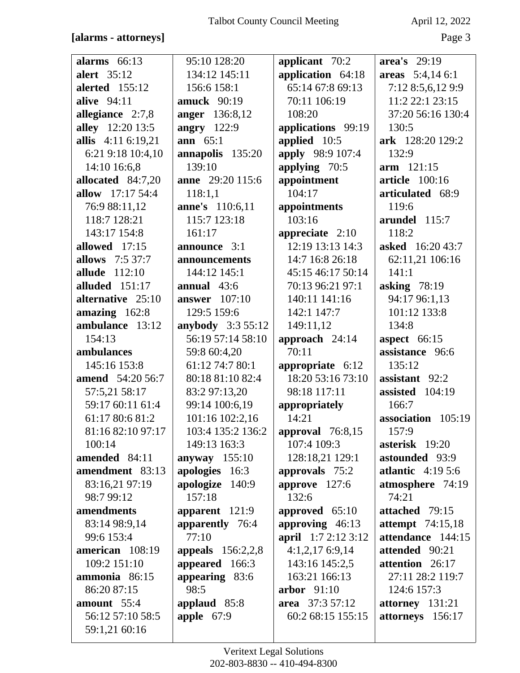### [alarms - attorneys]

April 12, 2022

| alarms $66:13$          | 95:10 128:20               | applicant 70:2             | area's 29:19            |
|-------------------------|----------------------------|----------------------------|-------------------------|
| alert 35:12             | 134:12 145:11              | application 64:18          | areas $5:4,146:1$       |
| <b>alerted</b> 155:12   | 156:6 158:1                | 65:14 67:8 69:13           | 7:12 8:5,6,12 9:9       |
| alive 94:11             | amuck $90:19$              | 70:11 106:19               | 11:2 22:1 23:15         |
| allegiance 2:7,8        | <b>anger</b> 136:8,12      | 108:20                     | 37:20 56:16 130:4       |
| alley 12:20 13:5        | angry 122:9                | applications 99:19         | 130:5                   |
| allis 4:11 6:19,21      | ann $65:1$                 | applied 10:5               | ark 128:20 129:2        |
| 6:21 9:18 10:4,10       | annapolis 135:20           | apply 98:9 107:4           | 132:9                   |
| 14:10 16:6,8            | 139:10                     | applying 70:5              | $arm$ 121:15            |
| allocated 84:7,20       | <b>anne</b> 29:20 115:6    | appointment                | article 100:16          |
| <b>allow</b> 17:17 54:4 | 118:1,1                    | 104:17                     | articulated 68:9        |
| 76:9 88:11,12           | <b>anne's</b> 110:6,11     | appointments               | 119:6                   |
| 118:7 128:21            | 115:7 123:18               | 103:16                     | arundel 115:7           |
| 143:17 154:8            | 161:17                     | appreciate $2:10$          | 118:2                   |
| allowed 17:15           | announce 3:1               | 12:19 13:13 14:3           | asked 16:20 43:7        |
| <b>allows</b> 7:5 37:7  | announcements              | 14:7 16:8 26:18            | 62:11,21 106:16         |
| allude 112:10           | 144:12 145:1               | 45:15 46:17 50:14          | 141:1                   |
| alluded $151:17$        | annual $43:6$              | 70:13 96:21 97:1           | asking $78:19$          |
| alternative 25:10       | <b>answer</b> 107:10       | 140:11 141:16              | 94:17 96:1,13           |
| amazing $162:8$         | 129:5 159:6                | 142:1 147:7                | 101:12 133:8            |
| ambulance 13:12         | anybody 3:3 55:12          | 149:11,12                  | 134:8                   |
| 154:13                  | 56:19 57:14 58:10          | approach 24:14             | <b>aspect</b> 66:15     |
| ambulances              | 59:8 60:4,20               | 70:11                      | assistance 96:6         |
| 145:16 153:8            | 61:12 74:7 80:1            | appropriate 6:12           | 135:12                  |
| amend 54:20 56:7        | 80:18 81:10 82:4           | 18:20 53:16 73:10          | assistant 92:2          |
| 57:5,21 58:17           | 83:2 97:13,20              | 98:18 117:11               | assisted 104:19         |
| 59:17 60:11 61:4        | 99:14 100:6,19             | appropriately              | 166:7                   |
| 61:17 80:6 81:2         | 101:16 102:2,16            | 14:21                      | association 105:19      |
| 81:16 82:10 97:17       | 103:4 135:2 136:2          | approval 76:8,15           | 157:9                   |
| 100:14                  | 149:13 163:3               | 107:4 109:3                | asterisk 19:20          |
| amended 84:11           | anyway $155:10$            | 128:18,21 129:1            | astounded 93:9          |
| amendment 83:13         | apologies 16:3             | approvals 75:2             | atlantic $4:195:6$      |
| 83:16,21 97:19          | apologize 140:9            | approve $127:6$            | atmosphere 74:19        |
| 98:7 99:12              | 157:18                     | 132:6                      | 74:21                   |
| amendments              | apparent 121:9             | approved 65:10             | attached 79:15          |
| 83:14 98:9,14           | apparently 76:4            | approving $46:13$          | <b>attempt</b> 74:15,18 |
| 99:6 153:4              | 77:10                      | <b>april</b> 1:7 2:12 3:12 | attendance 144:15       |
| american 108:19         | <b>appeals</b> $156:2,2,8$ | $4:1,2,17$ 6:9,14          | attended 90:21          |
| 109:2 151:10            | appeared 166:3             | 143:16 145:2,5             | attention 26:17         |
| ammonia 86:15           | appearing 83:6             | 163:21 166:13              | 27:11 28:2 119:7        |
| 86:20 87:15             | 98:5                       | arbor $91:10$              | 124:6 157:3             |
| amount 55:4             | applaud 85:8               | area 37:3 57:12            | attorney 131:21         |
| 56:12 57:10 58:5        | apple $67:9$               | 60:2 68:15 155:15          | attorneys 156:17        |
| 59:1,21 60:16           |                            |                            |                         |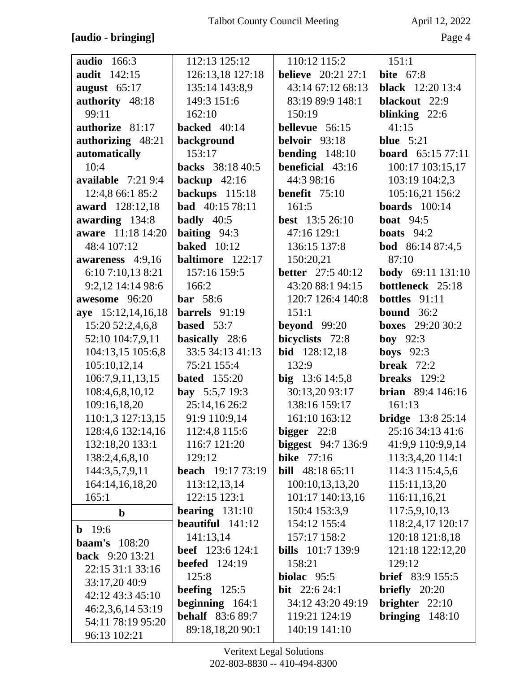### **[audio - bringing]** Page 4

| <b>audio</b> 166:3       | 112:13 125:12            | 110:12 115:2               | 151:1                     |
|--------------------------|--------------------------|----------------------------|---------------------------|
| <b>audit</b> 142:15      | 126:13,18 127:18         | <b>believe</b> 20:21 27:1  | <b>bite</b> 67:8          |
| august 65:17             | 135:14 143:8,9           | 43:14 67:12 68:13          | <b>black</b> 12:20 13:4   |
| authority 48:18          | 149:3 151:6              | 83:19 89:9 148:1           | blackout 22:9             |
| 99:11                    | 162:10                   | 150:19                     | blinking $22:6$           |
| authorize 81:17          | backed $40:14$           | bellevue 56:15             | 41:15                     |
| authorizing 48:21        | background               | belvoir 93:18              | blue $5:21$               |
| automatically            | 153:17                   | bending $148:10$           | <b>board</b> $65:157:711$ |
| 10:4                     | backs 38:18 40:5         | beneficial 43:16           | 100:17 103:15,17          |
| available $7:219:4$      | backup $42:16$           | 44:3 98:16                 | 103:19 104:2,3            |
| 12:4,8 66:1 85:2         | backups 115:18           | <b>benefit</b> $75:10$     | 105:16,21 156:2           |
| award 128:12,18          | <b>bad</b> 40:15 78:11   | 161:5                      | boards $100:14$           |
| awarding 134:8           | <b>badly</b> $40:5$      | <b>best</b> 13:5 26:10     | <b>boat</b> 94:5          |
| <b>aware</b> 11:18 14:20 | baiting $94:3$           | 47:16 129:1                | boats $94:2$              |
| 48:4 107:12              | <b>baked</b> 10:12       | 136:15 137:8               | <b>bod</b> 86:14 87:4,5   |
| awareness 4:9,16         | baltimore 122:17         | 150:20,21                  | 87:10                     |
| 6:10 7:10,13 8:21        | 157:16 159:5             | <b>better</b> 27:5 40:12   | body 69:11 131:10         |
| 9:2,12 14:14 98:6        | 166:2                    | 43:20 88:1 94:15           | bottleneck 25:18          |
| awesome 96:20            | <b>bar</b> 58:6          | 120:7 126:4 140:8          | <b>bottles</b> $91:11$    |
| aye 15:12,14,16,18       | barrels $91:19$          | 151:1                      | bound $36:2$              |
| 15:20 52:2,4,6,8         | based $53:7$             | beyond 99:20               | <b>boxes</b> 29:20 30:2   |
| 52:10 104:7,9,11         | basically 28:6           | bicyclists 72:8            | boy $92:3$                |
| 104:13,15 105:6,8        | 33:5 34:13 41:13         | <b>bid</b> 128:12,18       | <b>boys</b> $92:3$        |
| 105:10,12,14             | 75:21 155:4              | 132:9                      | break $72:2$              |
| 106:7,9,11,13,15         | <b>bated</b> 155:20      | big $13:614:5,8$           | breaks $129:2$            |
| 108:4,6,8,10,12          | <b>bay</b> $5:5,7$ 19:3  | 30:13,20 93:17             | <b>brian</b> 89:4 146:16  |
| 109:16,18,20             | 25:14,16 26:2            | 138:16 159:17              | 161:13                    |
| 110:1,3 127:13,15        | 91:9 110:9,14            | 161:10 163:12              | <b>bridge</b> 13:8 25:14  |
| 128:4,6 132:14,16        | 112:4,8 115:6            | $bigger$ 22:8              | 25:16 34:13 41:6          |
| 132:18,20 133:1          | 116:7 121:20             | <b>biggest</b> $94:7136:9$ | 41:9,9 110:9,9,14         |
| 138:2,4,6,8,10           | 129:12                   | <b>bike</b> 77:16          | 113:3,4,20 114:1          |
| 144:3,5,7,9,11           | <b>beach</b> 19:17 73:19 | <b>bill</b> 48:18 65:11    | 114:3 115:4,5,6           |
| 164:14,16,18,20          | 113:12,13,14             | 100:10,13,13,20            | 115:11,13,20              |
| 165:1                    | 122:15 123:1             | 101:17 140:13,16           | 116:11,16,21              |
| $\mathbf b$              | bearing $131:10$         | 150:4 153:3,9              | 117:5,9,10,13             |
| <b>b</b> 19:6            | beautiful $141:12$       | 154:12 155:4               | 118:2,4,17 120:17         |
| <b>baam's</b> 108:20     | 141:13,14                | 157:17 158:2               | 120:18 121:8,18           |
| <b>back</b> 9:20 13:21   | <b>beef</b> 123:6 124:1  | <b>bills</b> 101:7 139:9   | 121:18 122:12,20          |
| 22:15 31:1 33:16         | <b>beefed</b> 124:19     | 158:21                     | 129:12                    |
| 33:17,20 40:9            | 125:8                    | biolac 95:5                | <b>brief</b> 83:9 155:5   |
| 42:12 43:3 45:10         | beefing $125:5$          | <b>bit</b> $22:624:1$      | briefly $20:20$           |
| 46:2,3,6,14 53:19        | beginning 164:1          | 34:12 43:20 49:19          | brighter $22:10$          |
| 54:11 78:19 95:20        | <b>behalf</b> 83:6 89:7  | 119:21 124:19              | bringing $148:10$         |
| 96:13 102:21             | 89:18,18,20 90:1         | 140:19 141:10              |                           |
|                          |                          |                            |                           |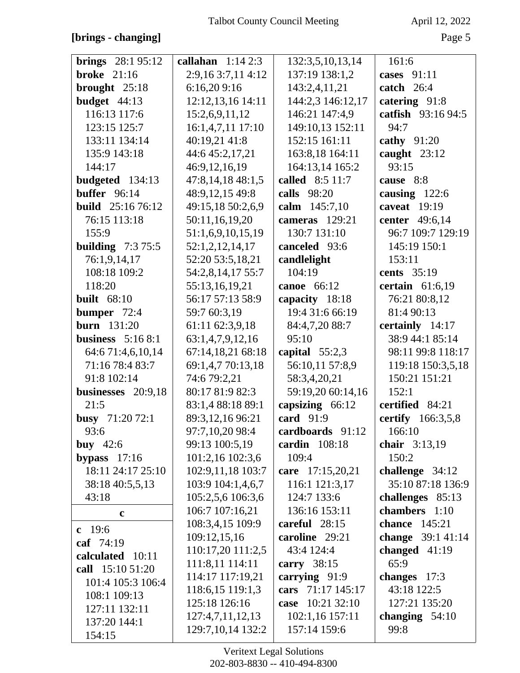### [brings - changing]

| ш<br>×, |  |
|---------|--|
|---------|--|

| <b>brings</b> $28:195:12$ | callahan $1:142:3$  | 132:3,5,10,13,14  | 161:6                    |
|---------------------------|---------------------|-------------------|--------------------------|
| broke $21:16$             | 2:9,16 3:7,11 4:12  | 137:19 138:1,2    | cases 91:11              |
| brought 25:18             | 6:16,209:16         | 143:2,4,11,21     | catch $26:4$             |
| budget 44:13              | 12:12,13,16 14:11   | 144:2,3 146:12,17 | catering 91:8            |
| 116:13 117:6              | 15:2,6,9,11,12      | 146:21 147:4,9    | catfish 93:16 94:5       |
| 123:15 125:7              | 16:1,4,7,11 17:10   | 149:10,13 152:11  | 94:7                     |
| 133:11 134:14             | 40:19,21 41:8       | 152:15 161:11     | cathy $91:20$            |
| 135:9 143:18              | 44:6 45:2,17,21     | 163:8,18 164:11   | caught $23:12$           |
| 144:17                    | 46:9,12,16,19       | 164:13,14 165:2   | 93:15                    |
| budgeted 134:13           | 47:8,14,18 48:1,5   | called 8:5 11:7   | cause 8:8                |
| buffer $96:14$            | 48:9,12,15 49:8     | calls 98:20       | causing $122:6$          |
| <b>build</b> 25:16 76:12  | 49:15,18 50:2,6,9   | calm 145:7,10     | caveat $19:19$           |
| 76:15 113:18              | 50:11,16,19,20      | cameras 129:21    | center 49:6,14           |
| 155:9                     | 51:1,6,9,10,15,19   | 130:7 131:10      | 96:7 109:7 129:19        |
| <b>building</b> $7:375:5$ | 52:1,2,12,14,17     | canceled 93:6     | 145:19 150:1             |
| 76:1,9,14,17              | 52:20 53:5,18,21    | candlelight       | 153:11                   |
| 108:18 109:2              | 54:2,8,14,17 55:7   | 104:19            | cents 35:19              |
| 118:20                    | 55:13,16,19,21      | canoe 66:12       | certain $61:6,19$        |
| <b>built</b> 68:10        | 56:17 57:13 58:9    | capacity 18:18    | 76:21 80:8,12            |
| bumper 72:4               | 59:7 60:3,19        | 19:4 31:6 66:19   | 81:4 90:13               |
| <b>burn</b> 131:20        | 61:11 62:3,9,18     | 84:4,7,20 88:7    | certainly 14:17          |
| business $5:168:1$        | 63:1,4,7,9,12,16    | 95:10             | 38:9 44:1 85:14          |
| 64:6 71:4,6,10,14         | 67:14,18,21 68:18   | capital $55:2,3$  | 98:11 99:8 118:17        |
| 71:16 78:4 83:7           | 69:1,4,7 70:13,18   | 56:10,11 57:8,9   | 119:18 150:3,5,18        |
| 91:8 102:14               | 74:6 79:2,21        | 58:3,4,20,21      | 150:21 151:21            |
| businesses 20:9,18        | 80:17 81:9 82:3     | 59:19,20 60:14,16 | 152:1                    |
| 21:5                      | 83:1,4 88:18 89:1   | capsizing $66:12$ | certified 84:21          |
| busy 71:20 72:1           | 89:3,12,16 96:21    | card 91:9         | <b>certify</b> 166:3,5,8 |
| 93:6                      | 97:7,10,20 98:4     | cardboards 91:12  | 166:10                   |
| buy $42:6$                | 99:13 100:5,19      | cardin $108:18$   | chair 3:13,19            |
| bypass $17:16$            | 101:2,16 102:3,6    | 109:4             | 150:2                    |
| 18:11 24:17 25:10         | 102:9,11,18 103:7   | care 17:15,20,21  | challenge 34:12          |
| 38:18 40:5,5,13           | 103:9 104:1,4,6,7   | 116:1 121:3,17    | 35:10 87:18 136:9        |
| 43:18                     | 105:2,5,6 106:3,6   | 124:7 133:6       | challenges 85:13         |
| $\mathbf c$               | 106:7 107:16,21     | 136:16 153:11     | chambers 1:10            |
|                           | 108:3,4,15 109:9    | careful $28:15$   | <b>chance</b> 145:21     |
| c $19:6$                  | 109:12,15,16        | caroline 29:21    | change $39:141:14$       |
| caf 74:19                 | 110:17,20 111:2,5   | 43:4 124:4        | changed 41:19            |
| calculated 10:11          | 111:8,11 114:11     | carry $38:15$     | 65:9                     |
| call 15:10 51:20          | 114:17 117:19,21    | carrying 91:9     | changes $17:3$           |
| 101:4 105:3 106:4         | 118:6,15 119:1,3    | cars 71:17 145:17 | 43:18 122:5              |
| 108:1 109:13              | 125:18 126:16       | case 10:21 32:10  | 127:21 135:20            |
| 127:11 132:11             | 127:4,7,11,12,13    | 102:1,16 157:11   | changing $54:10$         |
| 137:20 144:1              | 129:7, 10, 14 132:2 | 157:14 159:6      | 99:8                     |
| 154:15                    |                     |                   |                          |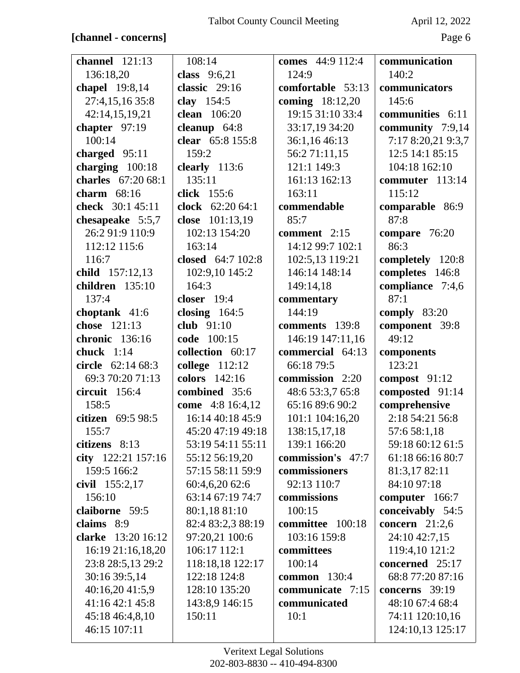### **[channel - concerns]** Page 6

| channel $121:13$                | 108:14              | comes 44:9 112:4  | communication                       |
|---------------------------------|---------------------|-------------------|-------------------------------------|
| 136:18,20                       | class 9:6,21        | 124:9             | 140:2                               |
| chapel 19:8,14                  | classic 29:16       | comfortable 53:13 | communicators                       |
| 27:4,15,16 35:8                 | clay 154:5          | coming 18:12,20   | 145:6                               |
| 42:14,15,19,21                  | <b>clean</b> 106:20 | 19:15 31:10 33:4  | communities 6:11                    |
| chapter $97:19$                 | cleanup $64:8$      | 33:17,19 34:20    | community 7:9,14                    |
| 100:14                          | clear 65:8 155:8    | 36:1,16 46:13     | 7:17 8:20,21 9:3,7                  |
| charged 95:11                   | 159:2               | 56:2 71:11,15     | 12:5 14:1 85:15                     |
| charging $100:18$               | clearly 113:6       | 121:1 149:3       | 104:18 162:10                       |
| charles 67:20 68:1              | 135:11              | 161:13 162:13     | commuter 113:14                     |
| charm $68:16$                   | click 155:6         | 163:11            | 115:12                              |
| check 30:1 45:11                | clock 62:20 64:1    | commendable       | comparable 86:9                     |
| chesapeake 5:5,7                | close 101:13,19     | 85:7              | 87:8                                |
| 26:2 91:9 110:9                 | 102:13 154:20       | comment 2:15      | compare 76:20                       |
| 112:12 115:6                    | 163:14              | 14:12 99:7 102:1  | 86:3                                |
| 116:7                           | closed 64:7 102:8   | 102:5,13 119:21   | completely 120:8                    |
| child 157:12,13                 | 102:9,10 145:2      | 146:14 148:14     | completes 146:8                     |
| children 135:10                 | 164:3               | 149:14,18         | compliance 7:4,6                    |
| 137:4                           | closer $19:4$       | commentary        | 87:1                                |
| choptank 41:6                   | closing $164:5$     | 144:19            | comply 83:20                        |
| chose 121:13                    | club $91:10$        | comments 139:8    | component 39:8                      |
| chronic 136:16                  | code 100:15         | 146:19 147:11,16  | 49:12                               |
|                                 |                     |                   |                                     |
| chuck $1:14$                    | collection 60:17    | commercial 64:13  | components                          |
| circle 62:14 68:3               | college 112:12      | 66:18 79:5        | 123:21                              |
| 69:3 70:20 71:13                | colors 142:16       | commission 2:20   | compost $91:12$                     |
| circuit 156:4                   | combined 35:6       | 48:6 53:3,7 65:8  | composted 91:14                     |
| 158:5                           | come 4:8 16:4,12    | 65:16 89:6 90:2   | comprehensive                       |
| citizen 69:5 98:5               | 16:14 40:18 45:9    | 101:1 104:16,20   | 2:18 54:21 56:8                     |
| 155:7                           | 45:20 47:19 49:18   | 138:15,17,18      | 57:6 58:1,18                        |
| citizens $8:13$                 | 53:19 54:11 55:11   | 139:1 166:20      | 59:18 60:12 61:5                    |
| city 122:21 157:16              | 55:12 56:19,20      | commission's 47:7 | 61:18 66:16 80:7                    |
| 159:5 166:2                     | 57:15 58:11 59:9    | commissioners     | 81:3,17 82:11                       |
| civil 155:2,17                  | 60:4,6,20 62:6      | 92:13 110:7       | 84:10 97:18                         |
| 156:10                          | 63:14 67:19 74:7    | commissions       | computer 166:7                      |
| claiborne 59:5                  | 80:1,18 81:10       | 100:15            | conceivably 54:5                    |
| claims 8:9                      | 82:4 83:2,3 88:19   | committee 100:18  | concern $21:2,6$                    |
| clarke 13:20 16:12              | 97:20,21 100:6      | 103:16 159:8      | 24:10 42:7,15                       |
| 16:19 21:16,18,20               | 106:17 112:1        | committees        | 119:4,10 121:2                      |
| 23:8 28:5,13 29:2               | 118:18,18 122:17    | 100:14            | concerned 25:17                     |
| 30:16 39:5,14                   | 122:18 124:8        | common $130:4$    | 68:8 77:20 87:16                    |
| 40:16,20 41:5,9                 | 128:10 135:20       | communicate 7:15  | concerns $39:19$                    |
| 41:16 42:1 45:8                 | 143:8,9 146:15      | communicated      | 48:10 67:4 68:4                     |
| 45:18 46:4,8,10<br>46:15 107:11 | 150:11              | 10:1              | 74:11 120:10,16<br>124:10,13 125:17 |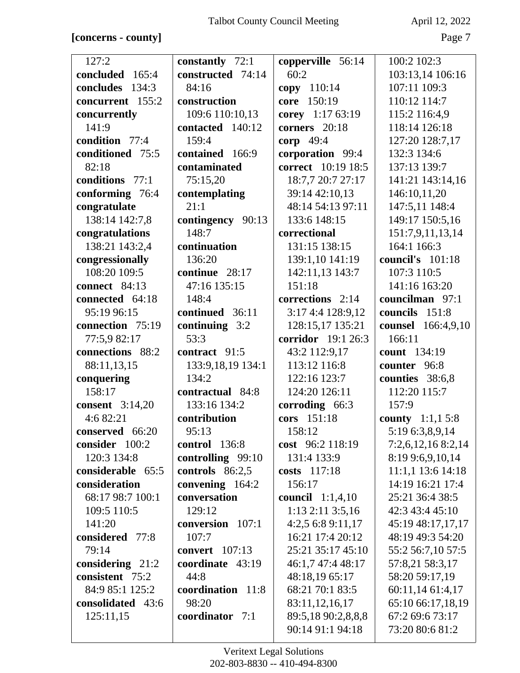### **[concerns - county]** Page 7

| 127:2                  | constantly 72:1       | copperville 56:14         | 100:2 102:3               |
|------------------------|-----------------------|---------------------------|---------------------------|
| concluded<br>165:4     | constructed 74:14     | 60:2                      | 103:13,14 106:16          |
| 134:3<br>concludes     | 84:16                 | copy 110:14               | 107:11 109:3              |
| concurrent 155:2       | construction          | 150:19<br>core            | 110:12 114:7              |
| concurrently           | 109:6 110:10,13       | corey 1:17 63:19          | 115:2 116:4,9             |
| 141:9                  | contacted 140:12      | corners 20:18             | 118:14 126:18             |
| condition 77:4         | 159:4                 | corp 49:4                 | 127:20 128:7,17           |
| conditioned 75:5       | contained 166:9       | corporation 99:4          | 132:3 134:6               |
| 82:18                  | contaminated          | correct 10:19 18:5        | 137:13 139:7              |
| conditions 77:1        | 75:15,20              | 18:7,7 20:7 27:17         | 141:21 143:14,16          |
| conforming 76:4        | contemplating         | 39:14 42:10,13            | 146:10,11,20              |
| congratulate           | 21:1                  | 48:14 54:13 97:11         | 147:5,11 148:4            |
| 138:14 142:7,8         | contingency 90:13     | 133:6 148:15              | 149:17 150:5,16           |
| congratulations        | 148:7                 | correctional              | 151:7,9,11,13,14          |
| 138:21 143:2,4         | continuation          | 131:15 138:15             | 164:1 166:3               |
| congressionally        | 136:20                | 139:1,10 141:19           | council's 101:18          |
| 108:20 109:5           | continue 28:17        | 142:11,13 143:7           | 107:3 110:5               |
| connect 84:13          | 47:16 135:15          | 151:18                    | 141:16 163:20             |
| connected 64:18        | 148:4                 | corrections 2:14          | councilman 97:1           |
| 95:19 96:15            | continued 36:11       | 3:17 4:4 128:9,12         | councils 151:8            |
| connection 75:19       | continuing 3:2        | 128:15,17 135:21          | counsel 166:4,9,10        |
| 77:5,9 82:17           | 53:3                  | corridor 19:1 26:3        | 166:11                    |
| connections 88:2       | contract 91:5         | 43:2 112:9,17             | count 134:19              |
| 88:11,13,15            | 133:9,18,19 134:1     | 113:12 116:8              | counter 96:8              |
| conquering             | 134:2                 | 122:16 123:7              | counties 38:6,8           |
| 158:17                 | contractual 84:8      | 124:20 126:11             | 112:20 115:7              |
| <b>consent</b> 3:14,20 | 133:16 134:2          | corroding 66:3            | 157:9                     |
| 4:6 82:21              | contribution          | cors 151:18               | <b>county</b> $1:1,1,5:8$ |
| conserved 66:20        | 95:13                 | 158:12                    | 5:19 6:3,8,9,14           |
| consider 100:2         | control $136:8$       | cost 96:2 118:19          | 7:2,6,12,168:2,14         |
| 120:3 134:8            | controlling 99:10     | 131:4 133:9               | 8:19 9:6,9,10,14          |
| considerable 65:5      | controls 86:2,5       | costs $117:18$            | 11:1,1 13:6 14:18         |
| consideration          | convening 164:2       | 156:17                    | 14:19 16:21 17:4          |
| 68:17 98:7 100:1       | conversation          | <b>council</b> $1:1,4,10$ | 25:21 36:4 38:5           |
| 109:5 110:5            | 129:12                | $1:13$ $2:11$ $3:5,16$    | 42:3 43:4 45:10           |
| 141:20                 | conversion 107:1      | 4:2,5 6:8 9:11,17         | 45:19 48:17,17,17         |
| considered 77:8        | 107:7                 | 16:21 17:4 20:12          | 48:19 49:3 54:20          |
| 79:14                  | <b>convert</b> 107:13 | 25:21 35:17 45:10         | 55:2 56:7,10 57:5         |
| considering $21:2$     | coordinate 43:19      | 46:1,7 47:4 48:17         | 57:8,21 58:3,17           |
| consistent 75:2        | 44:8                  | 48:18,19 65:17            | 58:20 59:17,19            |
| 84:9 85:1 125:2        | coordination 11:8     | 68:21 70:1 83:5           | 60:11,14 61:4,17          |
| consolidated 43:6      | 98:20                 | 83:11,12,16,17            | 65:10 66:17,18,19         |
| 125:11,15              | coordinator 7:1       | 89:5,18 90:2,8,8,8        | 67:2 69:6 73:17           |
|                        |                       | 90:14 91:1 94:18          | 73:20 80:6 81:2           |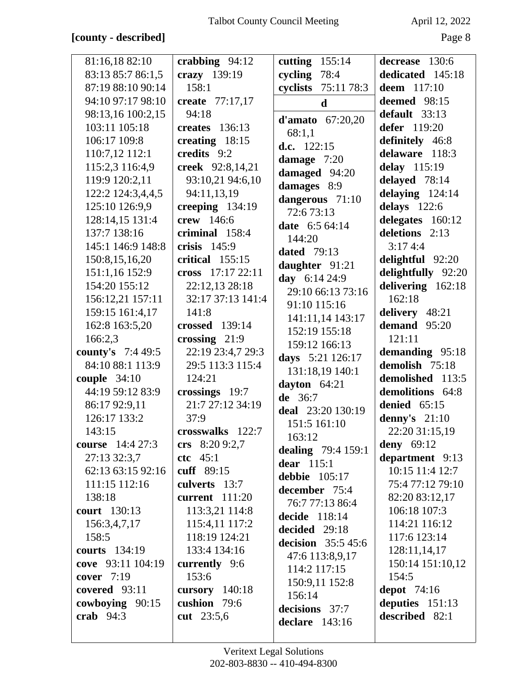## [county - described]

April 12, 2022

| 81:16,18 82:10            | crabbing $94:12$      | cutting $155:14$                   | decrease 130:6     |
|---------------------------|-----------------------|------------------------------------|--------------------|
| 83:13 85:7 86:1,5         | crazy 139:19          | cycling 78:4                       | dedicated 145:18   |
| 87:19 88:10 90:14         | 158:1                 | cyclists 75:11 78:3                | <b>deem</b> 117:10 |
| 94:10 97:17 98:10         | create 77:17,17       | $\mathbf d$                        | deemed 98:15       |
| 98:13,16 100:2,15         | 94:18                 |                                    | default 33:13      |
| 103:11 105:18             | <b>creates</b> 136:13 | d'amato $67:20,20$<br>68:1,1       | defer 119:20       |
| 106:17 109:8              | creating $18:15$      | d.c. $122:15$                      | definitely 46:8    |
| 110:7,12 112:1            | credits 9:2           |                                    | delaware 118:3     |
| 115:2,3 116:4,9           | creek 92:8,14,21      | damage $7:20$                      | delay 115:19       |
| 119:9 120:2,11            | 93:10,21 94:6,10      | damaged 94:20                      | delayed 78:14      |
| 122:2 124:3,4,4,5         | 94:11,13,19           | damages 8:9                        | delaying $124:14$  |
| 125:10 126:9,9            | creeping $134:19$     | dangerous 71:10<br>72:673:13       | delays $122:6$     |
| 128:14,15 131:4           | crew 146:6            |                                    | delegates 160:12   |
| 137:7 138:16              | criminal 158:4        | date 6:5 64:14<br>144:20           | deletions 2:13     |
| 145:1 146:9 148:8         | crisis $145:9$        | <b>dated</b> 79:13                 | 3:174:4            |
| 150:8,15,16,20            | critical $155:15$     | daughter 91:21                     | delightful 92:20   |
| 151:1,16 152:9            | cross 17:17 22:11     |                                    | delightfully 92:20 |
| 154:20 155:12             | 22:12,13 28:18        | day 6:14 24:9<br>29:10 66:13 73:16 | delivering 162:18  |
| 156:12,21 157:11          | 32:17 37:13 141:4     | 91:10 115:16                       | 162:18             |
| 159:15 161:4,17           | 141:8                 | 141:11,14 143:17                   | delivery 48:21     |
| 162:8 163:5,20            | <b>crossed</b> 139:14 | 152:19 155:18                      | demand 95:20       |
| 166:2,3                   | crossing $21:9$       | 159:12 166:13                      | 121:11             |
| <b>county's</b> $7:449:5$ | 22:19 23:4,7 29:3     | days 5:21 126:17                   | demanding 95:18    |
| 84:10 88:1 113:9          | 29:5 113:3 115:4      | 131:18,19 140:1                    | demolish 75:18     |
| couple $34:10$            | 124:21                | dayton $64:21$                     | demolished 113:5   |
| 44:19 59:12 83:9          | crossings 19:7        | de $36:7$                          | demolitions 64:8   |
| 86:17 92:9,11             | 21:7 27:12 34:19      | deal 23:20 130:19                  | denied $65:15$     |
| 126:17 133:2              | 37:9                  | 151:5 161:10                       | denny's $21:10$    |
| 143:15                    | crosswalks 122:7      | 163:12                             | 22:20 31:15,19     |
| <b>course</b> 14:4 27:3   | crs $8:209:2,7$       | dealing 79:4 159:1                 | <b>deny</b> 69:12  |
| 27:13 32:3,7              | $ctc$ 45:1            | dear $115:1$                       | department 9:13    |
| 62:13 63:15 92:16         | cuff 89:15            | debbie $105:17$                    | 10:15 11:4 12:7    |
| 111:15 112:16             | culverts 13:7         | december 75:4                      | 75:4 77:12 79:10   |
| 138:18                    | current 111:20        | 76:7 77:13 86:4                    | 82:20 83:12,17     |
| <b>court</b> 130:13       | 113:3,21 114:8        | decide 118:14                      | 106:18 107:3       |
| 156:3,4,7,17              | 115:4,11 117:2        | decided 29:18                      | 114:21 116:12      |
| 158:5                     | 118:19 124:21         | decision $35:545:6$                | 117:6 123:14       |
| <b>courts</b> 134:19      | 133:4 134:16          | 47:6 113:8,9,17                    | 128:11,14,17       |
| cove 93:11 104:19         | currently 9:6         | 114:2 117:15                       | 150:14 151:10,12   |
| cover 7:19                | 153:6                 | 150:9,11 152:8                     | 154:5              |
| covered $93:11$           | cursory $140:18$      | 156:14                             | depot $74:16$      |
| cowboying 90:15           | cushion 79:6          | decisions 37:7                     | deputies $151:13$  |
| crab $94:3$               | cut 23:5,6            | declare $143:16$                   | described 82:1     |
|                           |                       |                                    |                    |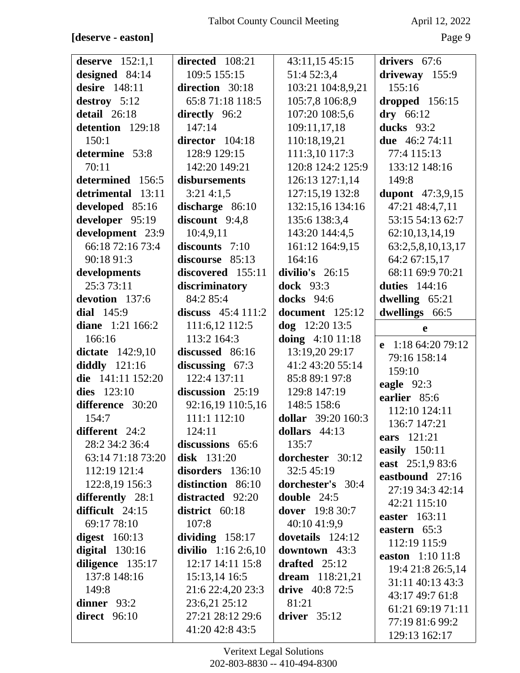#### [deserve - easton]

April 12, 2022

| deserve $152:1,1$   | directed 108:21      | 43:11,15 45:15           | drivers 67:6                      |
|---------------------|----------------------|--------------------------|-----------------------------------|
| designed $84:14$    | 109:5 155:15         | 51:4 52:3,4              | driveway 155:9                    |
| desire 148:11       | direction 30:18      | 103:21 104:8,9,21        | 155:16                            |
| destroy 5:12        | 65:871:18 118:5      | 105:7,8 106:8,9          | dropped 156:15                    |
| detail 26:18        | directly 96:2        | 107:20 108:5,6           | $dry$ 66:12                       |
| detention 129:18    | 147:14               | 109:11,17,18             | ducks 93:2                        |
| 150:1               | director 104:18      | 110:18,19,21             | due 46:2 74:11                    |
| determine 53:8      | 128:9 129:15         | 111:3,10 117:3           | 77:4 115:13                       |
| 70:11               | 142:20 149:21        | 120:8 124:2 125:9        | 133:12 148:16                     |
| determined 156:5    | disbursements        | 126:13 127:1,14          | 149:8                             |
| detrimental 13:11   | 3:214:1,5            | 127:15,19 132:8          | <b>dupont</b> 47:3,9,15           |
| developed 85:16     | discharge 86:10      | 132:15,16 134:16         | 47:21 48:4,7,11                   |
| developer 95:19     | discount 9:4,8       | 135:6 138:3,4            | 53:15 54:13 62:7                  |
| development 23:9    | 10:4,9,11            | 143:20 144:4,5           | 62:10,13,14,19                    |
| 66:18 72:16 73:4    | discounts 7:10       | 161:12 164:9,15          | 63:2,5,8,10,13,17                 |
| 90:18 91:3          | discourse 85:13      | 164:16                   | 64:2 67:15,17                     |
| developments        | discovered 155:11    | divilio's 26:15          | 68:11 69:9 70:21                  |
| 25:3 73:11          | discriminatory       | <b>dock</b> 93:3         | <b>duties</b> 144:16              |
| devotion 137:6      | 84:2 85:4            | <b>docks</b> 94:6        | dwelling $65:21$                  |
| dial $145:9$        | discuss $45:4 111:2$ | document 125:12          | dwellings 66:5                    |
| diane $1:21\,166:2$ | 111:6,12 112:5       | dog 12:20 13:5           | e                                 |
| 166:16              | 113:2 164:3          | doing 4:10 11:18         |                                   |
| dictate 142:9,10    | discussed 86:16      | 13:19,20 29:17           | e 1:18 64:20 79:12                |
| diddly $121:16$     | discussing $67:3$    | 41:2 43:20 55:14         | 79:16 158:14                      |
| die 141:11 152:20   | 122:4 137:11         | 85:8 89:1 97:8           | 159:10                            |
| dies $123:10$       | discussion 25:19     | 129:8 147:19             | eagle 92:3                        |
| difference 30:20    | 92:16,19 110:5,16    | 148:5 158:6              | earlier 85:6<br>112:10 124:11     |
| 154:7               | 111:1 112:10         | dollar 39:20 160:3       |                                   |
| different 24:2      | 124:11               | dollars $44:13$          | 136:7 147:21<br>ears 121:21       |
| 28:2 34:2 36:4      | discussions 65:6     | 135:7                    |                                   |
| 63:14 71:18 73:20   | <b>disk</b> 131:20   | dorchester 30:12         | easily 150:11<br>east 25:1,9 83:6 |
| 112:19 121:4        | disorders 136:10     | 32:5 45:19               | eastbound 27:16                   |
| 122:8,19 156:3      | distinction 86:10    | <b>dorchester's</b> 30:4 | 27:19 34:3 42:14                  |
| differently 28:1    | distracted 92:20     | double 24:5              | 42:21 115:10                      |
| difficult 24:15     | district 60:18       | dover 19:8 30:7          | easter 163:11                     |
| 69:17 78:10         | 107:8                | 40:10 41:9,9             | eastern $65:3$                    |
| digest $160:13$     | dividing $158:17$    | dovetails 124:12         | 112:19 115:9                      |
| digital $130:16$    | divilio 1:16 2:6,10  | <b>downtown</b> 43:3     | easton 1:10 11:8                  |
| diligence 135:17    | 12:17 14:11 15:8     | drafted $25:12$          | 19:4 21:8 26:5,14                 |
| 137:8 148:16        | 15:13,14 16:5        | dream $118:21,21$        | 31:11 40:13 43:3                  |
| 149:8               | 21:6 22:4,20 23:3    | drive $40:872:5$         | 43:17 49:7 61:8                   |
| dinner $93:2$       | 23:6,21 25:12        | 81:21                    | 61:21 69:19 71:11                 |
| direct 96:10        | 27:21 28:12 29:6     | driver $35:12$           | 77:19 81:6 99:2                   |
|                     | 41:20 42:8 43:5      |                          | 129:13 162:17                     |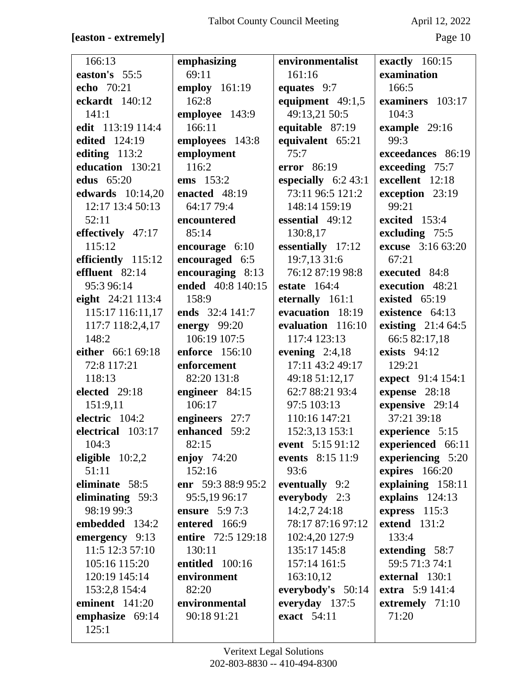## [easton - extremely]

April 12, 2022

| 166:13                  | emphasizing           | environmentalist     | exactly 160:15           |
|-------------------------|-----------------------|----------------------|--------------------------|
| easton's 55:5           | 69:11                 | 161:16               | examination              |
| echo 70:21              | employ 161:19         | equates 9:7          | 166:5                    |
| eckardt 140:12          | 162:8                 | equipment $49:1,5$   | examiners 103:17         |
| 141:1                   | employee 143:9        | 49:13,21 50:5        | 104:3                    |
| edit 113:19 114:4       | 166:11                | equitable 87:19      | example 29:16            |
| edited 124:19           | employees 143:8       | equivalent 65:21     | 99:3                     |
| editing $113:2$         | employment            | 75:7                 | exceedances 86:19        |
| education 130:21        | 116:2                 | error 86:19          | exceeding 75:7           |
| <b>edus</b> 65:20       | ems 153:2             | especially $6:243:1$ | excellent 12:18          |
| <b>edwards</b> 10:14,20 | enacted 48:19         | 73:11 96:5 121:2     | exception 23:19          |
| 12:17 13:4 50:13        | 64:17 79:4            | 148:14 159:19        | 99:21                    |
| 52:11                   | encountered           | essential 49:12      | excited 153:4            |
| effectively 47:17       | 85:14                 | 130:8,17             | excluding 75:5           |
| 115:12                  | encourage $6:10$      | essentially 17:12    | <b>excuse</b> 3:16 63:20 |
| efficiently 115:12      | encouraged 6:5        | 19:7,13 31:6         | 67:21                    |
| effluent 82:14          | encouraging 8:13      | 76:12 87:19 98:8     | executed 84:8            |
| 95:3 96:14              | ended 40:8 140:15     | <b>estate</b> 164:4  | execution 48:21          |
| eight 24:21 113:4       | 158:9                 | eternally 161:1      | existed 65:19            |
| 115:17 116:11,17        | ends 32:4 141:7       | evacuation 18:19     | existence 64:13          |
| 117:7 118:2,4,17        | energy 99:20          | evaluation 116:10    | existing 21:4 64:5       |
| 148:2                   | 106:19 107:5          | 117:4 123:13         | 66:5 82:17,18            |
| either 66:1 69:18       | <b>enforce</b> 156:10 | evening $2:4,18$     | exists $94:12$           |
| 72:8 117:21             | enforcement           | 17:11 43:2 49:17     | 129:21                   |
| 118:13                  | 82:20 131:8           | 49:18 51:12,17       | expect 91:4 154:1        |
| elected 29:18           | engineer 84:15        | 62:7 88:21 93:4      | expense 28:18            |
| 151:9,11                | 106:17                | 97:5 103:13          | expensive 29:14          |
| electric 104:2          | engineers 27:7        | 110:16 147:21        | 37:21 39:18              |
| electrical 103:17       | enhanced 59:2         | 152:3,13 153:1       | experience 5:15          |
| 104:3                   | 82:15                 | event 5:15 91:12     | experienced 66:11        |
| eligible $10:2,2$       | enjoy $74:20$         | events 8:15 11:9     | experiencing 5:20        |
| 51:11                   | 152:16                | 93:6                 | expires 166:20           |
| eliminate 58:5          | enr 59:3 88:9 95:2    | eventually 9:2       | explaining 158:11        |
| eliminating 59:3        | 95:5,19 96:17         | everybody 2:3        | explains 124:13          |
| 98:19 99:3              | <b>ensure</b> 5:9 7:3 | 14:2,7 24:18         | express 115:3            |
| embedded 134:2          | entered 166:9         | 78:17 87:16 97:12    | extend $131:2$           |
| emergency 9:13          | entire 72:5 129:18    | 102:4,20 127:9       | 133:4                    |
| 11:5 12:3 57:10         | 130:11                | 135:17 145:8         | extending 58:7           |
| 105:16 115:20           | entitled 100:16       | 157:14 161:5         | 59:5 71:3 74:1           |
| 120:19 145:14           | environment           | 163:10,12            | external 130:1           |
| 153:2,8 154:4           | 82:20                 | everybody's 50:14    | extra 5:9 141:4          |
| eminent 141:20          | environmental         | everyday 137:5       | extremely 71:10          |
| emphasize 69:14         | 90:18 91:21           | exact 54:11          | 71:20                    |
| 125:1                   |                       |                      |                          |
|                         |                       |                      |                          |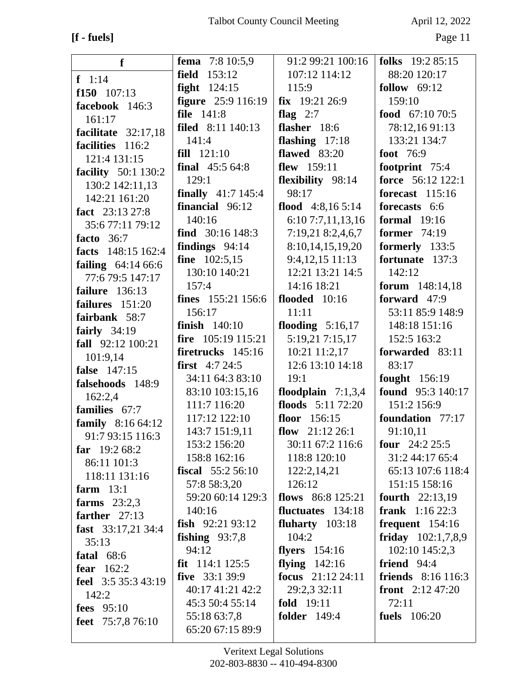## **[f - fuels]** Page 11

| f                          | <b>fema</b> 7:8 10:5,9      | 91:2 99:21 100:16    | folks 19:2 85:15             |
|----------------------------|-----------------------------|----------------------|------------------------------|
| $f \ 1:14$                 | field 153:12                | 107:12 114:12        | 88:20 120:17                 |
| $f150$ 107:13              | fight $124:15$              | 115:9                | follow $69:12$               |
| facebook 146:3             | <b>figure</b> 25:9 116:19   | $fix$ 19:21 26:9     | 159:10                       |
| 161:17                     | file 141:8                  | flag $2:7$           | food $67:1070:5$             |
| facilitate 32:17,18        | filed 8:11 140:13           | flasher 18:6         | 78:12,1691:13                |
| facilities 116:2           | 141:4                       | flashing $17:18$     | 133:21 134:7                 |
| 121:4 131:15               | fill 121:10                 | flawed $83:20$       | foot 76:9                    |
| <b>facility</b> 50:1 130:2 | final $45:564:8$            | flew 159:11          | footprint 75:4               |
| 130:2 142:11,13            | 129:1                       | flexibility 98:14    | force 56:12 122:1            |
| 142:21 161:20              | <b>finally</b> $41:7$ 145:4 | 98:17                | <b>forecast</b> 115:16       |
| fact 23:13 27:8            | financial 96:12             | flood $4:8,165:14$   | forecasts 6:6                |
| 35:6 77:11 79:12           | 140:16                      | 6:10 7:7,11,13,16    | formal $19:16$               |
| facto $36:7$               | find $30:16$ 148:3          | 7:19,21 8:2,4,6,7    | former $74:19$               |
| facts 148:15 162:4         | findings $94:14$            | 8:10,14,15,19,20     | formerly 133:5               |
| failing $64:1466:6$        | fine $102:5,15$             | 9:4,12,15 11:13      | fortunate 137:3              |
| 77:6 79:5 147:17           | 130:10 140:21               | 12:21 13:21 14:5     | 142:12                       |
| failure $136:13$           | 157:4                       | 14:16 18:21          | forum 148:14,18              |
| failures 151:20            | <b>fines</b> 155:21 156:6   | flooded $10:16$      | forward 47:9                 |
| fairbank 58:7              | 156:17                      | 11:11                | 53:11 85:9 148:9             |
| fairly $34:19$             | finish $140:10$             | flooding $5:16,17$   | 148:18 151:16                |
| fall 92:12 100:21          | fire $105:19$ 115:21        | 5:19,21 7:15,17      | 152:5 163:2                  |
| 101:9,14                   | firetrucks $145:16$         | 10:21 11:2,17        | forwarded 83:11              |
| false 147:15               | <b>first</b> $4:724:5$      | 12:6 13:10 14:18     | 83:17                        |
| falsehoods 148:9           | 34:11 64:3 83:10            | 19:1                 | fought 156:19                |
| 162:2,4                    | 83:10 103:15,16             | floodplain $7:1,3,4$ | found 95:3 140:17            |
| families 67:7              | 111:7 116:20                | floods 5:11 72:20    | 151:2 156:9                  |
| family 8:16 64:12          | 117:12 122:10               | floor 156:15         | foundation 77:17             |
| 91:7 93:15 116:3           | 143:7 151:9,11              | flow $21:12\,26:1$   | 91:10,11                     |
| far $19:268:2$             | 153:2 156:20                | 30:11 67:2 116:6     | four $24:225:5$              |
| 86:11 101:3                | 158:8 162:16                | 118:8 120:10         | 31:2 44:17 65:4              |
| 118:11 131:16              | <b>fiscal</b> $55:256:10$   | 122:2,14,21          | 65:13 107:6 118:4            |
| farm $13:1$                | 57:8 58:3,20                | 126:12               | 151:15 158:16                |
| farms $23:2,3$             | 59:20 60:14 129:3           | flows $86:8125:21$   | fourth 22:13,19              |
| farther $27:13$            | 140:16                      | fluctuates 134:18    | <b>frank</b> $1:1622:3$      |
| fast $33:17,2134:4$        | fish $92:2193:12$           | fluharty $103:18$    | frequent $154:16$            |
| 35:13                      | fishing $93:7,8$            | 104:2                | friday $102:1,7,8,9$         |
| fatal $68:6$               | 94:12                       | flyers $154:16$      | 102:10 145:2,3               |
| fear $162:2$               | fit $114:1 125:5$           | flying $142:16$      | friend $94:4$                |
| feel 3:5 35:3 43:19        | five $33:139:9$             | focus 21:12 24:11    | <b>friends</b> $8:16\ 116:3$ |
| 142:2                      | 40:17 41:21 42:2            | 29:2,3 32:11         | <b>front</b> $2:12\,47:20$   |
| <b>fees</b> 95:10          | 45:3 50:4 55:14             | <b>fold</b> 19:11    | 72:11                        |
| feet $75:7,876:10$         | 55:18 63:7,8                | <b>folder</b> 149:4  | fuels 106:20                 |
|                            | 65:20 67:15 89:9            |                      |                              |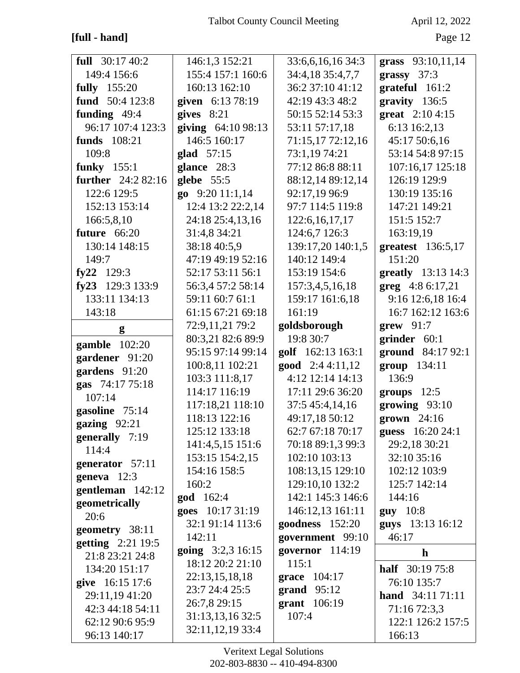## $[\ensuremath{\text{full}}\xspace$  -  $\ensuremath{\text{hand}}\xspace]$

April 12, 2022

| full $30:1740:2$                | 146:1,3 152:21                       | 33:6,6,16,16 34:3                   | grass 93:10,11,14           |
|---------------------------------|--------------------------------------|-------------------------------------|-----------------------------|
| 149:4 156:6                     | 155:4 157:1 160:6                    | 34:4,18 35:4,7,7                    | grassy $37:3$               |
| <b>fully</b> 155:20             | 160:13 162:10                        | 36:2 37:10 41:12                    | grateful 161:2              |
| fund 50:4 123:8                 | given 6:13 78:19                     | 42:19 43:3 48:2                     | $gravity$ 136:5             |
| funding $49:4$                  | gives $8:21$                         | 50:15 52:14 53:3                    | great 2:10 4:15             |
| 96:17 107:4 123:3               | giving $64:1098:13$                  | 53:11 57:17,18                      | 6:13 16:2,13                |
| funds 108:21                    | 146:5 160:17                         | 71:15,17 72:12,16                   | 45:17 50:6,16               |
| 109:8                           | glad 57:15                           | 73:1,19 74:21                       | 53:14 54:8 97:15            |
| funky $155:1$                   | glance 28:3                          | 77:12 86:8 88:11                    | 107:16,17 125:18            |
| <b>further</b> 24:2 82:16       | glebe 55:5                           | 88:12,14 89:12,14                   | 126:19 129:9                |
| 122:6 129:5                     | go 9:20 11:1,14                      | 92:17,19 96:9                       | 130:19 135:16               |
| 152:13 153:14                   | 12:4 13:2 22:2,14                    | 97:7 114:5 119:8                    | 147:21 149:21               |
| 166:5,8,10                      | 24:18 25:4,13,16                     | 122:6, 16, 17, 17                   | 151:5 152:7                 |
| future 66:20                    | 31:4,8 34:21                         | 124:6,7 126:3                       | 163:19,19                   |
| 130:14 148:15                   | 38:18 40:5,9                         | 139:17,20 140:1,5                   | greatest 136:5,17           |
| 149:7                           | 47:19 49:19 52:16                    | 140:12 149:4                        | 151:20                      |
| fy22 $129:3$                    | 52:17 53:11 56:1                     | 153:19 154:6                        | greatly 13:13 14:3          |
| fy23 129:3 133:9                | 56:3,4 57:2 58:14                    | 157:3,4,5,16,18                     | greg 4:8 6:17,21            |
| 133:11 134:13                   | 59:11 60:7 61:1                      | 159:17 161:6,18                     | 9:16 12:6,18 16:4           |
| 143:18                          | 61:15 67:21 69:18                    | 161:19                              | 16:7 162:12 163:6           |
| g                               | 72:9,11,21 79:2                      | goldsborough                        | $\textbf{grew } 91:7$       |
|                                 | 80:3,21 82:6 89:9                    | 19:8 30:7                           | grinder 60:1                |
| <b>gamble</b> 102:20            | 95:15 97:14 99:14                    | golf 162:13 163:1                   | ground 84:17 92:1           |
| gardener 91:20                  | 100:8,11 102:21                      | <b>good</b> $2:44:11,12$            | group 134:11                |
| gardens 91:20                   | 103:3 111:8,17                       | 4:12 12:14 14:13                    | 136:9                       |
| gas 74:17 75:18                 | 114:17 116:19                        | 17:11 29:6 36:20                    | groups $12:5$               |
| 107:14                          | 117:18,21 118:10                     | 37:5 45:4,14,16                     | growing 93:10               |
| gasoline 75:14                  | 118:13 122:16                        | 49:17,18 50:12                      | $\boldsymbol{g}$ rown 24:16 |
| gazing 92:21                    | 125:12 133:18                        | 62:7 67:18 70:17                    | guess 16:20 24:1            |
| generally 7:19                  | 141:4,5,15 151:6                     | 70:18 89:1,3 99:3                   | 29:2,18 30:21               |
| 114:4                           | 153:15 154:2,15                      | 102:10 103:13                       | 32:10 35:16                 |
| generator 57:11                 | 154:16 158:5                         | 108:13,15 129:10                    | 102:12 103:9                |
| geneva $12:3$                   | 160:2                                | 129:10.10 132:2                     | 125:7 142:14                |
| gentleman 142:12                | <b>god</b> 162:4                     | 142:1 145:3 146:6                   | 144:16                      |
| geometrically                   | goes 10:17 31:19                     | 146:12,13 161:11                    | $guy$ 10:8                  |
| 20:6                            |                                      |                                     |                             |
| geometry 38:11                  |                                      |                                     |                             |
|                                 | 32:1 91:14 113:6                     | goodness 152:20                     | guys 13:13 16:12            |
| getting 2:21 19:5               | 142:11                               | government 99:10                    | 46:17                       |
| 21:8 23:21 24:8                 | going 3:2,3 16:15                    | governor $114:19$                   | h                           |
| 134:20 151:17                   | 18:12 20:2 21:10                     | 115:1                               | <b>half</b> $30:1975:8$     |
| give 16:15 17:6                 | 22:13,15,18,18                       | grace 104:17                        | 76:10 135:7                 |
| 29:11,19 41:20                  | 23:7 24:4 25:5                       | $\boldsymbol{\mathsf{grand}}$ 95:12 | <b>hand</b> $34:1171:11$    |
| 42:3 44:18 54:11                | 26:7,8 29:15                         | grant 106:19                        | 71:16 72:3,3                |
| 62:12 90:6 95:9<br>96:13 140:17 | 31:13,13,16 32:5<br>32:11,12,19 33:4 | 107:4                               | 122:1 126:2 157:5<br>166:13 |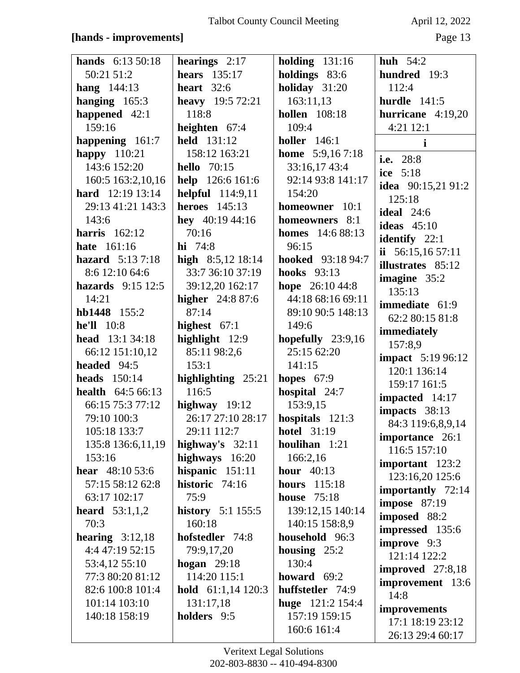### [hands - improvements]

April 12, 2022

| <b>hands</b> 6:13 50:18     | hearings $2:17$            | <b>holding</b> 131:16    | huh $54:2$                |
|-----------------------------|----------------------------|--------------------------|---------------------------|
| 50:21 51:2                  | <b>hears</b> 135:17        | holdings 83:6            | hundred 19:3              |
| <b>hang</b> $144:13$        | heart $32:6$               | holiday 31:20            | 112:4                     |
| hanging $165:3$             | heavy 19:5 72:21           | 163:11,13                | hurdle $141:5$            |
| happened $42:1$             | 118:8                      | <b>hollen</b> 108:18     | hurricane $4:19,20$       |
| 159:16                      | heighten $67:4$            | 109:4                    | 4:21 12:1                 |
| happening 161:7             | held 131:12                | <b>holler</b> 146:1      | $\mathbf{i}$              |
| happy $110:21$              | 158:12 163:21              | <b>home</b> $5:9,167:18$ | i.e. 28:8                 |
| 143:6 152:20                | <b>hello</b> 70:15         | 33:16,17 43:4            | ice 5:18                  |
| 160:5 163:2,10,16           | <b>help</b> $126:6 161:6$  | 92:14 93:8 141:17        | idea $90:15,2191:2$       |
| <b>hard</b> $12:19$ 13:14   | <b>helpful</b> 114:9,11    | 154:20                   | 125:18                    |
| 29:13 41:21 143:3           | <b>heroes</b> 145:13       | homeowner 10:1           | <b>ideal</b> 24:6         |
| 143:6                       | hey $40:1944:16$           | homeowners 8:1           | ideas $45:10$             |
| harris $162:12$             | 70:16                      | <b>homes</b> 14:6 88:13  | identify $22:1$           |
| <b>hate</b> 161:16          | hi 74:8                    | 96:15                    | ii $56:15,1657:11$        |
| hazard $5:137:18$           | high $8:5,12$ 18:14        | <b>hooked</b> 93:18 94:7 | illustrates 85:12         |
| 8:6 12:10 64:6              | 33:7 36:10 37:19           | <b>hooks</b> 93:13       | imagine $35:2$            |
| <b>hazards</b> $9:15\ 12:5$ | 39:12,20 162:17            | hope $26:1044:8$         | 135:13                    |
| 14:21                       | <b>higher</b> 24:8 87:6    | 44:18 68:16 69:11        | <b>immediate</b> 61:9     |
| hb1448 155:2                | 87:14                      | 89:10 90:5 148:13        | 62:2 80:15 81:8           |
| <b>he'll</b> 10:8           | highest $67:1$             | 149:6                    | immediately               |
| <b>head</b> $13:134:18$     | highlight 12:9             | hopefully 23:9,16        | 157:8,9                   |
| 66:12 151:10,12             | 85:11 98:2,6               | 25:15 62:20              | <b>impact</b> 5:19 96:12  |
| headed 94:5                 | 153:1                      | 141:15                   | 120:1 136:14              |
| <b>heads</b> 150:14         | highlighting 25:21         | hopes $67:9$             | 159:17 161:5              |
| <b>health</b> $64:566:13$   | 116:5                      | hospital 24:7            | impacted 14:17            |
| 66:15 75:3 77:12            | highway $19:12$            | 153:9,15                 | impacts 38:13             |
| 79:10 100:3                 | 26:17 27:10 28:17          | hospitals $121:3$        | 84:3 119:6,8,9,14         |
| 105:18 133:7                | 29:11 112:7                | <b>hotel</b> 31:19       | importance 26:1           |
| 135:8 136:6,11,19           | highway's $32:11$          | houlihan $1:21$          | 116:5 157:10              |
| 153:16                      | highways 16:20             | 166:2,16                 | important $123:2$         |
| <b>hear</b> $48:1053:6$     | hispanic $151:11$          | hour $40:13$             | 123:16,20 125:6           |
| 57:15 58:12 62:8            | historic 74:16             | hours 115:18             | importantly 72:14         |
| 63:17 102:17                | 75:9                       | <b>house</b> 75:18       | <b>impose</b> 87:19       |
| <b>heard</b> $53:1,1,2$     | <b>history</b> 5:1 155:5   | 139:12,15 140:14         | imposed 88:2              |
| 70:3                        | 160:18                     | 140:15 158:8,9           | <b>impressed</b> 135:6    |
| hearing $3:12,18$           | hofstedler 74:8            | household 96:3           | improve 9:3               |
| 4:4 47:19 52:15             | 79:9,17,20                 | housing $25:2$           | 121:14 122:2              |
| 53:4,12 55:10               | hogan $29:18$              | 130:4                    | <b>improved</b> $27:8,18$ |
| 77:3 80:20 81:12            | 114:20 115:1               | howard $69:2$            | <b>improvement</b> 13:6   |
| 82:6 100:8 101:4            | <b>hold</b> $61:1,14120:3$ | huffstetler 74:9         | 14:8                      |
| 101:14 103:10               | 131:17,18                  | huge $121:2 154:4$       | improvements              |
| 140:18 158:19               | holders 9:5                | 157:19 159:15            | 17:1 18:19 23:12          |
|                             |                            | 160:6 161:4              | 26:13 29:4 60:17          |
|                             |                            |                          |                           |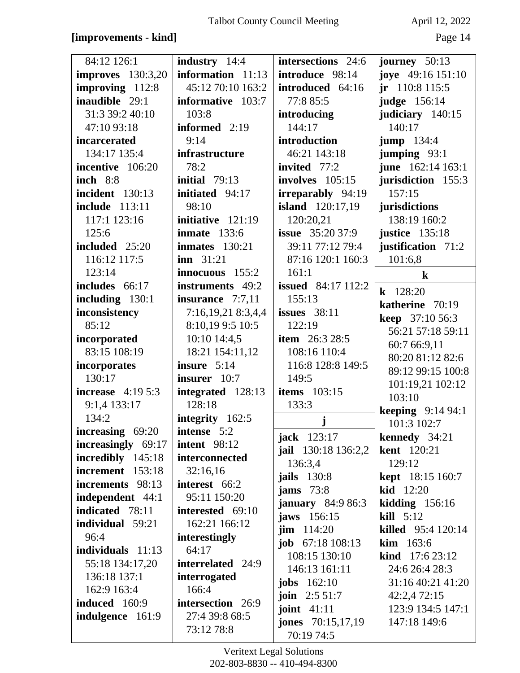### **[improvements - kind]** Page 14

| 84:12 126:1              | <b>industry</b> 14:4 | intersections 24:6         | journey $50:13$          |
|--------------------------|----------------------|----------------------------|--------------------------|
| <b>improves</b> 130:3,20 | information $11:13$  | introduce 98:14            | joye 49:16 151:10        |
| improving 112:8          | 45:12 70:10 163:2    | introduced 64:16           | $jr$ 110:8 115:5         |
| inaudible 29:1           | informative 103:7    | 77:8 85:5                  | judge 156:14             |
| 31:3 39:2 40:10          | 103:8                | introducing                | judiciary 140:15         |
| 47:10 93:18              | informed 2:19        | 144:17                     | 140:17                   |
| incarcerated             | 9:14                 | introduction               | <b>jump</b> 134:4        |
| 134:17 135:4             | infrastructure       | 46:21 143:18               | jumping 93:1             |
| incentive 106:20         | 78:2                 | invited $77:2$             | june 162:14 163:1        |
| <b>inch</b> 8:8          | initial $79:13$      | involves 105:15            | jurisdiction 155:3       |
| <b>incident</b> 130:13   | initiated 94:17      | irreparably 94:19          | 157:15                   |
| <b>include</b> 113:11    | 98:10                | <b>island</b> 120:17,19    | jurisdictions            |
| 117:1 123:16             | initiative 121:19    | 120:20,21                  | 138:19 160:2             |
| 125:6                    | inmate $133:6$       | <b>issue</b> $35:2037:9$   | <b>justice</b> 135:18    |
| included 25:20           | $immates$ 130:21     | 39:11 77:12 79:4           | justification 71:2       |
| 116:12 117:5             | $inn \ 31:21$        | 87:16 120:1 160:3          | 101:6,8                  |
| 123:14                   | innocuous 155:2      | 161:1                      | $\bf k$                  |
| includes 66:17           | instruments 49:2     | <b>issued</b> 84:17 112:2  | $k$ 128:20               |
| including $130:1$        | insurance $7:7,11$   | 155:13                     | katherine 70:19          |
| inconsistency            | 7:16,19,21 8:3,4,4   | issues $38:11$             | <b>keep</b> 37:10 56:3   |
| 85:12                    | 8:10,19 9:5 10:5     | 122:19                     | 56:21 57:18 59:11        |
| incorporated             | 10:10 14:4,5         | <b>item</b> 26:3 28:5      | 60:7 66:9,11             |
| 83:15 108:19             | 18:21 154:11,12      | 108:16 110:4               | 80:20 81:12 82:6         |
| incorporates             | insure 5:14          | 116:8 128:8 149:5          | 89:12 99:15 100:8        |
| 130:17                   | insurer 10:7         | 149:5                      | 101:19,21 102:12         |
| increase $4:195:3$       | integrated 128:13    | <b>items</b> 103:15        | 103:10                   |
| 9:1,4 133:17             | 128:18               | 133:3                      | <b>keeping</b> 9:14 94:1 |
| 134:2                    | integrity 162:5      | j                          | 101:3 102:7              |
| increasing 69:20         | intense 5:2          | <b>jack</b> 123:17         | kennedy 34:21            |
| increasingly 69:17       | <b>intent</b> 98:12  | jail 130:18 136:2,2        | <b>kent</b> 120:21       |
| incredibly 145:18        | interconnected       | 136:3,4                    | 129:12                   |
| increment 153:18         | 32:16,16             | <b>jails</b> 130:8         | <b>kept</b> 18:15 160:7  |
| increments 98:13         | interest 66:2        | jams $73:8$                | kid 12:20                |
| independent 44:1         | 95:11 150:20         | <b>january</b> 84:9 86:3   | kidding $156:16$         |
| indicated 78:11          | interested 69:10     | jaws 156:15                | $\textbf{kill}$ 5:12     |
| individual 59:21         | 162:21 166:12        | $\lim$ 114:20              | killed 95:4 120:14       |
| 96:4                     | interestingly        | job $67:18108:13$          | <b>kim</b> $163:6$       |
| individuals $11:13$      | 64:17                | 108:15 130:10              | kind 17:6 23:12          |
| 55:18 134:17,20          | interrelated 24:9    | 146:13 161:11              | 24:6 26:4 28:3           |
| 136:18 137:1             | interrogated         | jobs $162:10$              | 31:16 40:21 41:20        |
| 162:9 163:4              | 166:4                | <b>join</b> $2:551:7$      | 42:2,4 72:15             |
| <b>induced</b> 160:9     | intersection 26:9    | joint $41:11$              | 123:9 134:5 147:1        |
| indulgence 161:9         | 27:4 39:8 68:5       | <b>jones</b> $70:15,17,19$ | 147:18 149:6             |
|                          | 73:12 78:8           | 70:19 74:5                 |                          |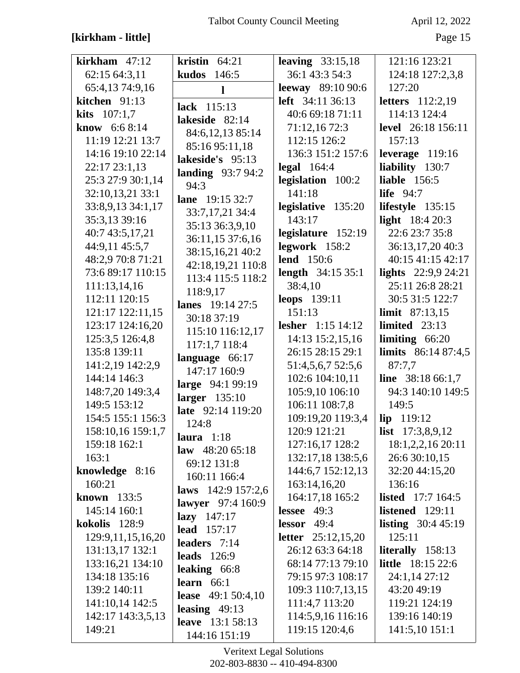## [kirkham - little]

April 12, 2022

Page 15

| $kirkham$ 47:12       | kristin $64:21$          | leaving $33:15,18$        | 121:16 123:21               |
|-----------------------|--------------------------|---------------------------|-----------------------------|
| 62:15 64:3,11         | 146:5<br>kudos           | 36:1 43:3 54:3            | 124:18 127:2,3,8            |
| 65:4,13 74:9,16       | 1                        | <b>leeway</b> 89:10 90:6  | 127:20                      |
| kitchen 91:13         | lack 115:13              | <b>left</b> 34:11 36:13   | <b>letters</b> 112:2,19     |
| <b>kits</b> $107:1,7$ |                          | 40:6 69:18 71:11          | 114:13 124:4                |
| <b>know</b> $6:68:14$ | lakeside 82:14           | 71:12,16 72:3             | <b>level</b> 26:18 156:11   |
| 11:19 12:21 13:7      | 84:6, 12, 13 85:14       | 112:15 126:2              | 157:13                      |
| 14:16 19:10 22:14     | 85:16 95:11,18           | 136:3 151:2 157:6         | leverage 119:16             |
| 22:17 23:1,13         | lakeside's 95:13         | $\text{legal } 164:4$     | liability 130:7             |
| 25:3 27:9 30:1,14     | landing $93:794:2$       | legislation 100:2         | <b>liable</b> 156:5         |
| 32:10,13,21 33:1      | 94:3                     | 141:18                    | <b>life</b> 94:7            |
| 33:8,9,13 34:1,17     | lane 19:15 32:7          | legislative 135:20        | lifestyle $135:15$          |
| 35:3,13 39:16         | 33:7,17,21 34:4          | 143:17                    | light $18:420:3$            |
| 40:7 43:5,17,21       | 35:13 36:3,9,10          | legislature 152:19        | 22:6 23:7 35:8              |
| 44:9,11 45:5,7        | 36:11,15 37:6,16         | legwork 158:2             | 36:13,17,20 40:3            |
| 48:2,9 70:8 71:21     | 38:15,16,21 40:2         | <b>lend</b> 150:6         | 40:15 41:15 42:17           |
| 73:6 89:17 110:15     | 42:18,19,21 110:8        | <b>length</b> 34:15 35:1  | lights $22:9,924:21$        |
| 111:13,14,16          | 113:4 115:5 118:2        | 38:4,10                   | 25:11 26:8 28:21            |
| 112:11 120:15         | 118:9,17                 | leops 139:11              | 30:5 31:5 122:7             |
| 121:17 122:11,15      | lanes 19:14 27:5         | 151:13                    | <b>limit</b> $87:13,15$     |
| 123:17 124:16,20      | 30:18 37:19              | lesher $1:15$ 14:12       | limited $23:13$             |
| 125:3,5 126:4,8       | 115:10 116:12,17         | 14:13 15:2,15,16          | limiting $66:20$            |
| 135:8 139:11          | 117:1,7 118:4            | 26:15 28:15 29:1          | <b>limits</b> $86:1487:4,5$ |
| 141:2,19 142:2,9      | language 66:17           | 51:4,5,6,7 52:5,6         | 87:7,7                      |
| 144:14 146:3          | 147:17 160:9             | 102:6 104:10,11           | <b>line</b> $38:1866:1,7$   |
| 148:7,20 149:3,4      | large 94:1 99:19         | 105:9,10 106:10           | 94:3 140:10 149:5           |
| 149:5 153:12          | larger $135:10$          | 106:11 108:7,8            | 149:5                       |
| 154:5 155:1 156:3     | late 92:14 119:20        | 109:19,20 119:3,4         | lip 119:12                  |
| 158:10,16 159:1,7     | 124:8                    | 120:9 121:21              | list $17:3,8,9,12$          |
| 159:18 162:1          | laura $1:18$             | 127:16,17 128:2           | 18:1,2,2,16 20:11           |
| 163:1                 | law $48:2065:18$         | 132:17,18 138:5,6         | 26:6 30:10,15               |
| knowledge 8:16        | 69:12 131:8              | 144:6,7 152:12,13         | 32:20 44:15,20              |
| 160:21                | 160:11 166:4             | 163:14,16,20              | 136:16                      |
| known $133:5$         | laws 142:9 157:2,6       | 164:17,18 165:2           | <b>listed</b> 17:7 164:5    |
| 145:14 160:1          | <b>lawyer</b> 97:4 160:9 | lessee $49:3$             | listened $129:11$           |
| kokolis 128:9         | $lazy$ 147:17            | lessor $49:4$             | <b>listing</b> $30:445:19$  |
| 129:9,11,15,16,20     | <b>lead</b> 157:17       | <b>letter</b> 25:12,15,20 | 125:11                      |
| 131:13,17 132:1       | leaders $7:14$           | 26:12 63:3 64:18          | literally 158:13            |
| 133:16,21 134:10      | leads $126:9$            | 68:14 77:13 79:10         | <b>little</b> 18:15 22:6    |
| 134:18 135:16         | leaking $66:8$           | 79:15 97:3 108:17         | 24:1,14 27:12               |
| 139:2 140:11          | learn $66:1$             | 109:3 110:7,13,15         | 43:20 49:19                 |
| 141:10,14 142:5       | lease $49:150:4,10$      | 111:4,7 113:20            | 119:21 124:19               |
| 142:17 143:3,5,13     | leasing $49:13$          | 114:5,9,16 116:16         | 139:16 140:19               |
| 149:21                | <b>leave</b> 13:1 58:13  | 119:15 120:4,6            | 141:5,10 151:1              |
|                       | 144:16 151:19            |                           |                             |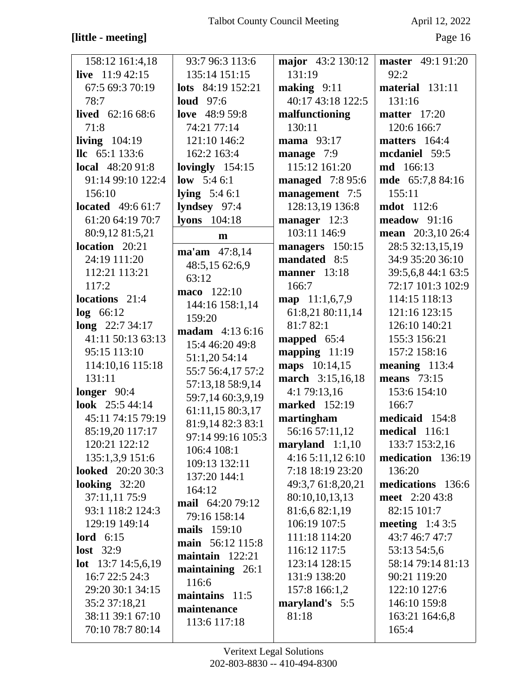## [little - meeting]

April 12, 2022

| 158:12 161:4,18           | 93:7 96:3 113:6       | major 43:2 130:12       | <b>master</b> 49:1 91:20 |
|---------------------------|-----------------------|-------------------------|--------------------------|
| live $11:942:15$          | 135:14 151:15         | 131:19                  | 92:2                     |
| 67:5 69:3 70:19           | lots $84:19$ 152:21   | making $9:11$           | material 131:11          |
| 78:7                      | loud $97:6$           | 40:17 43:18 122:5       | 131:16                   |
| lived $62:1668:6$         | love 48:9 59:8        | malfunctioning          | <b>matter</b> 17:20      |
| 71:8                      | 74:21 77:14           | 130:11                  | 120:6 166:7              |
| living $104:19$           | 121:10 146:2          | mama 93:17              | matters 164:4            |
| $\text{llc}$ 65:1 133:6   | 162:2 163:4           | manage 7:9              | mcdaniel 59:5            |
| <b>local</b> 48:20 91:8   | lovingly $154:15$     | 115:12 161:20           | <b>md</b> 166:13         |
| 91:14 99:10 122:4         | low $5:46:1$          | <b>managed</b> 7:8 95:6 | mde 65:7,8 84:16         |
| 156:10                    | <b>lying</b> $5:46:1$ | management 7:5          | 155:11                   |
| <b>located</b> $49:661:7$ | lyndsey 97:4          | 128:13,19 136:8         | <b>mdot</b> 112:6        |
| 61:20 64:19 70:7          | lyons $104:18$        | manager 12:3            | $meadow$ 91:16           |
|                           |                       | 103:11 146:9            |                          |
| 80:9,12 81:5,21           | m                     |                         | mean $20:3,1026:4$       |
| location 20:21            | ma'am 47:8,14         | managers 150:15         | 28:5 32:13,15,19         |
| 24:19 111:20              | 48:5,15 62:6,9        | mandated 8:5            | 34:9 35:20 36:10         |
| 112:21 113:21             | 63:12                 | <b>manner</b> 13:18     | 39:5,6,8 44:1 63:5       |
| 117:2                     | maco 122:10           | 166:7                   | 72:17 101:3 102:9        |
| locations 21:4            | 144:16 158:1,14       | map $11:1,6,7,9$        | 114:15 118:13            |
| $log$ 66:12               | 159:20                | 61:8,21 80:11,14        | 121:16 123:15            |
| long $22:734:17$          | madam 4:13 6:16       | 81:7 82:1               | 126:10 140:21            |
| 41:11 50:13 63:13         | 15:4 46:20 49:8       | mapped 65:4             | 155:3 156:21             |
| 95:15 113:10              | 51:1,20 54:14         | mapping $11:19$         | 157:2 158:16             |
| 114:10,16 115:18          | 55:7 56:4,17 57:2     | maps 10:14,15           | meaning $113:4$          |
| 131:11                    | 57:13,18 58:9,14      | march 3:15,16,18        | means $73:15$            |
| longer $90:4$             | 59:7,14 60:3,9,19     | 4:1 79:13,16            | 153:6 154:10             |
| look 25:5 44:14           | 61:11,15 80:3,17      | marked 152:19           | 166:7                    |
| 45:11 74:15 79:19         | 81:9,14 82:3 83:1     | martingham              | medicaid 154:8           |
| 85:19,20 117:17           | 97:14 99:16 105:3     | 56:16 57:11,12          | medical 116:1            |
| 120:21 122:12             | 106:4 108:1           | maryland $1:1,10$       | 133:7 153:2,16           |
| 135:1,3,9 151:6           | 109:13 132:11         | 4:165:11,126:10         | medication 136:19        |
| <b>looked</b> 20:20 30:3  | 137:20 144:1          | 7:18 18:19 23:20        | 136:20                   |
| looking $32:20$           | 164:12                | 49:3,7 61:8,20,21       | medications 136:6        |
| 37:11,11 75:9             | mail 64:20 79:12      | 80:10,10,13,13          | meet 2:20 43:8           |
| 93:1 118:2 124:3          | 79:16 158:14          | 81:6,6 82:1,19          | 82:15 101:7              |
| 129:19 149:14             | <b>mails</b> 159:10   | 106:19 107:5            | meeting $1:43:5$         |
| lord $6:15$               | main 56:12 115:8      | 111:18 114:20           | 43:7 46:7 47:7           |
| <b>lost</b> 32:9          |                       | 116:12 117:5            | 53:13 54:5,6             |
| <b>lot</b> 13:7 14:5,6,19 | maintain $122:21$     | 123:14 128:15           | 58:14 79:14 81:13        |
| 16:7 22:5 24:3            | maintaining 26:1      | 131:9 138:20            | 90:21 119:20             |
| 29:20 30:1 34:15          | 116:6                 | 157:8 166:1,2           | 122:10 127:6             |
| 35:2 37:18,21             | maintains $11:5$      | maryland's 5:5          | 146:10 159:8             |
| 38:11 39:1 67:10          | maintenance           | 81:18                   | 163:21 164:6,8           |
| 70:10 78:7 80:14          | 113:6 117:18          |                         | 165:4                    |
|                           |                       |                         |                          |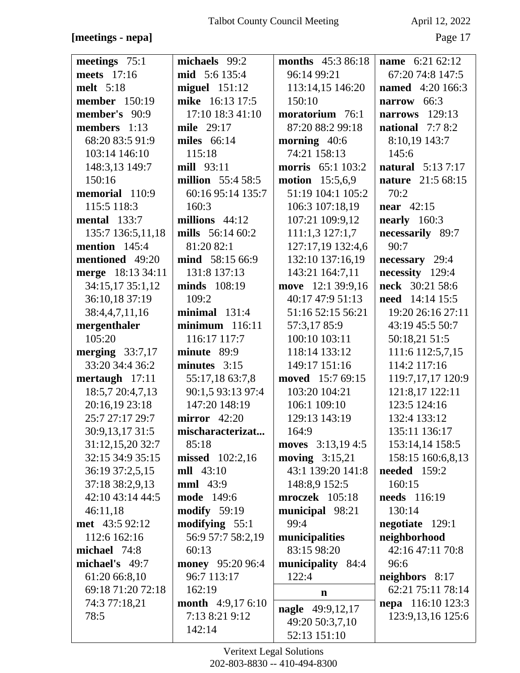### [meetings - nepa]

April 12, 2022

Page 17

| meetings 75:1                       | michaels 99:2                       | <b>months</b> 45:3 86:18              | name 6:21 62:12                          |
|-------------------------------------|-------------------------------------|---------------------------------------|------------------------------------------|
| meets 17:16                         | mid 5:6 135:4                       | 96:14 99:21                           | 67:20 74:8 147:5                         |
| melt 5:18                           | $miguel$ 151:12                     | 113:14,15 146:20                      | <b>named</b> 4:20 166:3                  |
| <b>member</b> 150:19                | mike 16:13 17:5                     | 150:10                                | narrow 66:3                              |
| member's 90:9                       | 17:10 18:3 41:10                    | moratorium 76:1                       | 129:13<br>narrows                        |
| members $1:13$                      | mile 29:17                          | 87:20 88:2 99:18                      | national $7:78:2$                        |
| 68:20 83:5 91:9                     | miles 66:14                         | morning 40:6                          | 8:10,19 143:7                            |
| 103:14 146:10                       | 115:18                              | 74:21 158:13                          | 145:6                                    |
| 148:3,13 149:7                      | mill 93:11                          | <b>morris</b> 65:1 103:2              | <b>natural</b> 5:13 7:17                 |
| 150:16                              | <b>million</b> 55:4 58:5            | <b>motion</b> 15:5,6,9                | nature 21:5 68:15                        |
| memorial 110:9                      | 60:16 95:14 135:7                   | 51:19 104:1 105:2                     | 70:2                                     |
| 115:5 118:3                         | 160:3                               | 106:3 107:18,19                       | near $42:15$                             |
| <b>mental</b> 133:7                 | millions 44:12                      | 107:21 109:9,12                       | nearly $160:3$                           |
| 135:7 136:5,11,18                   | mills 56:14 60:2                    | 111:1,3127:1,7                        | necessarily 89:7                         |
| mention 145:4                       | 81:20 82:1                          | 127:17,19 132:4,6                     | 90:7                                     |
| mentioned 49:20                     | mind 58:15 66:9                     | 132:10 137:16,19                      | necessary 29:4                           |
| merge 18:13 34:11                   | 131:8 137:13                        | 143:21 164:7,11                       | necessity 129:4                          |
| 34:15,17 35:1,12                    | minds 108:19                        | move 12:1 39:9,16                     | neck 30:21 58:6                          |
| 36:10,18 37:19                      | 109:2                               | 40:17 47:9 51:13                      | <b>need</b> 14:14 15:5                   |
| 38:4,4,7,11,16                      | $minimal$ 131:4                     | 51:16 52:15 56:21                     | 19:20 26:16 27:11                        |
| mergenthaler                        | $minimum$ 116:11                    | 57:3,17 85:9                          | 43:19 45:5 50:7                          |
| 105:20                              | 116:17 117:7                        | 100:10 103:11                         | 50:18,21 51:5                            |
| merging $33:7,17$                   | minute 89:9                         | 118:14 133:12                         | 111:6 112:5,7,15                         |
| 33:20 34:4 36:2                     | minutes $3:15$                      | 149:17 151:16                         | 114:2 117:16                             |
| mertaugh 17:11                      | 55:17,18 63:7,8                     | moved 15:7 69:15                      | 119:7,17,17 120:9                        |
| 18:5,7 20:4,7,13                    | 90:1,5 93:13 97:4                   | 103:20 104:21                         | 121:8,17 122:11                          |
| 20:16,19 23:18                      | 147:20 148:19                       | 106:1 109:10                          | 123:5 124:16                             |
| 25:7 27:17 29:7                     | mirror $42:20$                      | 129:13 143:19                         | 132:4 133:12                             |
| 30:9,13,17 31:5                     | mischaracterizat                    | 164:9                                 | 135:11 136:17                            |
| 31:12,15,20 32:7                    | 85:18                               | moves 3:13,19 4:5                     | 153:14,14 158:5                          |
| 32:15 34:9 35:15<br>36:19 37:2,5,15 | missed 102:2,16<br><b>mll</b> 43:10 | moving $3:15,21$<br>43:1 139:20 141:8 | 158:15 160:6,8,13<br><b>needed</b> 159:2 |
| 37:18 38:2,9,13                     | <b>mml</b> 43:9                     | 148:8,9 152:5                         | 160:15                                   |
| 42:10 43:14 44:5                    | <b>mode</b> 149:6                   | mroczek 105:18                        | <b>needs</b> 116:19                      |
| 46:11,18                            | <b>modify</b> 59:19                 | municipal 98:21                       | 130:14                                   |
| met 43:5 92:12                      | modifying $55:1$                    | 99:4                                  | negotiate 129:1                          |
| 112:6 162:16                        | 56:9 57:7 58:2,19                   | municipalities                        | neighborhood                             |
| michael 74:8                        | 60:13                               | 83:15 98:20                           | 42:16 47:11 70:8                         |
| michael's 49:7                      | money 95:20 96:4                    | municipality 84:4                     | 96:6                                     |
| 61:20 66:8,10                       | 96:7 113:17                         | 122:4                                 | neighbors 8:17                           |
| 69:18 71:20 72:18                   | 162:19                              |                                       | 62:21 75:11 78:14                        |
| 74:3 77:18,21                       | <b>month</b> $4:9,176:10$           | $\mathbf n$                           | <b>nepa</b> 116:10 123:3                 |
| 78:5                                | 7:13 8:21 9:12                      | nagle 49:9,12,17                      | 123:9, 13, 16 125:6                      |
|                                     | 142:14                              | 49:20 50:3,7,10                       |                                          |
|                                     |                                     | 52:13 151:10                          |                                          |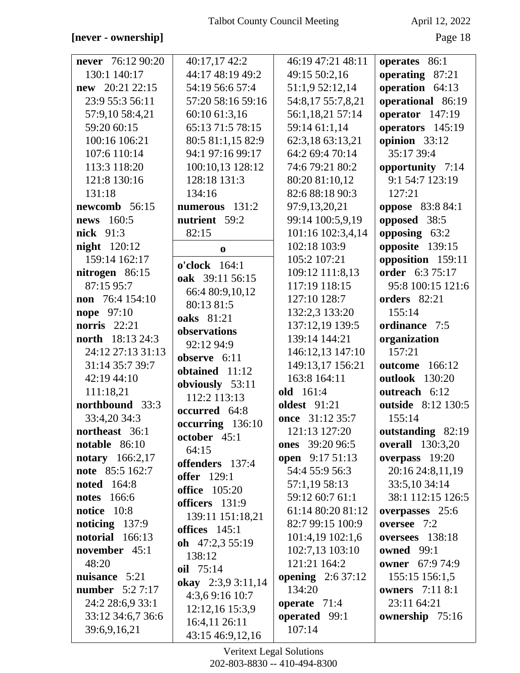### [never - ownership]

April 12, 2022

| never 76:12 90:20       | 40:17,17 42:2        | 46:19 47:21 48:11         | operates 86:1             |
|-------------------------|----------------------|---------------------------|---------------------------|
| 130:1 140:17            | 44:17 48:19 49:2     | 49:15 50:2,16             | operating 87:21           |
| new 20:21 22:15         | 54:19 56:6 57:4      | 51:1,9 52:12,14           | operation 64:13           |
| 23:9 55:3 56:11         | 57:20 58:16 59:16    | 54:8,17 55:7,8,21         | operational 86:19         |
| 57:9,10 58:4,21         | 60:10 61:3,16        | 56:1,18,21 57:14          | operator 147:19           |
| 59:20 60:15             | 65:13 71:5 78:15     | 59:14 61:1,14             | operators 145:19          |
| 100:16 106:21           | 80:5 81:1,15 82:9    | 62:3,18 63:13,21          | opinion 33:12             |
| 107:6 110:14            | 94:1 97:16 99:17     | 64:2 69:4 70:14           | 35:17 39:4                |
| 113:3 118:20            | 100:10,13 128:12     | 74:6 79:21 80:2           | opportunity 7:14          |
| 121:8 130:16            | 128:18 131:3         | 80:20 81:10,12            | 9:1 54:7 123:19           |
| 131:18                  | 134:16               | 82:6 88:18 90:3           | 127:21                    |
| newcomb 56:15           | numerous 131:2       | 97:9,13,20,21             | <b>oppose</b> 83:8 84:1   |
| news 160:5              | nutrient 59:2        | 99:14 100:5,9,19          | opposed 38:5              |
| <b>nick</b> 91:3        | 82:15                | 101:16 102:3,4,14         | opposing 63:2             |
| <b>night</b> 120:12     | $\bf{0}$             | 102:18 103:9              | opposite 139:15           |
| 159:14 162:17           | o'clock 164:1        | 105:2 107:21              | opposition 159:11         |
| nitrogen 86:15          | oak 39:11 56:15      | 109:12 111:8,13           | order 6:3 75:17           |
| 87:15 95:7              | 66:4 80:9,10,12      | 117:19 118:15             | 95:8 100:15 121:6         |
| non 76:4 154:10         | 80:13 81:5           | 127:10 128:7              | orders 82:21              |
| nope 97:10              | oaks 81:21           | 132:2,3 133:20            | 155:14                    |
| norris $22:21$          | observations         | 137:12,19 139:5           | ordinance 7:5             |
| <b>north</b> 18:13 24:3 | 92:12 94:9           | 139:14 144:21             | organization              |
| 24:12 27:13 31:13       | observe 6:11         | 146:12,13 147:10          | 157:21                    |
| 31:14 35:7 39:7         | obtained 11:12       | 149:13,17 156:21          | <b>outcome</b> 166:12     |
| 42:19 44:10             | obviously 53:11      | 163:8 164:11              | <b>outlook</b> 130:20     |
| 111:18,21               | 112:2 113:13         | old 161:4                 | outreach 6:12             |
| northbound 33:3         | occurred 64:8        | <b>oldest</b> 91:21       | <b>outside</b> 8:12 130:5 |
| 33:4,20 34:3            | occurring 136:10     | once 31:12 35:7           | 155:14                    |
| northeast 36:1          | october 45:1         | 121:13 127:20             | outstanding 82:19         |
| notable $86:10$         | 64:15                | ones 39:20 96:5           | <b>overall</b> 130:3,20   |
| <b>notary</b> 166:2,17  | offenders 137:4      | <b>open</b> 9:17 51:13    | overpass $19:20$          |
| note 85:5 162:7         | <b>offer</b> 129:1   | 54:4 55:9 56:3            | 20:16 24:8,11,19          |
| <b>noted</b> 164:8      | <b>office</b> 105:20 | 57:1,19 58:13             | 33:5,10 34:14             |
| <b>notes</b> 166:6      | officers 131:9       | 59:12 60:7 61:1           | 38:1 112:15 126:5         |
| notice 10:8             | 139:11 151:18,21     | 61:14 80:20 81:12         | overpasses 25:6           |
| noticing $137:9$        | offices $145:1$      | 82:7 99:15 100:9          | oversee 7:2               |
| notorial 166:13         | oh $47:2,355:19$     | 101:4,19 102:1,6          | oversees 138:18           |
| november $45:1$         | 138:12               | 102:7,13 103:10           | <b>owned</b> 99:1         |
| 48:20                   | oil 75:14            | 121:21 164:2              | <b>owner</b> 67:9 74:9    |
| nuisance 5:21           | okay 2:3,9 3:11,14   | <b>opening</b> $2:637:12$ | 155:15 156:1,5            |
| <b>number</b> 5:2 7:17  | 4:3,69:1610:7        | 134:20                    | <b>owners</b> 7:11 8:1    |
| 24:2 28:6,9 33:1        | 12:12,16 15:3,9      | operate 71:4              | 23:11 64:21               |
| 33:12 34:6,7 36:6       | 16:4,11 26:11        | operated 99:1             | ownership 75:16           |
| 39:6,9,16,21            | 43:15 46:9,12,16     | 107:14                    |                           |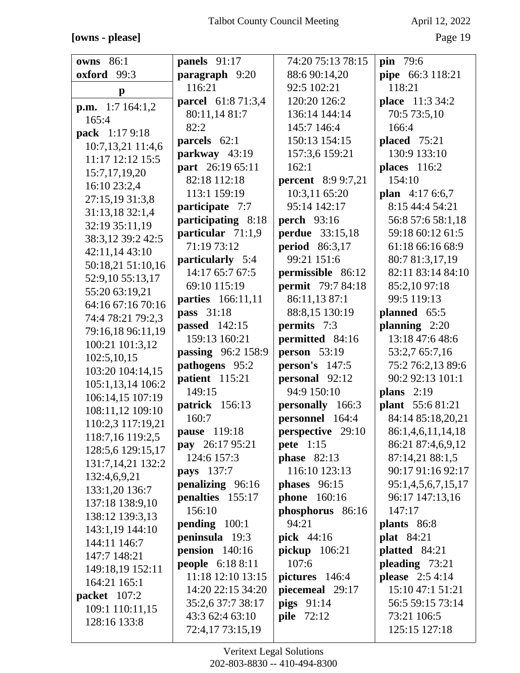## **[owns - please]** Page 19

| <b>owns</b> 86:1        |                           | 74:20 75:13 78:15         |                         |
|-------------------------|---------------------------|---------------------------|-------------------------|
|                         | panels 91:17              |                           | <b>pin</b> 79:6         |
| oxford<br>99:3          | paragraph 9:20            | 88:6 90:14,20             | pipe 66:3 118:21        |
| $\mathbf{p}$            | 116:21                    | 92:5 102:21               | 118:21                  |
| <b>p.m.</b> 1:7 164:1,2 | <b>parcel</b> 61:8 71:3,4 | 120:20 126:2              | place 11:3 34:2         |
| 165:4                   | 80:11,14 81:7             | 136:14 144:14             | 70:5 73:5,10            |
| pack 1:17 9:18          | 82:2                      | 145:7 146:4               | 166:4                   |
| 10:7,13,21 11:4,6       | parcels 62:1              | 150:13 154:15             | <b>placed</b> 75:21     |
| 11:17 12:12 15:5        | parkway 43:19             | 157:3,6 159:21            | 130:9 133:10            |
| 15:7, 17, 19, 20        | part 26:19 65:11          | 162:1                     | <b>places</b> 116:2     |
| 16:10 23:2,4            | 82:18 112:18              | <b>percent</b> 8:9 9:7,21 | 154:10                  |
| 27:15,19 31:3,8         | 113:1 159:19              | 10:3,11 65:20             | <b>plan</b> $4:176:6,7$ |
| 31:13,18 32:1,4         | participate 7:7           | 95:14 142:17              | 8:15 44:4 54:21         |
| 32:19 35:11,19          | participating 8:18        | <b>perch</b> 93:16        | 56:8 57:6 58:1,18       |
| 38:3,12 39:2 42:5       | particular 71:1,9         | <b>perdue</b> 33:15,18    | 59:18 60:12 61:5        |
|                         | 71:19 73:12               | <b>period</b> 86:3,17     | 61:18 66:16 68:9        |
| 42:11,14 43:10          | particularly 5:4          | 99:21 151:6               | 80:7 81:3,17,19         |
| 50:18,21 51:10,16       | 14:17 65:7 67:5           | permissible 86:12         | 82:11 83:14 84:10       |
| 52:9,10 55:13,17        | 69:10 115:19              | <b>permit</b> 79:7 84:18  | 85:2,10 97:18           |
| 55:20 63:19,21          | parties 166:11,11         | 86:11,13 87:1             | 99:5 119:13             |
| 64:16 67:16 70:16       | pass 31:18                | 88:8,15 130:19            | planned 65:5            |
| 74:4 78:21 79:2,3       | <b>passed</b> 142:15      | <b>permits</b> 7:3        | planning $2:20$         |
| 79:16,18 96:11,19       | 159:13 160:21             | permitted 84:16           | 13:18 47:6 48:6         |
| 100:21 101:3,12         | passing 96:2 158:9        | <b>person</b> 53:19       | 53:2,7 65:7,16          |
| 102:5,10,15             | pathogens 95:2            | person's $147:5$          | 75:2 76:2,13 89:6       |
| 103:20 104:14,15        | patient 115:21            | personal 92:12            | 90:2 92:13 101:1        |
| 105:1,13,14 106:2       | 149:15                    | 94:9 150:10               | plans $2:19$            |
| 106:14,15 107:19        | patrick 156:13            | personally 166:3          | plant 55:6 81:21        |
| 108:11,12 109:10        | 160:7                     | personnel 164:4           | 84:14 85:18,20,21       |
| 110:2,3 117:19,21       | pause 119:18              | perspective 29:10         | 86:1,4,6,11,14,18       |
| 118:7,16 119:2,5        | pay 26:17 95:21           | <b>pete</b> 1:15          | 86:21 87:4,6,9,12       |
| 128:5,6 129:15,17       | 124:6 157:3               | <b>phase</b> 82:13        | 87:14,21 88:1,5         |
| 131:7,14,21 132:2       | <b>pays</b> 137:7         | 116:10 123:13             | 90:17 91:16 92:17       |
| 132:4,6,9,21            | penalizing 96:16          | phases 96:15              | 95:1,4,5,6,7,15,17      |
| 133:1,20 136:7          | penalties 155:17          | <b>phone</b> 160:16       | 96:17 147:13,16         |
| 137:18 138:9,10         | 156:10                    | phosphorus 86:16          | 147:17                  |
| 138:12 139:3,13         | pending 100:1             | 94:21                     | plants 86:8             |
| 143:1,19 144:10         | peninsula 19:3            | <b>pick</b> 44:16         | <b>plat</b> 84:21       |
| 144:11 146:7            | pension $140:16$          | pickup 106:21             | platted 84:21           |
| 147:7 148:21            | people 6:18 8:11          | 107:6                     | pleading $73:21$        |
| 149:18,19 152:11        | 11:18 12:10 13:15         | pictures 146:4            | <b>please</b> 2:5 4:14  |
| 164:21 165:1            | 14:20 22:15 34:20         | piecemeal 29:17           | 15:10 47:1 51:21        |
| packet 107:2            | 35:2,6 37:7 38:17         | pigs $91:14$              | 56:5 59:15 73:14        |
| 109:1 110:11,15         | 43:3 62:4 63:10           | <b>pile</b> 72:12         | 73:21 106:5             |
| 128:16 133:8            | 72:4,17 73:15,19          |                           | 125:15 127:18           |
|                         |                           |                           |                         |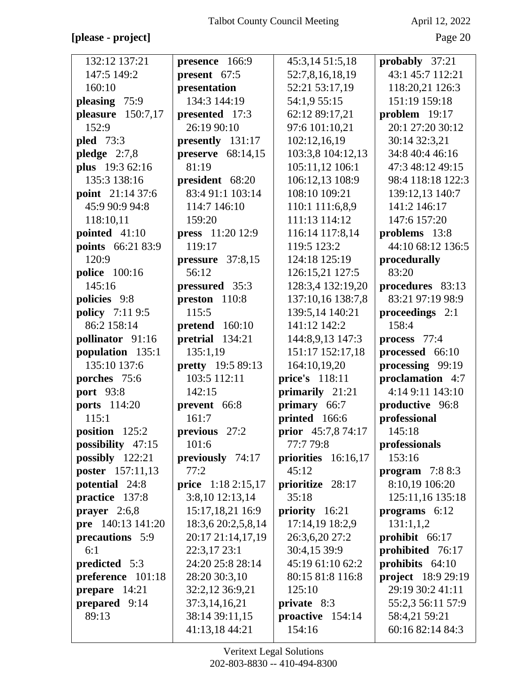## **[please - project]** Page 20

| 132:12 137:21          | presence 166:9      | 45:3,14 51:5,18     | probably 37:21            |
|------------------------|---------------------|---------------------|---------------------------|
| 147:5 149:2            | present 67:5        | 52:7,8,16,18,19     | 43:1 45:7 112:21          |
| 160:10                 | presentation        | 52:21 53:17,19      | 118:20,21 126:3           |
| pleasing 75:9          | 134:3 144:19        | 54:1,9 55:15        | 151:19 159:18             |
| pleasure 150:7,17      | presented 17:3      | 62:12 89:17,21      | problem 19:17             |
| 152:9                  | 26:19 90:10         | 97:6 101:10,21      | 20:1 27:20 30:12          |
| <b>pled</b> 73:3       | presently 131:17    | 102:12,16,19        | 30:14 32:3,21             |
| pledge $2:7,8$         | preserve $68:14,15$ | 103:3,8 104:12,13   | 34:8 40:4 46:16           |
| plus 19:3 62:16        | 81:19               | 105:11,12 106:1     | 47:3 48:12 49:15          |
| 135:3 138:16           | president 68:20     | 106:12,13 108:9     | 98:4 118:18 122:3         |
| point 21:14 37:6       | 83:4 91:1 103:14    | 108:10 109:21       | 139:12,13 140:7           |
| 45:9 90:9 94:8         | 114:7 146:10        | 110:1 111:6,8,9     | 141:2 146:17              |
| 118:10,11              | 159:20              | 111:13 114:12       | 147:6 157:20              |
| pointed 41:10          | press 11:20 12:9    | 116:14 117:8,14     | problems 13:8             |
| points 66:21 83:9      | 119:17              | 119:5 123:2         | 44:10 68:12 136:5         |
| 120:9                  | pressure 37:8,15    | 124:18 125:19       | procedurally              |
| <b>police</b> 100:16   | 56:12               | 126:15,21 127:5     | 83:20                     |
| 145:16                 | pressured 35:3      | 128:3,4 132:19,20   | procedures 83:13          |
| policies 9:8           | preston 110:8       | 137:10,16 138:7,8   | 83:21 97:19 98:9          |
| <b>policy</b> 7:11 9:5 | 115:5               | 139:5,14 140:21     | proceedings 2:1           |
| 86:2 158:14            | pretend 160:10      | 141:12 142:2        | 158:4                     |
| pollinator 91:16       | pretrial 134:21     | 144:8,9,13 147:3    | process 77:4              |
| population 135:1       | 135:1,19            | 151:17 152:17,18    | processed 66:10           |
| 135:10 137:6           | pretty 19:5 89:13   | 164:10,19,20        | processing 99:19          |
| porches 75:6           | 103:5 112:11        | price's 118:11      | proclamation 4:7          |
| <b>port</b> 93:8       | 142:15              | primarily 21:21     | 4:14 9:11 143:10          |
| <b>ports</b> 114:20    | prevent 66:8        | primary 66:7        | productive 96:8           |
| 115:1                  | 161:7               | printed 166:6       | professional              |
| position 125:2         | previous 27:2       | prior 45:7,8 74:17  | 145:18                    |
| possibility $47:15$    | 101:6               | 77:7 79:8           | professionals             |
| possibly $122:21$      | previously 74:17    | priorities 16:16,17 | 153:16                    |
| poster 157:11,13       | 77:2                | 45:12               | program $7:88:3$          |
| potential 24:8         | price 1:18 2:15,17  | prioritize 28:17    | 8:10,19 106:20            |
| practice 137:8         | $3:8,10$ 12:13,14   | 35:18               | 125:11,16 135:18          |
| prayer $2:6,8$         | 15:17,18,21 16:9    | priority 16:21      | programs 6:12             |
| pre 140:13 141:20      | 18:3,6 20:2,5,8,14  | 17:14,19 18:2,9     | 131:1,1,2                 |
| precautions 5:9        | 20:17 21:14,17,19   | 26:3,6,20 27:2      | prohibit 66:17            |
| 6:1                    | 22:3,17 23:1        | 30:4,15 39:9        | prohibited 76:17          |
| predicted 5:3          | 24:20 25:8 28:14    | 45:19 61:10 62:2    | prohibits 64:10           |
| preference 101:18      | 28:20 30:3,10       | 80:15 81:8 116:8    | <b>project</b> 18:9 29:19 |
| prepare $14:21$        | 32:2,12 36:9,21     | 125:10              | 29:19 30:2 41:11          |
| prepared 9:14          | 37:3,14,16,21       | private 8:3         | 55:2,3 56:11 57:9         |
| 89:13                  | 38:14 39:11,15      | proactive 154:14    | 58:4,21 59:21             |
|                        |                     |                     |                           |
|                        | 41:13,18 44:21      | 154:16              | 60:16 82:14 84:3          |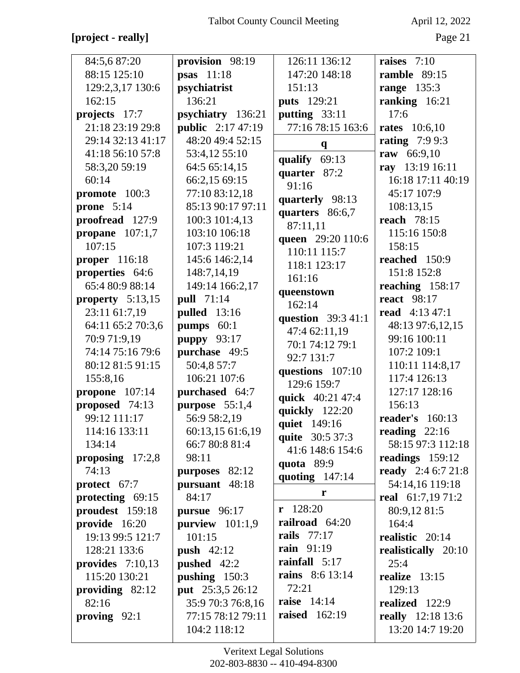# **[project - really]** Page 21

| 84:5,687:20          | provision 98:19          | 126:11 136:12                       | raises $7:10$             |
|----------------------|--------------------------|-------------------------------------|---------------------------|
| 88:15 125:10         | <b>psas</b> 11:18        | 147:20 148:18                       | ramble 89:15              |
| 129:2,3,17 130:6     | psychiatrist             | 151:13                              | <b>range</b> 135:3        |
| 162:15               | 136:21                   | <b>puts</b> 129:21                  | ranking 16:21             |
| projects 17:7        | psychiatry 136:21        | putting 33:11                       | 17:6                      |
| 21:18 23:19 29:8     | <b>public</b> 2:17 47:19 | 77:16 78:15 163:6                   | <b>rates</b> 10:6,10      |
| 29:14 32:13 41:17    | 48:20 49:4 52:15         | $\mathbf q$                         | <b>rating</b> 7:9 9:3     |
| 41:18 56:10 57:8     | 53:4,12 55:10            | qualify 69:13                       | raw 66:9,10               |
| 58:3,20 59:19        | 64:5 65:14,15            | quarter 87:2                        | ray 13:19 16:11           |
| 60:14                | 66:2,15 69:15            | 91:16                               | 16:18 17:11 40:19         |
| promote 100:3        | 77:10 83:12,18           |                                     | 45:17 107:9               |
| prone $5:14$         | 85:13 90:17 97:11        | quarterly 98:13                     | 108:13,15                 |
| proofread 127:9      | 100:3 101:4,13           | quarters 86:6,7                     | <b>reach</b> 78:15        |
| propane $107:1,7$    | 103:10 106:18            | 87:11,11                            | 115:16 150:8              |
| 107:15               | 107:3 119:21             | queen 29:20 110:6<br>110:11 115:7   | 158:15                    |
| <b>proper</b> 116:18 | 145:6 146:2,14           | 118:1 123:17                        | reached 150:9             |
| properties 64:6      | 148:7,14,19              | 161:16                              | 151:8 152:8               |
| 65:4 80:9 88:14      | 149:14 166:2,17          |                                     | reaching 158:17           |
| property $5:13,15$   | <b>pull</b> 71:14        | queenstown<br>162:14                | <b>react</b> 98:17        |
| 23:11 61:7,19        | <b>pulled</b> 13:16      |                                     | <b>read</b> 4:13 47:1     |
| 64:11 65:2 70:3,6    | pumps $60:1$             | question 39:3 41:1<br>47:4 62:11,19 | 48:13 97:6,12,15          |
| 70:9 71:9,19         | <b>puppy</b> 93:17       | 70:1 74:12 79:1                     | 99:16 100:11              |
| 74:14 75:16 79:6     | purchase 49:5            | 92:7 131:7                          | 107:2 109:1               |
| 80:12 81:5 91:15     | 50:4,8 57:7              |                                     | 110:11 114:8,17           |
| 155:8,16             | 106:21 107:6             | questions 107:10<br>129:6 159:7     | 117:4 126:13              |
| propone $107:14$     | purchased 64:7           |                                     | 127:17 128:16             |
| proposed 74:13       | purpose 55:1,4           | quick 40:21 47:4                    | 156:13                    |
| 99:12 111:17         | 56:9 58:2,19             | quickly 122:20                      | <b>reader's</b> 160:13    |
| 114:16 133:11        | 60:13,15 61:6,19         | quiet 149:16                        | reading 22:16             |
| 134:14               | 66:7 80:8 81:4           | quite 30:5 37:3                     | 58:15 97:3 112:18         |
| proposing $17:2,8$   | 98:11                    | 41:6 148:6 154:6                    | readings $159:12$         |
| 74:13                | purposes 82:12           | quota 89:9                          | <b>ready</b> 2:4 6:7 21:8 |
| protect 67:7         | pursuant 48:18           | quoting $147:14$                    | 54:14,16 119:18           |
| protecting $69:15$   | 84:17                    | r                                   | real 61:7,19 71:2         |
| proudest 159:18      | pursue $96:17$           | $r$ 128:20                          | 80:9,12 81:5              |
| provide 16:20        | purview $101:1,9$        | railroad 64:20                      | 164:4                     |
| 19:13 99:5 121:7     | 101:15                   | <b>rails</b> 77:17                  | realistic 20:14           |
| 128:21 133:6         | <b>push</b> $42:12$      | <b>rain</b> 91:19                   | realistically 20:10       |
| provides $7:10,13$   | pushed 42:2              | rainfall 5:17                       | 25:4                      |
| 115:20 130:21        | pushing 150:3            | <b>rains</b> 8:6 13:14              | realize $13:15$           |
| providing $82:12$    | put 25:3,5 26:12         | 72:21                               | 129:13                    |
| 82:16                | 35:9 70:3 76:8,16        | raise $14:14$                       | realized 122:9            |
| proving $92:1$       | 77:15 78:12 79:11        | <b>raised</b> 162:19                | <b>really</b> 12:18 13:6  |
|                      | 104:2 118:12             |                                     | 13:20 14:7 19:20          |
|                      |                          |                                     |                           |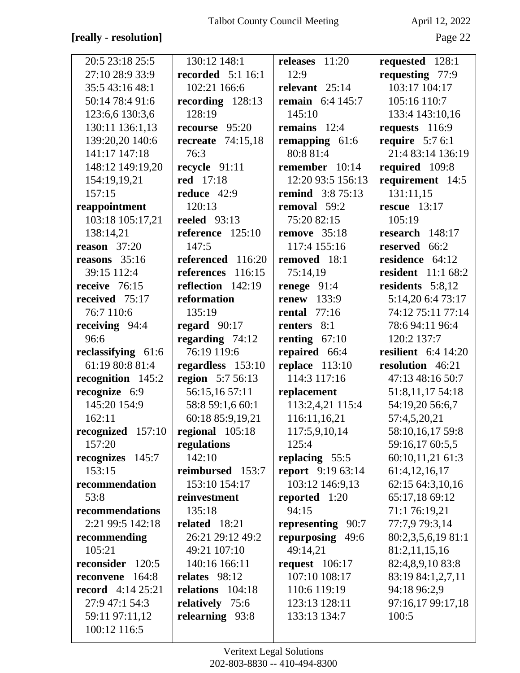### **[really - resolution]** Page 22

| 20:5 23:18 25:5                       | 130:12 148:1             | releases $11:20$         | requested 128:1           |
|---------------------------------------|--------------------------|--------------------------|---------------------------|
| 27:10 28:9 33:9                       | <b>recorded</b> 5:1 16:1 | 12:9                     | requesting 77:9           |
| 35:5 43:16 48:1                       | 102:21 166:6             | relevant 25:14           | 103:17 104:17             |
| 50:14 78:4 91:6                       | recording $128:13$       | <b>remain</b> 6:4 145:7  | 105:16 110:7              |
| 123:6,6 130:3,6                       | 128:19                   | 145:10                   | 133:4 143:10,16           |
| 130:11 136:1,13                       | recourse 95:20           | remains $12:4$           | requests 116:9            |
| 139:20,20 140:6                       | recreate $74:15.18$      | remapping 61:6           | require $5:76:1$          |
| 141:17 147:18                         | 76:3                     | 80:8 81:4                | 21:4 83:14 136:19         |
| 148:12 149:19,20                      | recycle $91:11$          | remember 10:14           | required 109:8            |
| 154:19,19,21                          | red 17:18                | 12:20 93:5 156:13        | requirement 14:5          |
| 157:15                                | reduce 42:9              | <b>remind</b> 3:8 75:13  | 131:11,15                 |
| reappointment                         | 120:13                   | removal 59:2             | rescue $13:17$            |
| 103:18 105:17,21                      | <b>reeled</b> 93:13      | 75:20 82:15              | 105:19                    |
| 138:14,21                             | reference $125:10$       | remove $35:18$           | research 148:17           |
| reason $37:20$                        | 147:5                    | 117:4 155:16             | reserved 66:2             |
| reasons $35:16$                       | referenced 116:20        | removed 18:1             | residence 64:12           |
| 39:15 112:4                           | references<br>116:15     | 75:14,19                 | <b>resident</b> 11:1 68:2 |
| receive 76:15                         | reflection 142:19        | renege $91:4$            | residents 5:8,12          |
| received 75:17                        | reformation              | renew $133:9$            | 5:14,20 6:4 73:17         |
| 76:7 110:6                            | 135:19                   | <b>rental</b> 77:16      | 74:12 75:11 77:14         |
| receiving 94:4                        | regard $90:17$           | renters 8:1              | 78:6 94:11 96:4           |
| 96:6                                  | regarding $74:12$        | renting $67:10$          | 120:2 137:7               |
| reclassifying 61:6                    | 76:19 119:6              | repaired 66:4            | resilient $6:4$ 14:20     |
|                                       |                          |                          |                           |
| 61:19 80:8 81:4                       | regardless 153:10        | replace $113:10$         | resolution 46:21          |
| recognition 145:2                     | region 5:7 56:13         | 114:3 117:16             | 47:13 48:16 50:7          |
| recognize 6:9                         | 56:15,16 57:11           | replacement              | 51:8,11,17 54:18          |
| 145:20 154:9                          | 58:8 59:1,6 60:1         | 113:2,4,21 115:4         | 54:19,20 56:6,7           |
| 162:11                                | 60:18 85:9,19,21         | 116:11,16,21             | 57:4,5,20,21              |
| recognized $157:10$ regional $105:18$ |                          | 117:5,9,10,14            | 58:10,16,17 59:8          |
| 157:20                                | regulations              | 125:4                    | 59:16,17 60:5,5           |
| recognizes 145:7                      | 142:10                   | replacing 55:5           | 60:10,11,21 61:3          |
| 153:15                                | reimbursed 153:7         | <b>report</b> 9:19 63:14 | 61:4,12,16,17             |
| recommendation                        | 153:10 154:17            | 103:12 146:9,13          | 62:15 64:3,10,16          |
| 53:8                                  | reinvestment             | reported $1:20$          | 65:17,18 69:12            |
| recommendations                       | 135:18                   | 94:15                    | 71:1 76:19,21             |
| 2:21 99:5 142:18                      | related 18:21            | representing 90:7        | 77:7,9 79:3,14            |
| recommending                          | 26:21 29:12 49:2         | repurposing 49:6         | 80:2,3,5,6,19 81:1        |
| 105:21                                | 49:21 107:10             | 49:14,21                 | 81:2,11,15,16             |
| reconsider 120:5                      | 140:16 166:11            | request $106:17$         | 82:4,8,9,10 83:8          |
| 164:8<br>reconvene                    | relates 98:12            | 107:10 108:17            | 83:19 84:1,2,7,11         |
| <b>record</b> $4:14\,25:21$           | relations 104:18         | 110:6 119:19             | 94:18 96:2,9              |
| 27:9 47:1 54:3                        | relatively 75:6          | 123:13 128:11            | 97:16,17 99:17,18         |
| 59:11 97:11,12<br>100:12 116:5        | relearning 93:8          | 133:13 134:7             | 100:5                     |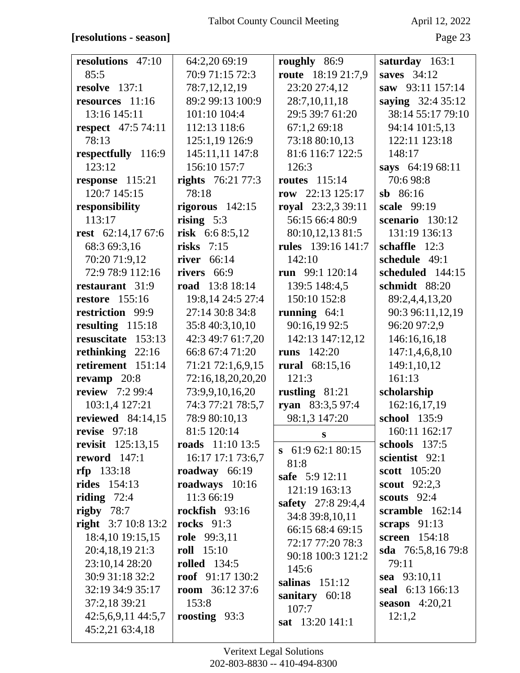### **[resolutions - season]** Page 23

| resolutions 47:10         | 64:2,20 69:19                   | roughly 86:9         | saturday 163:1             |
|---------------------------|---------------------------------|----------------------|----------------------------|
| 85:5                      | 70:9 71:15 72:3                 | route 18:19 21:7,9   | saves $34:12$              |
| resolve $137:1$           | 78:7,12,12,19                   | 23:20 27:4,12        | saw 93:11 157:14           |
| resources 11:16           | 89:2 99:13 100:9                | 28:7,10,11,18        | saying 32:4 35:12          |
| 13:16 145:11              | 101:10 104:4                    | 29:5 39:7 61:20      | 38:14 55:17 79:10          |
| <b>respect</b> 47:5 74:11 | 112:13 118:6                    | 67:1,2 69:18         | 94:14 101:5,13             |
| 78:13                     | 125:1,19 126:9                  | 73:18 80:10,13       | 122:11 123:18              |
| respectfully 116:9        | 145:11,11 147:8                 | 81:6 116:7 122:5     | 148:17                     |
| 123:12                    | 156:10 157:7                    | 126:3                | says 64:19 68:11           |
| response 115:21           | <b>rights</b> 76:21 77:3        | <b>routes</b> 115:14 | 70:698:8                   |
| 120:7 145:15              | 78:18                           | row $22:13$ 125:17   | $sb$ 86:16                 |
| responsibility            | rigorous $142:15$               | royal 23:2,3 39:11   | scale 99:19                |
| 113:17                    | rising $5:3$                    | 56:15 66:4 80:9      | scenario $130:12$          |
| rest 62:14,17 67:6        | risk $6:68:5,12$                | 80:10,12,13 81:5     | 131:19 136:13              |
| 68:3 69:3,16              | risks $7:15$                    | rules 139:16 141:7   | schaffle $12:3$            |
| 70:20 71:9,12             | river 66:14                     | 142:10               | schedule 49:1              |
| 72:9 78:9 112:16          | rivers 66:9                     | run 99:1 120:14      | scheduled 144:15           |
| restaurant 31:9           | road 13:8 18:14                 | 139:5 148:4,5        | schmidt 88:20              |
| <b>restore</b> 155:16     | 19:8,14 24:5 27:4               | 150:10 152:8         | 89:2,4,4,13,20             |
| restriction 99:9          | 27:14 30:8 34:8                 | running $64:1$       | 90:3 96:11,12,19           |
| resulting 115:18          | 35:8 40:3,10,10                 | 90:16,19 92:5        | 96:20 97:2,9               |
| resuscitate 153:13        | 42:3 49:7 61:7,20               | 142:13 147:12,12     | 146:16,16,18               |
| rethinking $22:16$        | 66:8 67:4 71:20                 | <b>runs</b> 142:20   | 147:1,4,6,8,10             |
| retirement 151:14         | 71:21 72:1,6,9,15               | rural 68:15,16       | 149:1,10,12                |
| revamp $20:8$             | 72:16,18,20,20,20               | 121:3                | 161:13                     |
| <b>review</b> 7:2 99:4    | 73:9,9,10,16,20                 | rustling $81:21$     | scholarship                |
| 103:1,4 127:21            | 74:3 77:21 78:5,7               | ryan 83:3,5 97:4     | 162:16,17,19               |
| reviewed $84:14,15$       | 78:9 80:10,13                   | 98:1,3 147:20        | school 135:9               |
| revise $97:18$            | 81:5 120:14                     | S                    | 160:11 162:17              |
| <b>revisit</b> 125:13,15  | <b>roads</b> 11:10 13:5         | $\,$ 61:9 62:1 80:15 | schools $137:5$            |
| reword $147:1$            | 16:17 17:1 73:6,7               | 81:8                 | scientist 92:1             |
| $rfp$ 133:18              | roadway 66:19                   | safe 5:9 12:11       | scott 105:20               |
| <b>rides</b> 154:13       | roadways 10:16                  | 121:19 163:13        | scout $92:2,3$             |
| riding $72:4$             | 11:3 66:19                      | safety 27:8 29:4,4   | scouts $92:4$              |
| rigby $78:7$              | rockfish 93:16                  | 34:8 39:8,10,11      | scramble 162:14            |
| right $3:710:813:2$       | <b>rocks</b> 91:3               | 66:15 68:4 69:15     | scraps $91:13$             |
| 18:4,10 19:15,15          | role 99:3,11                    | 72:17 77:20 78:3     | screen 154:18              |
| 20:4,18,19 21:3           | <b>roll</b> 15:10               | 90:18 100:3 121:2    | <b>sda</b> $76:5,8,1679:8$ |
| 23:10,14 28:20            | <b>rolled</b> 134:5             | 145:6                | 79:11                      |
| 30:9 31:18 32:2           | roof $91:17130:2$               | salinas $151:12$     | sea 93:10,11               |
| 32:19 34:9 35:17          | <b>room</b> 36:12 37:6<br>153:8 | sanitary $60:18$     | seal 6:13 166:13           |
| 37:2,18 39:21             |                                 | 107:7                | season $4:20,21$           |
| 42:5,6,9,11 44:5,7        | roosting $93:3$                 | sat 13:20 141:1      | 12:1,2                     |
| 45:2,21 63:4,18           |                                 |                      |                            |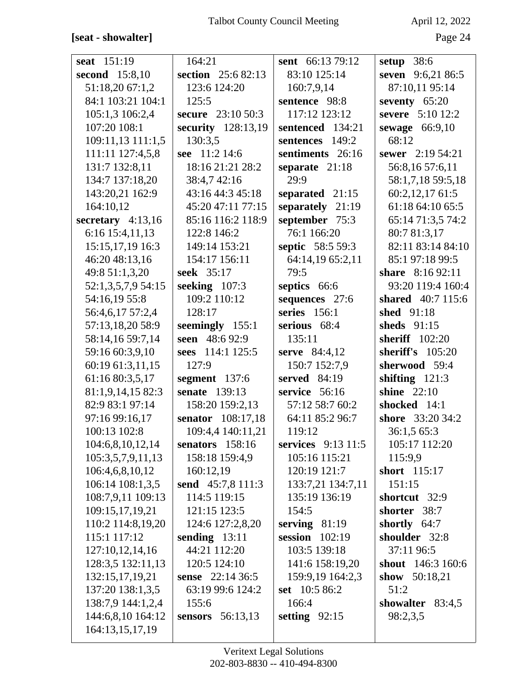## [seat - showalter]

April 12, 2022

| seat 151:19         | 164:21             | sent 66:13 79:12     | setup $38:6$       |
|---------------------|--------------------|----------------------|--------------------|
| second 15:8,10      | section 25:6 82:13 | 83:10 125:14         | seven 9:6,21 86:5  |
| 51:18,20 67:1,2     | 123:6 124:20       | 160:7,9,14           | 87:10,11 95:14     |
| 84:1 103:21 104:1   | 125:5              | sentence 98:8        | seventy 65:20      |
| 105:1,3 106:2,4     | secure 23:10 50:3  | 117:12 123:12        | severe 5:10 12:2   |
| 107:20 108:1        | security 128:13,19 | sentenced 134:21     | sewage $66:9,10$   |
| 109:11,13 111:1,5   | 130:3,5            | 149:2<br>sentences   | 68:12              |
| 111:11 127:4,5,8    | see 11:2 14:6      | sentiments 26:16     | sewer 2:19 54:21   |
| 131:7 132:8,11      | 18:16 21:21 28:2   | separate 21:18       | 56:8,16 57:6,11    |
| 134:7 137:18,20     | 38:4,7 42:16       | 29:9                 | 58:1,7,18 59:5,18  |
| 143:20,21 162:9     | 43:16 44:3 45:18   | separated 21:15      | 60:2,12,17 61:5    |
| 164:10,12           | 45:20 47:11 77:15  | separately 21:19     | 61:18 64:10 65:5   |
| secretary $4:13,16$ | 85:16 116:2 118:9  | september 75:3       | 65:14 71:3,5 74:2  |
| 6:16 15:4,11,13     | 122:8 146:2        | 76:1 166:20          | 80:7 81:3,17       |
| 15:15,17,19 16:3    | 149:14 153:21      | septic 58:5 59:3     | 82:11 83:14 84:10  |
| 46:20 48:13,16      | 154:17 156:11      | 64:14,19 65:2,11     | 85:1 97:18 99:5    |
| 49:8 51:1,3,20      | seek 35:17         | 79:5                 | share 8:16 92:11   |
| 52:1,3,5,7,9 54:15  | seeking $107:3$    | septics 66:6         | 93:20 119:4 160:4  |
| 54:16,19 55:8       | 109:2 110:12       | sequences 27:6       | shared 40:7 115:6  |
| 56:4,6,17 57:2,4    | 128:17             | series $156:1$       | shed 91:18         |
| 57:13,18,20 58:9    | seemingly 155:1    | serious 68:4         | sheds $91:15$      |
| 58:14,16 59:7,14    | seen 48:6 92:9     | 135:11               | sheriff 102:20     |
| 59:16 60:3,9,10     | sees 114:1 125:5   | serve 84:4,12        | sheriff's $105:20$ |
| 60:19 61:3,11,15    | 127:9              | 150:7 152:7,9        | sherwood 59:4      |
| 61:16 80:3,5,17     | segment 137:6      | served 84:19         | shifting $121:3$   |
| 81:1,9,14,15 82:3   | senate 139:13      | service 56:16        | <b>shine</b> 22:10 |
| 82:9 83:1 97:14     | 158:20 159:2,13    | 57:12 58:7 60:2      | shocked 14:1       |
| 97:16 99:16,17      | senator 108:17,18  | 64:11 85:2 96:7      | shore 33:20 34:2   |
| 100:13 102:8        | 109:4,4 140:11,21  | 119:12               | 36:1,5 65:3        |
| 104:6,8,10,12,14    | senators 158:16    | services $9:13$ 11:5 | 105:17 112:20      |
| 105:3,5,7,9,11,13   | 158:18 159:4,9     | 105:16 115:21        | 115:9,9            |
| 106:4,6,8,10,12     | 160:12,19          | 120:19 121:7         | short 115:17       |
| 106:14 108:1,3,5    | send 45:7,8 111:3  | 133:7,21 134:7,11    | 151:15             |
| 108:7,9,11 109:13   | 114:5 119:15       | 135:19 136:19        | shortcut 32:9      |
| 109:15,17,19,21     | 121:15 123:5       | 154:5                | shorter<br>38:7    |
| 110:2 114:8,19,20   | 124:6 127:2,8,20   | serving $81:19$      | shortly 64:7       |
| 115:1 117:12        | sending $13:11$    | session $102:19$     | shoulder 32:8      |
| 127:10,12,14,16     | 44:21 112:20       | 103:5 139:18         | 37:11 96:5         |
| 128:3,5 132:11,13   | 120:5 124:10       | 141:6 158:19,20      | shout 146:3 160:6  |
| 132:15,17,19,21     | sense 22:14 36:5   | 159:9,19 164:2,3     | show $50:18,21$    |
| 137:20 138:1,3,5    | 63:19 99:6 124:2   | set 10:5 86:2        | 51:2               |
| 138:7,9 144:1,2,4   | 155:6              | 166:4                | showalter 83:4,5   |
| 144:6,8,10 164:12   | sensors 56:13,13   | setting $92:15$      | 98:2,3,5           |
| 164:13,15,17,19     |                    |                      |                    |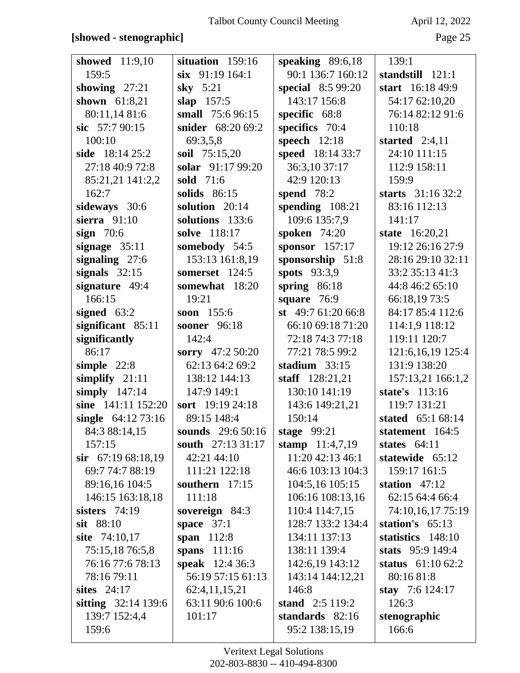### **[showed - stenographic]** Page 25

| showed 11:9,10        | situation 159:16       | speaking $89:6,18$       | 139:1               |
|-----------------------|------------------------|--------------------------|---------------------|
| 159:5                 | $six$ 91:19 164:1      | 90:1 136:7 160:12        | standstill 121:1    |
| showing $27:21$       | sky $5:21$             | <b>special</b> 8:5 99:20 | start 16:18 49:9    |
| shown 61:8,21         | slap $157:5$           | 143:17 156:8             | 54:17 62:10,20      |
| 80:11,14 81:6         | small 75:6 96:15       | specific 68:8            | 76:14 82:12 91:6    |
| sic $57:790:15$       | snider 68:20 69:2      | specifics 70:4           | 110:18              |
| 100:10                | 69:3,5,8               | speech $12:18$           | started $2:4,11$    |
| side $18:1425:2$      | <b>soil</b> 75:15,20   | speed 18:14 33:7         | 24:10 111:15        |
| 27:18 40:9 72:8       | solar 91:17 99:20      | 36:3,10 37:17            | 112:9 158:11        |
| 85:21,21 141:2,2      | sold 71:6              | 42:9 120:13              | 159:9               |
| 162:7                 | solids $86:15$         | spend $78:2$             | starts 31:16 32:2   |
| sideways 30:6         | solution 20:14         | spending $108:21$        | 83:16 112:13        |
| sierra $91:10$        | solutions 133:6        | 109:6 135:7,9            | 141:17              |
| sign $70:6$           | solve 118:17           | <b>spoken</b> 74:20      | state 16:20,21      |
| signage $35:11$       | somebody 54:5          | sponsor $157:17$         | 19:12 26:16 27:9    |
| signaling 27:6        | 153:13 161:8,19        | sponsorship 51:8         | 28:16 29:10 32:11   |
| signals $32:15$       | somerset 124:5         | spots $93:3,9$           | 33:2 35:13 41:3     |
| signature 49:4        | somewhat 18:20         | spring $86:18$           | 44:8 46:2 65:10     |
| 166:15                | 19:21                  | square $76:9$            | 66:18,19 73:5       |
| signed $63:2$         | soon $155:6$           | st $49:761:2066:8$       | 84:17 85:4 112:6    |
| significant 85:11     | <b>sooner</b> 96:18    | 66:10 69:18 71:20        | 114:1,9 118:12      |
| significantly         | 142:4                  | 72:18 74:3 77:18         | 119:11 120:7        |
| 86:17                 | sorry 47:2 50:20       | 77:21 78:5 99:2          | 121:6, 16, 19 125:4 |
| simple $22:8$         | 62:13 64:2 69:2        | stadium $33:15$          | 131:9 138:20        |
| simplify $21:11$      | 138:12 144:13          | staff 128:21,21          | 157:13,21 166:1,2   |
| simply $147:14$       | 147:9 149:1            | 130:10 141:19            | state's 113:16      |
| sine 141:11 152:20    | sort 19:19 24:18       | 143:6 149:21,21          | 119:7 131:21        |
| single $64:1273:16$   | 89:15 148:4            | 150:14                   | stated 65:1 68:14   |
| 84:3 88:14,15         | sounds $29:650:16$     | stage $99:21$            | statement 164:5     |
| 157:15                | south 27:13 31:17      | stamp 11:4,7,19          | states $64:11$      |
| $\sin$ 67:19 68:18,19 | 42:21 44:10            | 11:20 42:13 46:1         | statewide 65:12     |
| 69:7 74:7 88:19       | 111:21 122:18          | 46:6 103:13 104:3        | 159:17 161:5        |
| 89:16,16 104:5        | southern $17:15$       | 104:5,16 105:15          | station $47:12$     |
| 146:15 163:18,18      | 111:18                 | 106:16 108:13,16         | 62:15 64:4 66:4     |
| sisters $74:19$       | sovereign 84:3         | 110:4 114:7,15           | 74:10,16,17 75:19   |
| sit 88:10             | space $37:1$           | 128:7 133:2 134:4        | station's $65:13$   |
| site 74:10,17         | span $112:8$           | 134:11 137:13            | statistics 148:10   |
| 75:15,1876:5,8        | spans 111:16           | 138:11 139:4             | stats $95:9149:4$   |
| 76:16 77:6 78:13      | <b>speak</b> 12:4 36:3 | 142:6,19 143:12          | status $61:1062:2$  |
| 78:16 79:11           | 56:19 57:15 61:13      | 143:14 144:12,21         | 80:16 81:8          |
| sites $24:17$         | 62:4,11,15,21          | 146:8                    | stay 7:6 124:17     |
| sitting 32:14 139:6   | 63:11 90:6 100:6       | stand $2:5119:2$         | 126:3               |
| 139:7 152:4,4         | 101:17                 | standards 82:16          | stenographic        |
| 159:6                 |                        | 95:2 138:15,19           | 166:6               |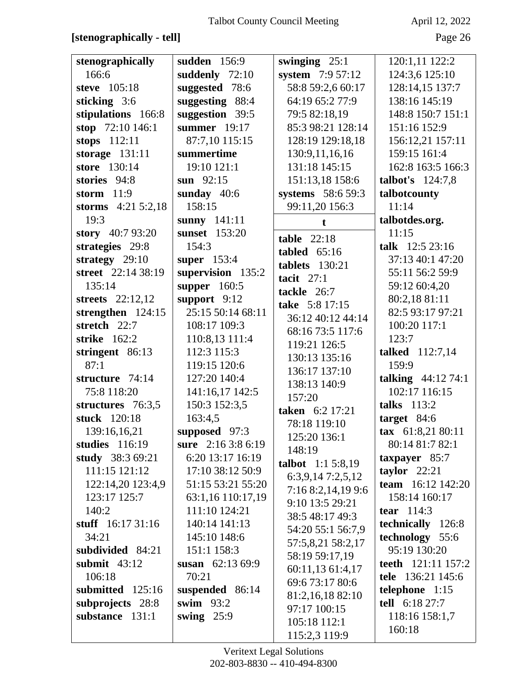### **[stenographically - tell]** Page 26

| stenographically      | sudden 156:9       | swinging $25:1$    | 120:1,11 122:2            |
|-----------------------|--------------------|--------------------|---------------------------|
| 166:6                 | suddenly 72:10     | system 7:9 57:12   | 124:3,6 125:10            |
| steve 105:18          | suggested 78:6     | 58:8 59:2,6 60:17  | 128:14,15 137:7           |
| sticking $3:6$        | suggesting 88:4    | 64:19 65:2 77:9    | 138:16 145:19             |
| stipulations 166:8    | suggestion 39:5    | 79:5 82:18,19      | 148:8 150:7 151:1         |
| stop $72:10146:1$     | summer $19:17$     | 85:3 98:21 128:14  | 151:16 152:9              |
| stops $112:11$        | 87:7,10 115:15     | 128:19 129:18,18   | 156:12,21 157:11          |
| storage $131:11$      | summertime         | 130:9,11,16,16     | 159:15 161:4              |
| store 130:14          | 19:10 121:1        | 131:18 145:15      | 162:8 163:5 166:3         |
| stories 94:8          | sun $92:15$        | 151:13,18 158:6    | talbot's $124:7,8$        |
| storm $11:9$          | sunday $40:6$      | systems 58:6 59:3  | talbotcounty              |
| storms $4:21\,5:2,18$ | 158:15             | 99:11,20 156:3     | 11:14                     |
| 19:3                  | sunny $141:11$     | t.                 | talbotdes.org.            |
| story 40:7 93:20      | sunset 153:20      | table $22:18$      | 11:15                     |
| strategies 29:8       | 154:3              | tabled $65:16$     | talk 12:5 23:16           |
| strategy $29:10$      | super 153:4        | tablets $130:21$   | 37:13 40:1 47:20          |
| street 22:14 38:19    | supervision 135:2  | tacit $27:1$       | 55:11 56:2 59:9           |
| 135:14                | supper 160:5       | tackle 26:7        | 59:12 60:4,20             |
| streets $22:12,12$    | support $9:12$     | take 5:8 17:15     | 80:2,18 81:11             |
| strengthen $124:15$   | 25:15 50:14 68:11  | 36:12 40:12 44:14  | 82:5 93:17 97:21          |
| stretch 22:7          | 108:17 109:3       | 68:16 73:5 117:6   | 100:20 117:1              |
| strike $162:2$        | 110:8,13 111:4     | 119:21 126:5       | 123:7                     |
| stringent 86:13       | 112:3 115:3        | 130:13 135:16      | talked 112:7,14           |
| 87:1                  | 119:15 120:6       | 136:17 137:10      | 159:9                     |
| structure 74:14       | 127:20 140:4       | 138:13 140:9       | talking $44:1274:1$       |
| 75:8 118:20           | 141:16,17 142:5    | 157:20             | 102:17 116:15             |
| structures 76:3,5     | 150:3 152:3,5      | taken 6:2 17:21    | talks $113:2$             |
| stuck 120:18          | 163:4,5            | 78:18 119:10       | target $84:6$             |
| 139:16,16,21          | supposed 97:3      | 125:20 136:1       | tax 61:8,21 80:11         |
| studies $116:19$      | sure 2:16 3:8 6:19 | 148:19             | 80:14 81:7 82:1           |
| study 38:3 69:21      | 6:20 13:17 16:19   | talbot 1:1 5:8,19  | $\,$ taxpayer 85:7        |
| 111:15 121:12         | 17:10 38:12 50:9   | 6:3,9,147:2,5,12   | taylor $22:21$            |
| 122:14,20 123:4,9     | 51:15 53:21 55:20  | 7:16 8:2,14,19 9:6 | team $16:12$ 142:20       |
| 123:17 125:7          | 63:1,16 110:17,19  | 9:10 13:5 29:21    | 158:14 160:17             |
| 140:2                 | 111:10 124:21      | 38:5 48:17 49:3    | <b>tear</b> $114:3$       |
| stuff $16:1731:16$    | 140:14 141:13      | 54:20 55:1 56:7,9  | technically 126:8         |
| 34:21                 | 145:10 148:6       | 57:5,8,21 58:2,17  | technology 55:6           |
| subdivided 84:21      | 151:1 158:3        | 58:19 59:17,19     | 95:19 130:20              |
| submit $43:12$        | susan $62:1369:9$  | 60:11,13 61:4,17   | <b>teeth</b> 121:11 157:2 |
| 106:18                | 70:21              | 69:6 73:17 80:6    | tele 136:21 145:6         |
| submitted 125:16      | suspended 86:14    | 81:2,16,18 82:10   | telephone 1:15            |
| subprojects 28:8      | swim $93:2$        | 97:17 100:15       | tell 6:18 27:7            |
| substance 131:1       | swing $25:9$       | 105:18 112:1       | 118:16 158:1,7            |
|                       |                    | 115:2,3 119:9      | 160:18                    |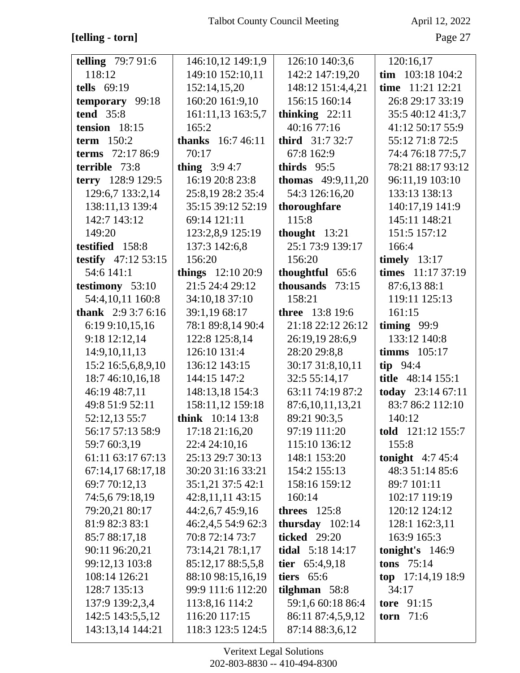## [telling - torn]

April 12, 2022

Page 27

| <b>telling</b> $79:791:6$ | 146:10,12 149:1,9        | 126:10 140:3,6             | 120:16,17                   |
|---------------------------|--------------------------|----------------------------|-----------------------------|
| 118:12                    | 149:10 152:10,11         | 142:2 147:19,20            | $\text{tim } 103:18\ 104:2$ |
| tells $69:19$             | 152:14,15,20             | 148:12 151:4,4,21          | time 11:21 12:21            |
| temporary 99:18           | 160:20 161:9,10          | 156:15 160:14              | 26:8 29:17 33:19            |
| <b>tend</b> 35:8          | 161:11,13 163:5,7        | thinking $22:11$           | 35:5 40:12 41:3,7           |
| tension $18:15$           | 165:2                    | 40:16 77:16                | 41:12 50:17 55:9            |
| <b>term</b> 150:2         | <b>thanks</b> 16:7 46:11 | <b>third</b> $31:732:7$    | 55:12 71:8 72:5             |
| terms 72:17 86:9          | 70:17                    | 67:8 162:9                 | 74:4 76:18 77:5,7           |
| terrible 73:8             | <b>thing</b> $3:94:7$    | thirds 95:5                | 78:21 88:17 93:12           |
| terry 128:9 129:5         | 16:19 20:8 23:8          | <b>thomas</b> $49:9,11,20$ | 96:11,19 103:10             |
| 129:6,7 133:2,14          | 25:8,19 28:2 35:4        | 54:3 126:16,20             | 133:13 138:13               |
| 138:11,13 139:4           | 35:15 39:12 52:19        | thoroughfare               | 140:17,19 141:9             |
| 142:7 143:12              | 69:14 121:11             | 115:8                      | 145:11 148:21               |
| 149:20                    | 123:2,8,9 125:19         | thought $13:21$            | 151:5 157:12                |
| testified 158:8           | 137:3 142:6,8            | 25:1 73:9 139:17           | 166:4                       |
| testify $47:12\,53:15$    | 156:20                   | 156:20                     | timely $13:17$              |
| 54:6 141:1                | things $12:1020:9$       | thoughtful 65:6            | times 11:17 37:19           |
| testimony 53:10           | 21:5 24:4 29:12          | thousands 73:15            | 87:6,13 88:1                |
| 54:4,10,11 160:8          | 34:10,18 37:10           | 158:21                     | 119:11 125:13               |
| <b>thank</b> $2:93:76:16$ | 39:1,19 68:17            | <b>three</b> 13:8 19:6     | 161:15                      |
| 6:19 9:10,15,16           | 78:1 89:8,14 90:4        | 21:18 22:12 26:12          | timing $99:9$               |
| 9:18 12:12,14             | 122:8 125:8,14           | 26:19,19 28:6,9            | 133:12 140:8                |
| 14:9,10,11,13             | 126:10 131:4             | 28:20 29:8,8               | timms $105:17$              |
| 15:2 16:5,6,8,9,10        | 136:12 143:15            | 30:17 31:8,10,11           | tip $94:4$                  |
| 18:7 46:10,16,18          | 144:15 147:2             | 32:5 55:14,17              | title 48:14 155:1           |
| 46:19 48:7,11             | 148:13,18 154:3          | 63:11 74:19 87:2           | today 23:14 67:11           |
| 49:8 51:9 52:11           | 158:11,12 159:18         | 87:6, 10, 11, 13, 21       | 83:7 86:2 112:10            |
| 52:12,13 55:7             | think 10:14 13:8         | 89:21 90:3,5               | 140:12                      |
| 56:17 57:13 58:9          | 17:18 21:16,20           | 97:19 111:20               | <b>told</b> 121:12 155:7    |
| 59:7 60:3,19              | 22:4 24:10,16            | 115:10 136:12              | 155:8                       |
| 61:11 63:17 67:13         | 25:13 29:7 30:13         | 148:1 153:20               | tonight $4:745:4$           |
| 67:14,17 68:17,18         | 30:20 31:16 33:21        | 154:2 155:13               | 48:3 51:14 85:6             |
| 69:7 70:12,13             | 35:1,21 37:5 42:1        | 158:16 159:12              | 89:7 101:11                 |
| 74:5,6 79:18,19           | 42:8,11,11 43:15         | 160:14                     | 102:17 119:19               |
| 79:20,21 80:17            | 44:2,6,7 45:9,16         | threes $125:8$             | 120:12 124:12               |
| 81:9 82:3 83:1            | 46:2,4,5 54:9 62:3       | thursday $102:14$          | 128:1 162:3,11              |
| 85:7 88:17,18             | 70:8 72:14 73:7          | <b>ticked</b> 29:20        | 163:9 165:3                 |
| 90:11 96:20,21            | 73:14,21 78:1,17         | <b>tidal</b> $5:18$ 14:17  | tonight's $146:9$           |
| 99:12,13 103:8            | 85:12,17 88:5,5,8        | tier $65:4,9,18$           | tons $75:14$                |
| 108:14 126:21             | 88:10 98:15,16,19        | tiers $65:6$               | top $17:14,1918:9$          |
| 128:7 135:13              | 99:9 111:6 112:20        | tilghman $58:8$            | 34:17                       |
| 137:9 139:2,3,4           | 113:8,16 114:2           | 59:1,6 60:18 86:4          | tore $91:15$                |
| 142:5 143:5,5,12          | 116:20 117:15            | 86:11 87:4,5,9,12          | torn $71:6$                 |
| 143:13,14 144:21          | 118:3 123:5 124:5        | 87:14 88:3,6,12            |                             |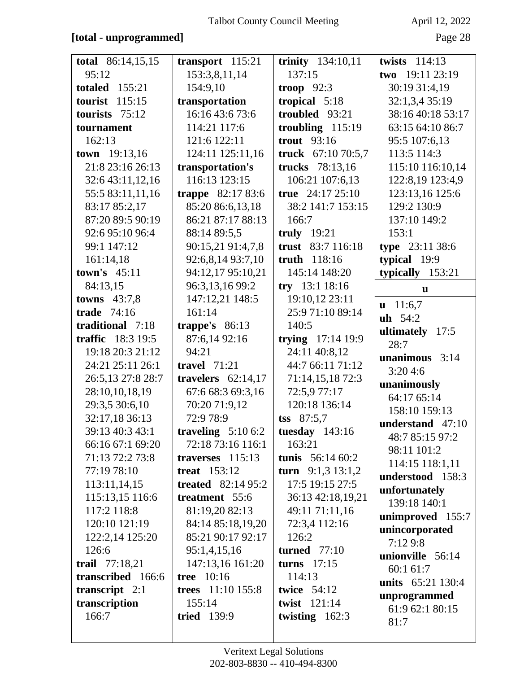### **[total - unprogrammed]** Page 28

| total 86:14,15,15     | transport $115:21$       | trinity 134:10,11   | twists $114:13$     |
|-----------------------|--------------------------|---------------------|---------------------|
| 95:12                 | 153:3,8,11,14            | 137:15              | two 19:11 23:19     |
| <b>totaled</b> 155:21 | 154:9,10                 | troop $92:3$        | 30:19 31:4,19       |
| 115:15<br>tourist     | transportation           | tropical 5:18       | 32:1,3,4 35:19      |
| tourists $75:12$      | 16:16 43:6 73:6          | troubled 93:21      | 38:16 40:18 53:17   |
| tournament            | 114:21 117:6             | troubling $115:19$  | 63:15 64:10 86:7    |
| 162:13                | 121:6 122:11             | <b>trout</b> 93:16  | 95:5 107:6,13       |
| town 19:13,16         | 124:11 125:11,16         | truck 67:10 70:5,7  | 113:5 114:3         |
| 21:8 23:16 26:13      | transportation's         | trucks 78:13,16     | 115:10 116:10,14    |
| 32:6 43:11,12,16      | 116:13 123:15            | 106:21 107:6,13     | 122:8,19 123:4,9    |
| 55:5 83:11,11,16      | <b>trappe</b> 82:17 83:6 | true $24:1725:10$   | 123:13,16 125:6     |
| 83:17 85:2,17         | 85:20 86:6,13,18         | 38:2 141:7 153:15   | 129:2 130:9         |
| 87:20 89:5 90:19      | 86:21 87:17 88:13        | 166:7               | 137:10 149:2        |
| 92:6 95:10 96:4       | 88:14 89:5,5             | truly $19:21$       | 153:1               |
| 99:1 147:12           | 90:15,21 91:4,7,8        | trust 83:7 116:18   | type 23:11 38:6     |
| 161:14,18             | 92:6,8,14 93:7,10        | truth 118:16        | typical 19:9        |
| town's $45:11$        | 94:12,17 95:10,21        | 145:14 148:20       | typically 153:21    |
| 84:13,15              | 96:3,13,16 99:2          | $try$ 13:1 18:16    | u                   |
| towns $43:7,8$        | 147:12,21 148:5          | 19:10,12 23:11      | $\mathbf{u}$ 11:6,7 |
| trade 74:16           | 161:14                   | 25:9 71:10 89:14    | $uh 54:2$           |
| traditional 7:18      | trappe's $86:13$         | 140:5               | ultimately $17:5$   |
| traffic 18:3 19:5     | 87:6,14 92:16            | trying $17:14$ 19:9 | 28:7                |
| 19:18 20:3 21:12      | 94:21                    | 24:11 40:8,12       | unanimous $3:14$    |
| 24:21 25:11 26:1      | travel $71:21$           | 44:7 66:11 71:12    | 3:204:6             |
| 26:5,13 27:8 28:7     | travelers $62:14,17$     | 71:14,15,18 72:3    | unanimously         |
| 28:10,10,18,19        | 67:6 68:3 69:3,16        | 72:5,9 77:17        | 64:17 65:14         |
| 29:3,5 30:6,10        | 70:20 71:9,12            | 120:18 136:14       | 158:10 159:13       |
| 32:17,18 36:13        | 72:9 78:9                | $\text{tss}$ 87:5,7 | understand 47:10    |
| 39:13 40:3 43:1       | traveling $5:106:2$      | tuesday $143:16$    | 48:7 85:15 97:2     |
| 66:16 67:1 69:20      | 72:18 73:16 116:1        | 163:21              | 98:11 101:2         |
| 71:13 72:2 73:8       | traverses $115:13$       | tunis $56:1460:2$   | 114:15 118:1,11     |
| 77:19 78:10           | treat $153:12$           | turn $9:1,313:1,2$  | understood 158:3    |
| 113:11,14,15          | treated $82:1495:2$      | 17:5 19:15 27:5     | unfortunately       |
| 115:13,15 116:6       | treatment 55:6           | 36:13 42:18,19,21   | 139:18 140:1        |
| 117:2 118:8           | 81:19,20 82:13           | 49:11 71:11,16      | unimproved 155:7    |
| 120:10 121:19         | 84:14 85:18,19,20        | 72:3,4 112:16       | unincorporated      |
| 122:2,14 125:20       | 85:21 90:17 92:17        | 126:2               | 7:129:8             |
| 126:6                 | 95:1,4,15,16             | turned $77:10$      | unionville 56:14    |
| trail 77:18,21        | 147:13,16 161:20         | turns $17:15$       | 60:1 61:7           |
| transcribed 166:6     | <b>tree</b> 10:16        | 114:13              | units 65:21 130:4   |
| transcript $2:1$      | trees 11:10 155:8        | <b>twice</b> 54:12  | unprogrammed        |
| transcription         | 155:14                   | twist 121:14        | 61:9 62:1 80:15     |
| 166:7                 | <b>tried</b> 139:9       | twisting $162:3$    | 81:7                |
|                       |                          |                     |                     |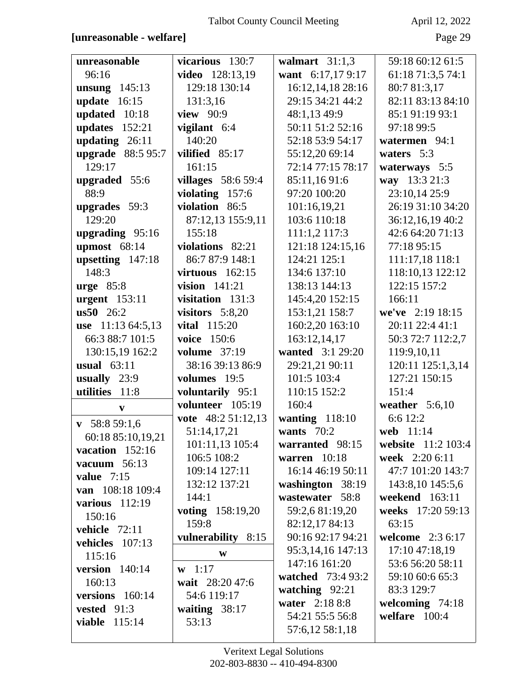### **[unreasonable - welfare]** Page 29

| unreasonable             | vicarious 130:7     | walmart $31:1,3$  | 59:18 60:12 61:5   |
|--------------------------|---------------------|-------------------|--------------------|
| 96:16                    | video 128:13,19     | want 6:17,179:17  | 61:18 71:3,5 74:1  |
| unsung $145:13$          | 129:18 130:14       | 16:12,14,18 28:16 | 80:7 81:3,17       |
| update $16:15$           | 131:3,16            | 29:15 34:21 44:2  | 82:11 83:13 84:10  |
| updated 10:18            | view 90:9           | 48:1,13 49:9      | 85:1 91:19 93:1    |
| updates $152:21$         | vigilant 6:4        | 50:11 51:2 52:16  | 97:18 99:5         |
| updating $26:11$         | 140:20              | 52:18 53:9 54:17  | watermen 94:1      |
| upgrade 88:5 95:7        | vilified 85:17      | 55:12,20 69:14    | waters 5:3         |
| 129:17                   | 161:15              | 72:14 77:15 78:17 | waterways 5:5      |
| upgraded 55:6            | villages $58:659:4$ | 85:11,1691:6      | way 13:3 21:3      |
| 88:9                     | violating 157:6     | 97:20 100:20      | 23:10,14 25:9      |
| upgrades 59:3            | violation 86:5      | 101:16,19,21      | 26:19 31:10 34:20  |
| 129:20                   | 87:12,13 155:9,11   | 103:6 110:18      | 36:12,16,19 40:2   |
| upgrading 95:16          | 155:18              | 111:1,2 117:3     | 42:6 64:20 71:13   |
| upmost $68:14$           | violations 82:21    | 121:18 124:15,16  | 77:18 95:15        |
| upsetting $147:18$       | 86:7 87:9 148:1     | 124:21 125:1      | 111:17,18 118:1    |
| 148:3                    | virtuous $162:15$   | 134:6 137:10      | 118:10,13 122:12   |
| $urge 85:8$              | vision $141:21$     | 138:13 144:13     | 122:15 157:2       |
| urgent $153:11$          | visitation $131:3$  | 145:4,20 152:15   | 166:11             |
| $\text{us}50 \quad 26:2$ | visitors $5:8,20$   | 153:1,21 158:7    | we've 2:19 18:15   |
| use 11:13 64:5,13        | <b>vital</b> 115:20 | 160:2,20 163:10   | 20:11 22:4 41:1    |
| 66:3 88:7 101:5          | voice 150:6         | 163:12,14,17      | 50:3 72:7 112:2,7  |
| 130:15,19 162:2          | <b>volume</b> 37:19 | wanted 3:1 29:20  | 119:9,10,11        |
| usual $63:11$            | 38:16 39:13 86:9    | 29:21,21 90:11    | 120:11 125:1,3,14  |
| usually $23:9$           | volumes 19:5        | 101:5 103:4       | 127:21 150:15      |
| utilities<br>11:8        | voluntarily 95:1    | 110:15 152:2      | 151:4              |
| $\mathbf{v}$             | volunteer 105:19    | 160:4             | weather $5:6,10$   |
| $\mathbf{v}$ 58:8 59:1,6 | vote $48:251:12,13$ | wanting $118:10$  | 6:6 12:2           |
| 60:18 85:10,19,21        | 51:14,17,21         | wants $70:2$      | web 11:14          |
| vacation 152:16          | 101:11,13 105:4     | warranted 98:15   | website 11:2 103:4 |
| vacuum $56:13$           | 106:5 108:2         | warren $10:18$    | week 2:20 6:11     |
| value $7:15$             | 109:14 127:11       | 16:14 46:19 50:11 | 47:7 101:20 143:7  |
| van 108:18 109:4         | 132:12 137:21       | washington 38:19  | 143:8,10 145:5,6   |
| various $112:19$         | 144:1               | wastewater 58:8   | weekend 163:11     |
| 150:16                   | voting 158:19,20    | 59:2,6 81:19,20   | weeks 17:20 59:13  |
| vehicle 72:11            | 159:8               | 82:12,17 84:13    | 63:15              |
| vehicles 107:13          | vulnerability 8:15  | 90:16 92:17 94:21 | welcome $2:36:17$  |
| 115:16                   | W                   | 95:3,14,16 147:13 | 17:10 47:18,19     |
| version 140:14           | $\mathbf{w}$ 1:17   | 147:16 161:20     | 53:6 56:20 58:11   |
| 160:13                   | wait 28:20 47:6     | watched 73:4 93:2 | 59:10 60:6 65:3    |
| versions 160:14          | 54:6 119:17         | watching 92:21    | 83:3 129:7         |
| vested 91:3              | waiting $38:17$     | water 2:18 8:8    | welcoming 74:18    |
| <b>viable</b> 115:14     | 53:13               | 54:21 55:5 56:8   | welfare 100:4      |
|                          |                     | 57:6,12 58:1,18   |                    |